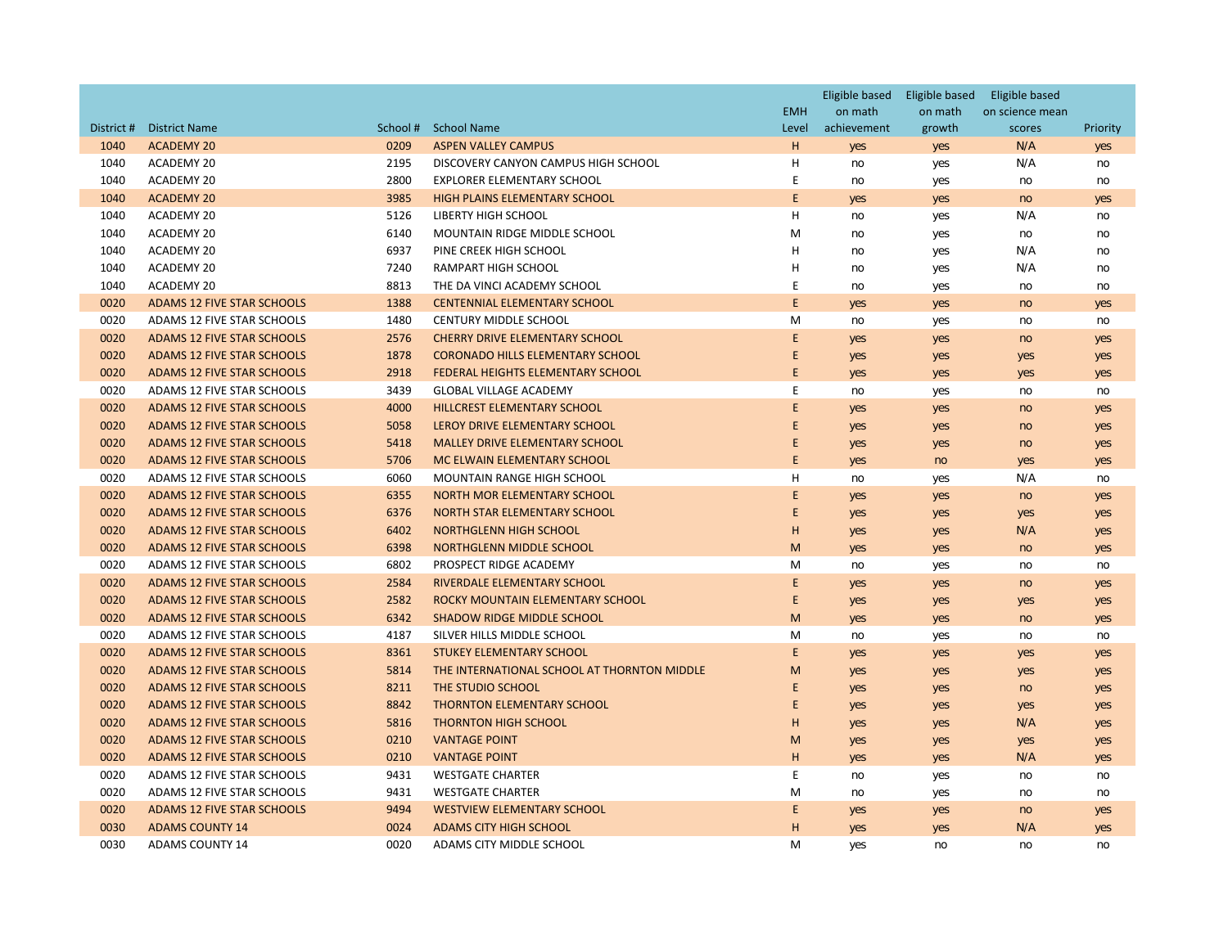|            |                                   |          |                                                      |                     | Eligible based Eligible based |                   | Eligible based            |           |
|------------|-----------------------------------|----------|------------------------------------------------------|---------------------|-------------------------------|-------------------|---------------------------|-----------|
| District # | <b>District Name</b>              | School # | <b>School Name</b>                                   | <b>EMH</b><br>Level | on math<br>achievement        | on math<br>growth | on science mean<br>scores | Priority  |
| 1040       | <b>ACADEMY 20</b>                 | 0209     | <b>ASPEN VALLEY CAMPUS</b>                           | H                   |                               |                   | N/A                       |           |
| 1040       | ACADEMY 20                        | 2195     | DISCOVERY CANYON CAMPUS HIGH SCHOOL                  | н                   | yes<br>no                     | yes               | N/A                       | yes<br>no |
| 1040       | ACADEMY 20                        | 2800     | EXPLORER ELEMENTARY SCHOOL                           | E                   | no                            | yes               | no                        | no        |
| 1040       | <b>ACADEMY 20</b>                 | 3985     | <b>HIGH PLAINS ELEMENTARY SCHOOL</b>                 | E                   |                               | yes               |                           |           |
| 1040       | ACADEMY 20                        | 5126     | LIBERTY HIGH SCHOOL                                  | H                   | yes<br>no                     | yes               | no<br>N/A                 | yes       |
| 1040       |                                   | 6140     | MOUNTAIN RIDGE MIDDLE SCHOOL                         | M                   |                               | yes               |                           | no        |
|            | ACADEMY 20                        |          |                                                      | н                   | no                            | yes               | no                        | no        |
| 1040       | ACADEMY 20                        | 6937     | PINE CREEK HIGH SCHOOL<br><b>RAMPART HIGH SCHOOL</b> | н                   | no                            | yes               | N/A                       | no        |
| 1040       | ACADEMY 20                        | 7240     |                                                      |                     | no                            | yes               | N/A                       | no        |
| 1040       | <b>ACADEMY 20</b>                 | 8813     | THE DA VINCI ACADEMY SCHOOL                          | E                   | no                            | yes               | no                        | no        |
| 0020       | <b>ADAMS 12 FIVE STAR SCHOOLS</b> | 1388     | <b>CENTENNIAL ELEMENTARY SCHOOL</b>                  | E                   | yes                           | yes               | no                        | yes       |
| 0020       | ADAMS 12 FIVE STAR SCHOOLS        | 1480     | CENTURY MIDDLE SCHOOL                                | M                   | no                            | yes               | no                        | no        |
| 0020       | <b>ADAMS 12 FIVE STAR SCHOOLS</b> | 2576     | <b>CHERRY DRIVE ELEMENTARY SCHOOL</b>                | E                   | yes                           | yes               | no                        | yes       |
| 0020       | <b>ADAMS 12 FIVE STAR SCHOOLS</b> | 1878     | <b>CORONADO HILLS ELEMENTARY SCHOOL</b>              | E                   | yes                           | yes               | yes                       | yes       |
| 0020       | <b>ADAMS 12 FIVE STAR SCHOOLS</b> | 2918     | FEDERAL HEIGHTS ELEMENTARY SCHOOL                    | E                   | yes                           | yes               | yes                       | yes       |
| 0020       | ADAMS 12 FIVE STAR SCHOOLS        | 3439     | <b>GLOBAL VILLAGE ACADEMY</b>                        | E                   | no                            | yes               | no                        | no        |
| 0020       | ADAMS 12 FIVE STAR SCHOOLS        | 4000     | <b>HILLCREST ELEMENTARY SCHOOL</b>                   | E                   | yes                           | yes               | no                        | yes       |
| 0020       | <b>ADAMS 12 FIVE STAR SCHOOLS</b> | 5058     | LEROY DRIVE ELEMENTARY SCHOOL                        | E                   | yes                           | yes               | no                        | yes       |
| 0020       | <b>ADAMS 12 FIVE STAR SCHOOLS</b> | 5418     | <b>MALLEY DRIVE ELEMENTARY SCHOOL</b>                | E                   | yes                           | yes               | no                        | yes       |
| 0020       | <b>ADAMS 12 FIVE STAR SCHOOLS</b> | 5706     | MC ELWAIN ELEMENTARY SCHOOL                          | E                   | yes                           | no                | yes                       | yes       |
| 0020       | ADAMS 12 FIVE STAR SCHOOLS        | 6060     | <b>MOUNTAIN RANGE HIGH SCHOOL</b>                    | H                   | no                            | yes               | N/A                       | no        |
| 0020       | <b>ADAMS 12 FIVE STAR SCHOOLS</b> | 6355     | NORTH MOR ELEMENTARY SCHOOL                          | E                   | yes                           | yes               | no                        | yes       |
| 0020       | <b>ADAMS 12 FIVE STAR SCHOOLS</b> | 6376     | NORTH STAR ELEMENTARY SCHOOL                         | E                   | yes                           | yes               | yes                       | yes       |
| 0020       | <b>ADAMS 12 FIVE STAR SCHOOLS</b> | 6402     | <b>NORTHGLENN HIGH SCHOOL</b>                        | H                   | yes                           | yes               | N/A                       | yes       |
| 0020       | <b>ADAMS 12 FIVE STAR SCHOOLS</b> | 6398     | NORTHGLENN MIDDLE SCHOOL                             | M                   | yes                           | yes               | no                        | yes       |
| 0020       | ADAMS 12 FIVE STAR SCHOOLS        | 6802     | PROSPECT RIDGE ACADEMY                               | M                   | no                            | yes               | no                        | no        |
| 0020       | <b>ADAMS 12 FIVE STAR SCHOOLS</b> | 2584     | RIVERDALE ELEMENTARY SCHOOL                          | E                   | yes                           | yes               | no                        | yes       |
| 0020       | <b>ADAMS 12 FIVE STAR SCHOOLS</b> | 2582     | ROCKY MOUNTAIN ELEMENTARY SCHOOL                     | E                   | yes                           | yes               | yes                       | yes       |
| 0020       | <b>ADAMS 12 FIVE STAR SCHOOLS</b> | 6342     | <b>SHADOW RIDGE MIDDLE SCHOOL</b>                    | M                   | yes                           | yes               | no                        | yes       |
| 0020       | ADAMS 12 FIVE STAR SCHOOLS        | 4187     | SILVER HILLS MIDDLE SCHOOL                           | M                   | no                            | yes               | no                        | no        |
| 0020       | <b>ADAMS 12 FIVE STAR SCHOOLS</b> | 8361     | <b>STUKEY ELEMENTARY SCHOOL</b>                      | E                   | yes                           | yes               | yes                       | yes       |
| 0020       | <b>ADAMS 12 FIVE STAR SCHOOLS</b> | 5814     | THE INTERNATIONAL SCHOOL AT THORNTON MIDDLE          | M                   | yes                           | yes               | yes                       | yes       |
| 0020       | <b>ADAMS 12 FIVE STAR SCHOOLS</b> | 8211     | THE STUDIO SCHOOL                                    | E                   | yes                           | yes               | no                        | yes       |
| 0020       | <b>ADAMS 12 FIVE STAR SCHOOLS</b> | 8842     | <b>THORNTON ELEMENTARY SCHOOL</b>                    | E                   | yes                           | yes               | yes                       | yes       |
| 0020       | <b>ADAMS 12 FIVE STAR SCHOOLS</b> | 5816     | <b>THORNTON HIGH SCHOOL</b>                          | H                   | yes                           | yes               | N/A                       | yes       |
| 0020       | ADAMS 12 FIVE STAR SCHOOLS        | 0210     | <b>VANTAGE POINT</b>                                 | M                   | yes                           | yes               | yes                       | yes       |
| 0020       | <b>ADAMS 12 FIVE STAR SCHOOLS</b> | 0210     | <b>VANTAGE POINT</b>                                 | H                   | yes                           | yes               | N/A                       | yes       |
| 0020       | ADAMS 12 FIVE STAR SCHOOLS        | 9431     | <b>WESTGATE CHARTER</b>                              | E                   | no                            | yes               | no                        | no        |
| 0020       | ADAMS 12 FIVE STAR SCHOOLS        | 9431     | <b>WESTGATE CHARTER</b>                              | M                   | no                            | yes               | no                        | no        |
| 0020       | <b>ADAMS 12 FIVE STAR SCHOOLS</b> | 9494     | <b>WESTVIEW ELEMENTARY SCHOOL</b>                    | E                   | yes                           | yes               | no                        | yes       |
| 0030       | <b>ADAMS COUNTY 14</b>            | 0024     | <b>ADAMS CITY HIGH SCHOOL</b>                        | H                   | yes                           | yes               | N/A                       | yes       |
| 0030       | <b>ADAMS COUNTY 14</b>            | 0020     | ADAMS CITY MIDDLE SCHOOL                             | M                   | yes                           | no                | no                        | no        |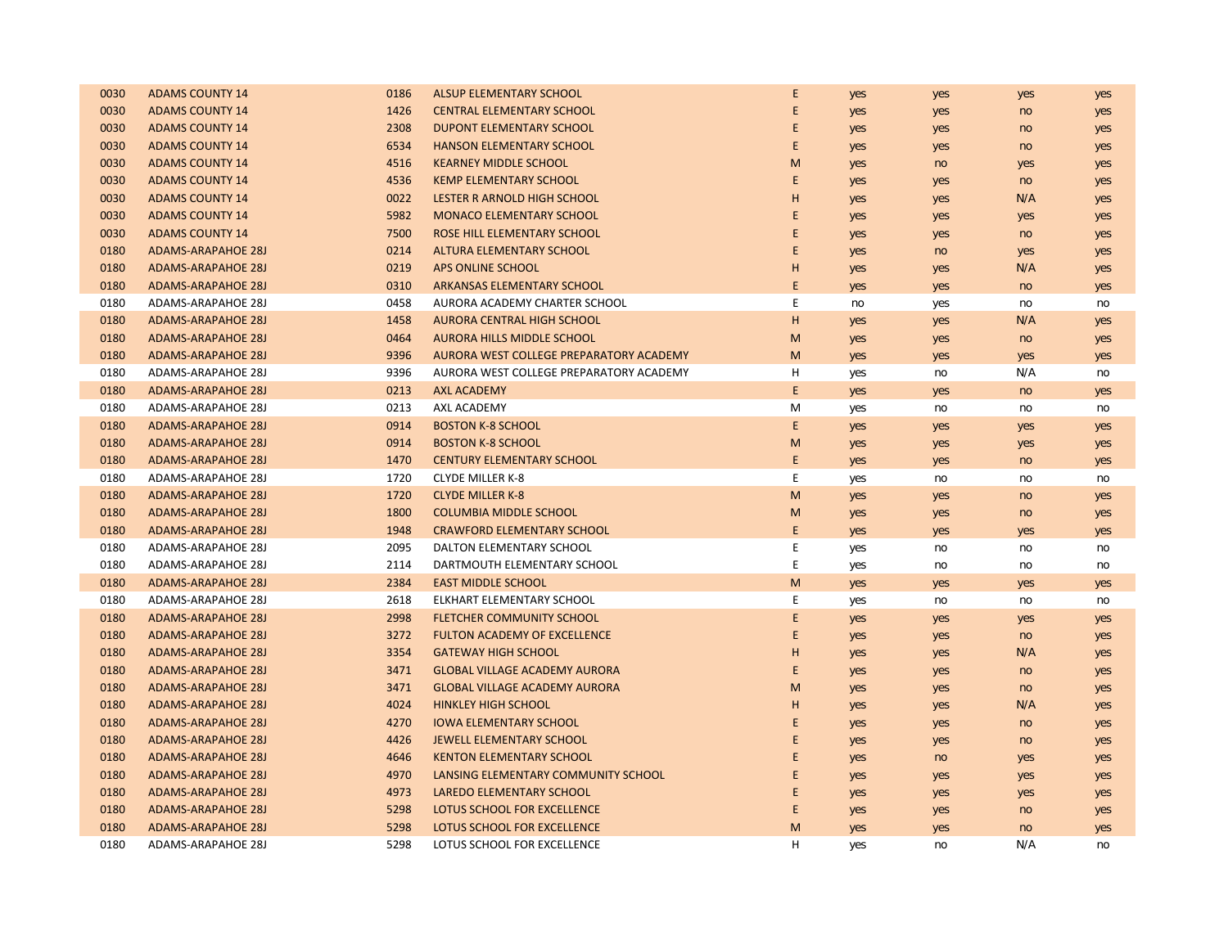| 0030 | <b>ADAMS COUNTY 14</b>    | 0186 | ALSUP ELEMENTARY SCHOOL                 | E | yes | yes | yes | yes |
|------|---------------------------|------|-----------------------------------------|---|-----|-----|-----|-----|
| 0030 | <b>ADAMS COUNTY 14</b>    | 1426 | <b>CENTRAL ELEMENTARY SCHOOL</b>        | E | yes | yes | no  | yes |
| 0030 | <b>ADAMS COUNTY 14</b>    | 2308 | <b>DUPONT ELEMENTARY SCHOOL</b>         | E | yes | yes | no  | yes |
| 0030 | <b>ADAMS COUNTY 14</b>    | 6534 | <b>HANSON ELEMENTARY SCHOOL</b>         | E | yes | yes | no  | yes |
| 0030 | <b>ADAMS COUNTY 14</b>    | 4516 | <b>KEARNEY MIDDLE SCHOOL</b>            | M | yes | no  | yes | yes |
| 0030 | <b>ADAMS COUNTY 14</b>    | 4536 | <b>KEMP ELEMENTARY SCHOOL</b>           | E | yes | yes | no  | yes |
| 0030 | <b>ADAMS COUNTY 14</b>    | 0022 | LESTER R ARNOLD HIGH SCHOOL             | H | yes | yes | N/A | yes |
| 0030 | <b>ADAMS COUNTY 14</b>    | 5982 | <b>MONACO ELEMENTARY SCHOOL</b>         | E | yes | yes | yes | yes |
| 0030 | <b>ADAMS COUNTY 14</b>    | 7500 | ROSE HILL ELEMENTARY SCHOOL             | E | yes | yes | no  | yes |
| 0180 | <b>ADAMS-ARAPAHOE 28J</b> | 0214 | ALTURA ELEMENTARY SCHOOL                | E | yes | no  | yes | yes |
| 0180 | <b>ADAMS-ARAPAHOE 28J</b> | 0219 | APS ONLINE SCHOOL                       | H | yes | yes | N/A | yes |
| 0180 | <b>ADAMS-ARAPAHOE 28J</b> | 0310 | <b>ARKANSAS ELEMENTARY SCHOOL</b>       | E | yes | yes | no  | yes |
| 0180 | <b>ADAMS-ARAPAHOE 28J</b> | 0458 | AURORA ACADEMY CHARTER SCHOOL           | E | no  | yes | no  | no  |
| 0180 | <b>ADAMS-ARAPAHOE 28J</b> | 1458 | <b>AURORA CENTRAL HIGH SCHOOL</b>       | H | yes | yes | N/A | yes |
| 0180 | <b>ADAMS-ARAPAHOE 28J</b> | 0464 | <b>AURORA HILLS MIDDLE SCHOOL</b>       | M | yes | yes | no  | yes |
| 0180 | <b>ADAMS-ARAPAHOE 28J</b> | 9396 | AURORA WEST COLLEGE PREPARATORY ACADEMY | M | yes | yes | yes | yes |
| 0180 | ADAMS-ARAPAHOE 28J        | 9396 | AURORA WEST COLLEGE PREPARATORY ACADEMY | н | yes | no  | N/A | no  |
| 0180 | <b>ADAMS-ARAPAHOE 28J</b> | 0213 | <b>AXL ACADEMY</b>                      | E | yes | yes | no  | yes |
| 0180 | <b>ADAMS-ARAPAHOE 28J</b> | 0213 | AXL ACADEMY                             | M | yes | no  | no  | no  |
| 0180 | <b>ADAMS-ARAPAHOE 28J</b> | 0914 | <b>BOSTON K-8 SCHOOL</b>                | E | yes | yes | yes | yes |
| 0180 | <b>ADAMS-ARAPAHOE 28J</b> | 0914 | <b>BOSTON K-8 SCHOOL</b>                | M | yes | yes | yes | yes |
| 0180 | <b>ADAMS-ARAPAHOE 28J</b> | 1470 | <b>CENTURY ELEMENTARY SCHOOL</b>        | E | yes | yes | no  | yes |
| 0180 | ADAMS-ARAPAHOE 28J        | 1720 | <b>CLYDE MILLER K-8</b>                 | E | yes | no  | no  | no  |
| 0180 | <b>ADAMS-ARAPAHOE 28J</b> | 1720 | <b>CLYDE MILLER K-8</b>                 | M | yes | yes | no  | yes |
| 0180 | <b>ADAMS-ARAPAHOE 28J</b> | 1800 | <b>COLUMBIA MIDDLE SCHOOL</b>           | M | yes | yes | no  | yes |
| 0180 | <b>ADAMS-ARAPAHOE 28J</b> | 1948 | <b>CRAWFORD ELEMENTARY SCHOOL</b>       | E | yes | yes | yes | yes |
| 0180 | <b>ADAMS-ARAPAHOE 28J</b> | 2095 | DALTON ELEMENTARY SCHOOL                | E | yes | no  | no  | no  |
| 0180 | ADAMS-ARAPAHOE 28J        | 2114 | DARTMOUTH ELEMENTARY SCHOOL             | E | yes | no  | no  | no  |
| 0180 | <b>ADAMS-ARAPAHOE 28J</b> | 2384 | <b>EAST MIDDLE SCHOOL</b>               | M | yes | yes | yes | yes |
| 0180 | ADAMS-ARAPAHOE 28J        | 2618 | ELKHART ELEMENTARY SCHOOL               | E | yes | no  | no  | no  |
| 0180 | <b>ADAMS-ARAPAHOE 28J</b> | 2998 | <b>FLETCHER COMMUNITY SCHOOL</b>        | E | yes | yes | yes | yes |
| 0180 | <b>ADAMS-ARAPAHOE 28J</b> | 3272 | <b>FULTON ACADEMY OF EXCELLENCE</b>     | E | yes | yes | no  | yes |
| 0180 | <b>ADAMS-ARAPAHOE 28J</b> | 3354 | <b>GATEWAY HIGH SCHOOL</b>              | H | yes | yes | N/A | yes |
| 0180 | <b>ADAMS-ARAPAHOE 28J</b> | 3471 | <b>GLOBAL VILLAGE ACADEMY AURORA</b>    | E | yes | yes | no  | yes |
| 0180 | <b>ADAMS-ARAPAHOE 28J</b> | 3471 | <b>GLOBAL VILLAGE ACADEMY AURORA</b>    | M | yes | yes | no  | yes |
| 0180 | <b>ADAMS-ARAPAHOE 28J</b> | 4024 | <b>HINKLEY HIGH SCHOOL</b>              | H | yes | yes | N/A | yes |
| 0180 | <b>ADAMS-ARAPAHOE 28J</b> | 4270 | <b>IOWA ELEMENTARY SCHOOL</b>           | E | yes | yes | no  | yes |
| 0180 | <b>ADAMS-ARAPAHOE 28J</b> | 4426 | <b>JEWELL ELEMENTARY SCHOOL</b>         | E | yes | yes | no  | yes |
| 0180 | <b>ADAMS-ARAPAHOE 28J</b> | 4646 | <b>KENTON ELEMENTARY SCHOOL</b>         | E | yes | no  | yes | yes |
| 0180 | <b>ADAMS-ARAPAHOE 28J</b> | 4970 | LANSING ELEMENTARY COMMUNITY SCHOOL     | E | yes | yes | yes | yes |
| 0180 | <b>ADAMS-ARAPAHOE 28J</b> | 4973 | LAREDO ELEMENTARY SCHOOL                | E | yes | yes | yes | yes |
| 0180 | <b>ADAMS-ARAPAHOE 28J</b> | 5298 | LOTUS SCHOOL FOR EXCELLENCE             | E | yes | yes | no  | yes |
| 0180 | <b>ADAMS-ARAPAHOE 28J</b> | 5298 | LOTUS SCHOOL FOR EXCELLENCE             | M | yes | yes | no  | yes |
| 0180 | <b>ADAMS-ARAPAHOE 28J</b> | 5298 | LOTUS SCHOOL FOR EXCELLENCE             | H | yes | no  | N/A | no  |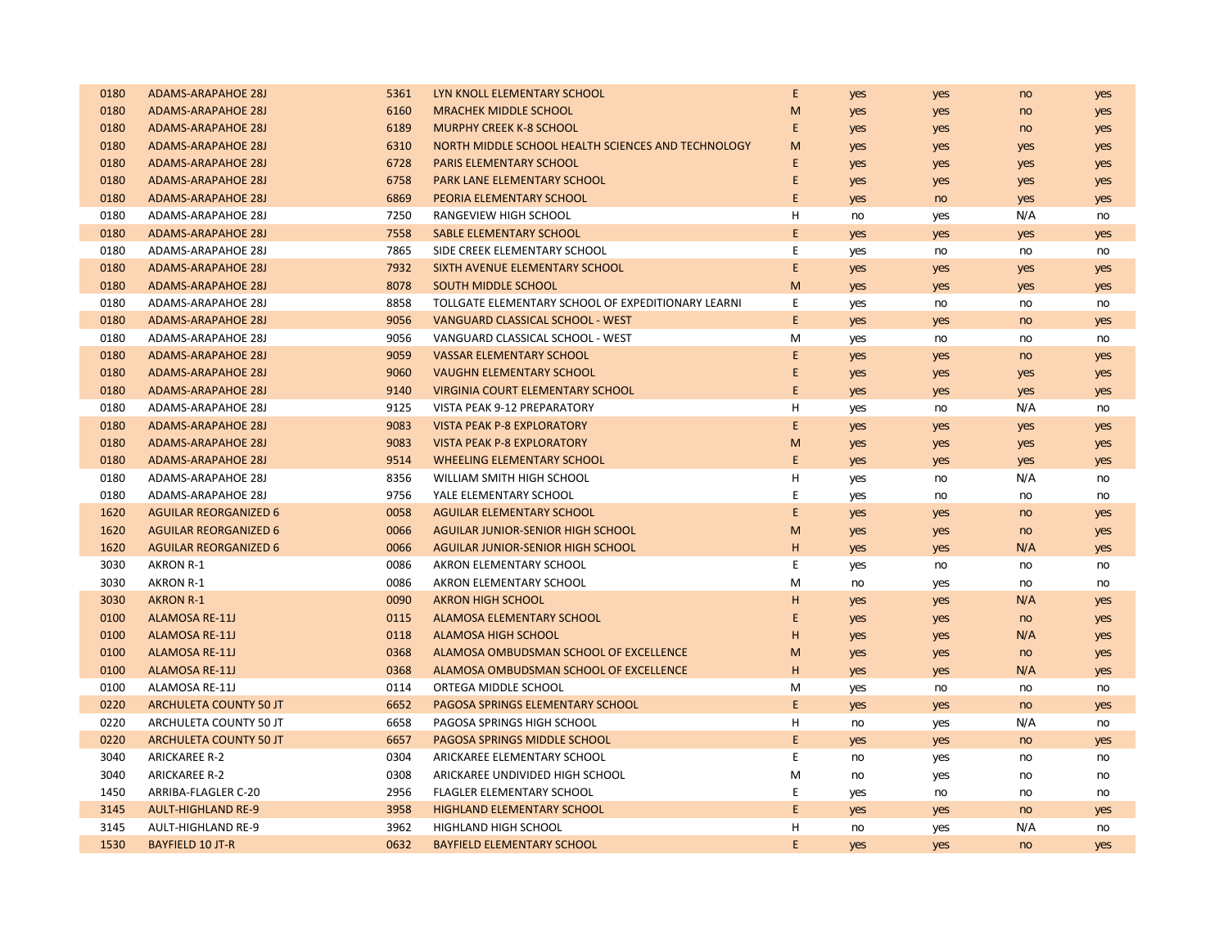| 0180 | <b>ADAMS-ARAPAHOE 28J</b>     | 5361 | LYN KNOLL ELEMENTARY SCHOOL                        | E           | yes | yes | no  | yes |
|------|-------------------------------|------|----------------------------------------------------|-------------|-----|-----|-----|-----|
| 0180 | <b>ADAMS-ARAPAHOE 28J</b>     | 6160 | <b>MRACHEK MIDDLE SCHOOL</b>                       | M           | yes | yes | no  | yes |
| 0180 | <b>ADAMS-ARAPAHOE 28J</b>     | 6189 | <b>MURPHY CREEK K-8 SCHOOL</b>                     | E           | yes | yes | no  | yes |
| 0180 | <b>ADAMS-ARAPAHOE 28J</b>     | 6310 | NORTH MIDDLE SCHOOL HEALTH SCIENCES AND TECHNOLOGY | M           | yes | yes | yes | yes |
| 0180 | <b>ADAMS-ARAPAHOE 28J</b>     | 6728 | <b>PARIS ELEMENTARY SCHOOL</b>                     | E           | yes | yes | yes | yes |
| 0180 | <b>ADAMS-ARAPAHOE 28J</b>     | 6758 | PARK LANE ELEMENTARY SCHOOL                        | E           | yes | yes | yes | yes |
| 0180 | <b>ADAMS-ARAPAHOE 28J</b>     | 6869 | PEORIA ELEMENTARY SCHOOL                           | E           | yes | no  | yes | yes |
| 0180 | ADAMS-ARAPAHOE 28J            | 7250 | RANGEVIEW HIGH SCHOOL                              | H           | no  | yes | N/A | no  |
| 0180 | <b>ADAMS-ARAPAHOE 28J</b>     | 7558 | SABLE ELEMENTARY SCHOOL                            | E           | yes | yes | yes | yes |
| 0180 | ADAMS-ARAPAHOE 28J            | 7865 | SIDE CREEK ELEMENTARY SCHOOL                       | E           | yes | no  | no  | no  |
| 0180 | <b>ADAMS-ARAPAHOE 28J</b>     | 7932 | SIXTH AVENUE ELEMENTARY SCHOOL                     | E           | yes | yes | yes | yes |
| 0180 | <b>ADAMS-ARAPAHOE 28J</b>     | 8078 | <b>SOUTH MIDDLE SCHOOL</b>                         | M           | yes | yes | yes | yes |
| 0180 | ADAMS-ARAPAHOE 28J            | 8858 | TOLLGATE ELEMENTARY SCHOOL OF EXPEDITIONARY LEARNI | E           | yes | no  | no  | no  |
| 0180 | <b>ADAMS-ARAPAHOE 28J</b>     | 9056 | VANGUARD CLASSICAL SCHOOL - WEST                   | E           | yes | yes | no  | yes |
| 0180 | <b>ADAMS-ARAPAHOE 28J</b>     | 9056 | VANGUARD CLASSICAL SCHOOL - WEST                   | M           | yes | no  | no  | no  |
| 0180 | <b>ADAMS-ARAPAHOE 28J</b>     | 9059 | <b>VASSAR ELEMENTARY SCHOOL</b>                    | E           | yes | yes | no  | yes |
| 0180 | <b>ADAMS-ARAPAHOE 28J</b>     | 9060 | <b>VAUGHN ELEMENTARY SCHOOL</b>                    | E           | yes | yes | yes | yes |
| 0180 | <b>ADAMS-ARAPAHOE 28J</b>     | 9140 | <b>VIRGINIA COURT ELEMENTARY SCHOOL</b>            | $\mathsf E$ | yes | yes | yes | yes |
| 0180 | <b>ADAMS-ARAPAHOE 28J</b>     | 9125 | VISTA PEAK 9-12 PREPARATORY                        | Н           | yes | no  | N/A | no  |
| 0180 | <b>ADAMS-ARAPAHOE 28J</b>     | 9083 | <b>VISTA PEAK P-8 EXPLORATORY</b>                  | E           | yes | yes | yes | yes |
| 0180 | <b>ADAMS-ARAPAHOE 28J</b>     | 9083 | <b>VISTA PEAK P-8 EXPLORATORY</b>                  | M           | yes | yes | yes | yes |
| 0180 | <b>ADAMS-ARAPAHOE 28J</b>     | 9514 | <b>WHEELING ELEMENTARY SCHOOL</b>                  | E           | yes | yes | yes | yes |
| 0180 | ADAMS-ARAPAHOE 28J            | 8356 | WILLIAM SMITH HIGH SCHOOL                          | н           | yes | no  | N/A | no  |
| 0180 | ADAMS-ARAPAHOE 28J            | 9756 | YALE ELEMENTARY SCHOOL                             | E           | yes | no  | no  | no  |
| 1620 | <b>AGUILAR REORGANIZED 6</b>  | 0058 | <b>AGUILAR ELEMENTARY SCHOOL</b>                   | E           | yes | yes | no  | yes |
| 1620 | <b>AGUILAR REORGANIZED 6</b>  | 0066 | AGUILAR JUNIOR-SENIOR HIGH SCHOOL                  | M           | yes | yes | no  | yes |
| 1620 | <b>AGUILAR REORGANIZED 6</b>  | 0066 | <b>AGUILAR JUNIOR-SENIOR HIGH SCHOOL</b>           | H           | yes | yes | N/A | yes |
| 3030 | <b>AKRON R-1</b>              | 0086 | AKRON ELEMENTARY SCHOOL                            | E           | yes | no  | no  | no  |
| 3030 | <b>AKRON R-1</b>              | 0086 | AKRON ELEMENTARY SCHOOL                            | M           | no  | yes | no  | no  |
| 3030 | <b>AKRON R-1</b>              | 0090 | <b>AKRON HIGH SCHOOL</b>                           | H           | yes | yes | N/A | yes |
| 0100 | <b>ALAMOSA RE-11J</b>         | 0115 | <b>ALAMOSA ELEMENTARY SCHOOL</b>                   | E           | yes | yes | no  | yes |
| 0100 | <b>ALAMOSA RE-11J</b>         | 0118 | <b>ALAMOSA HIGH SCHOOL</b>                         | H           | yes | yes | N/A | yes |
| 0100 | <b>ALAMOSA RE-11J</b>         | 0368 | ALAMOSA OMBUDSMAN SCHOOL OF EXCELLENCE             | M           | yes | yes | no  | yes |
| 0100 | <b>ALAMOSA RE-11J</b>         | 0368 | ALAMOSA OMBUDSMAN SCHOOL OF EXCELLENCE             | H           | yes | yes | N/A | yes |
| 0100 | ALAMOSA RE-11J                | 0114 | ORTEGA MIDDLE SCHOOL                               | M           | yes | no  | no  | no  |
| 0220 | <b>ARCHULETA COUNTY 50 JT</b> | 6652 | PAGOSA SPRINGS ELEMENTARY SCHOOL                   | E           | yes | yes | no  | yes |
| 0220 | ARCHULETA COUNTY 50 JT        | 6658 | PAGOSA SPRINGS HIGH SCHOOL                         | н           | no  | yes | N/A | no  |
| 0220 | <b>ARCHULETA COUNTY 50 JT</b> | 6657 | PAGOSA SPRINGS MIDDLE SCHOOL                       | E           | yes | yes | no  | yes |
| 3040 | <b>ARICKAREE R-2</b>          | 0304 | ARICKAREE ELEMENTARY SCHOOL                        | Ε           | no  | yes | no  | no  |
| 3040 | <b>ARICKAREE R-2</b>          | 0308 | ARICKAREE UNDIVIDED HIGH SCHOOL                    | M           | no  | yes | no  | no  |
| 1450 | ARRIBA-FLAGLER C-20           | 2956 | <b>FLAGLER ELEMENTARY SCHOOL</b>                   | E           | yes | no  | no  | no  |
| 3145 | <b>AULT-HIGHLAND RE-9</b>     | 3958 | <b>HIGHLAND ELEMENTARY SCHOOL</b>                  | E           | yes | yes | no  | yes |
| 3145 | <b>AULT-HIGHLAND RE-9</b>     | 3962 | <b>HIGHLAND HIGH SCHOOL</b>                        | н           | no  | yes | N/A | no  |
| 1530 | <b>BAYFIELD 10 JT-R</b>       | 0632 | <b>BAYFIELD ELEMENTARY SCHOOL</b>                  | E           | yes | yes | no  | yes |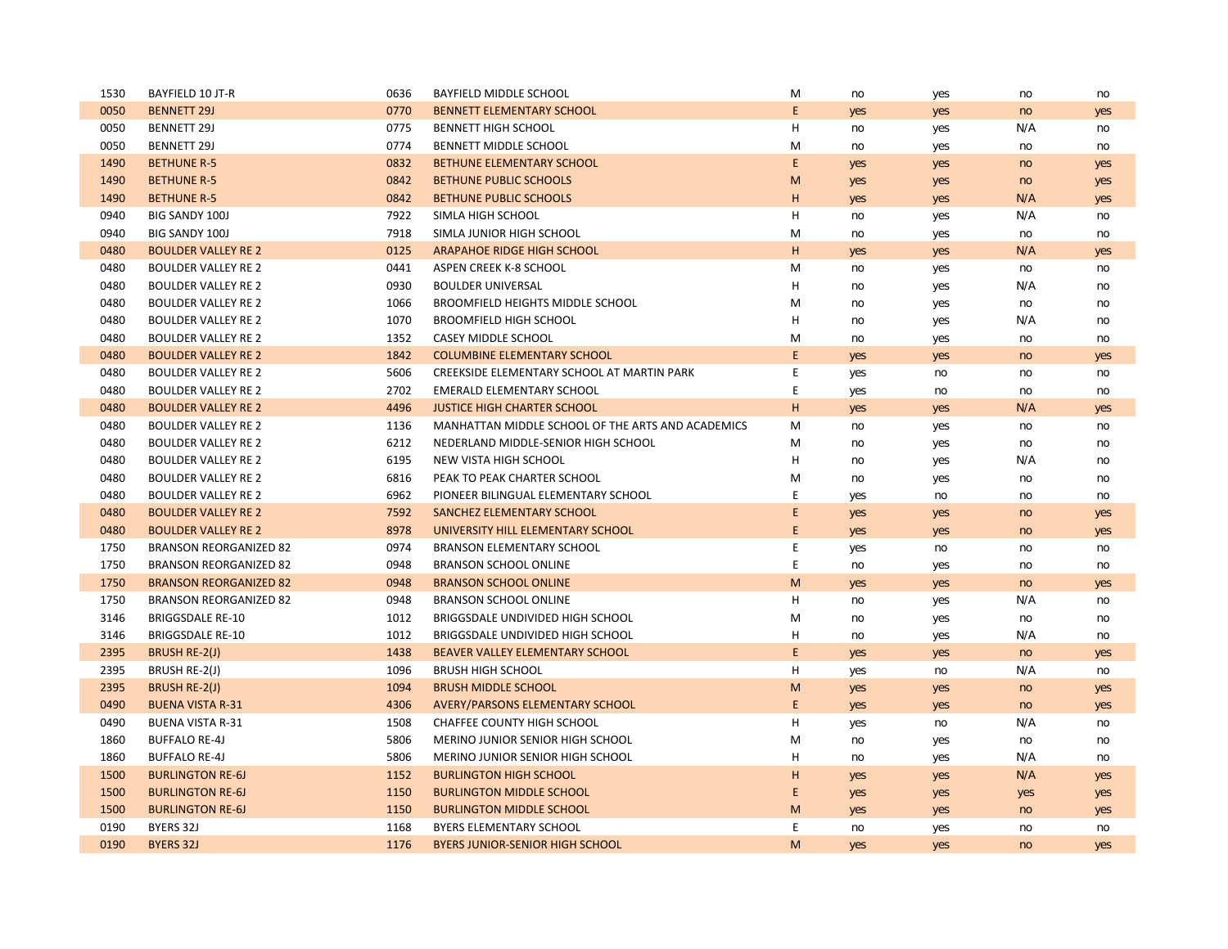| 1530 | BAYFIELD 10 JT-R              | 0636 | BAYFIELD MIDDLE SCHOOL                            | M | no  | yes | no  | no  |
|------|-------------------------------|------|---------------------------------------------------|---|-----|-----|-----|-----|
| 0050 | <b>BENNETT 29J</b>            | 0770 | <b>BENNETT ELEMENTARY SCHOOL</b>                  | E | yes | yes | no  | yes |
| 0050 | <b>BENNETT 29J</b>            | 0775 | <b>BENNETT HIGH SCHOOL</b>                        | H | no  | yes | N/A | no  |
| 0050 | <b>BENNETT 29J</b>            | 0774 | BENNETT MIDDLE SCHOOL                             | M | no  | yes | no  | no  |
| 1490 | <b>BETHUNE R-5</b>            | 0832 | BETHUNE ELEMENTARY SCHOOL                         | E | yes | yes | no  | yes |
| 1490 | <b>BETHUNE R-5</b>            | 0842 | <b>BETHUNE PUBLIC SCHOOLS</b>                     | M | yes | yes | no  | yes |
| 1490 | <b>BETHUNE R-5</b>            | 0842 | <b>BETHUNE PUBLIC SCHOOLS</b>                     | H | yes | yes | N/A | yes |
| 0940 | <b>BIG SANDY 100J</b>         | 7922 | SIMLA HIGH SCHOOL                                 | H | no  | yes | N/A | no  |
| 0940 | <b>BIG SANDY 100J</b>         | 7918 | SIMLA JUNIOR HIGH SCHOOL                          | M | no  | yes | no  | no  |
| 0480 | <b>BOULDER VALLEY RE 2</b>    | 0125 | ARAPAHOE RIDGE HIGH SCHOOL                        | H | yes | yes | N/A | yes |
| 0480 | <b>BOULDER VALLEY RE 2</b>    | 0441 | ASPEN CREEK K-8 SCHOOL                            | M | no  | yes | no  | no  |
| 0480 | <b>BOULDER VALLEY RE 2</b>    | 0930 | <b>BOULDER UNIVERSAL</b>                          | H | no  | yes | N/A | no  |
| 0480 | <b>BOULDER VALLEY RE 2</b>    | 1066 | BROOMFIELD HEIGHTS MIDDLE SCHOOL                  | M | no  | yes | no  | no  |
| 0480 | <b>BOULDER VALLEY RE 2</b>    | 1070 | <b>BROOMFIELD HIGH SCHOOL</b>                     | H | no  | yes | N/A | no  |
| 0480 | <b>BOULDER VALLEY RE 2</b>    | 1352 | CASEY MIDDLE SCHOOL                               | M | no  | yes | no  | no  |
| 0480 | <b>BOULDER VALLEY RE 2</b>    | 1842 | <b>COLUMBINE ELEMENTARY SCHOOL</b>                | E | yes | yes | no  | yes |
| 0480 | <b>BOULDER VALLEY RE 2</b>    | 5606 | CREEKSIDE ELEMENTARY SCHOOL AT MARTIN PARK        | E | yes | no  | no  | no  |
| 0480 | <b>BOULDER VALLEY RE 2</b>    | 2702 | EMERALD ELEMENTARY SCHOOL                         | Ε | yes | no  | no  | no  |
| 0480 | <b>BOULDER VALLEY RE 2</b>    | 4496 | <b>JUSTICE HIGH CHARTER SCHOOL</b>                | H | yes | yes | N/A | yes |
| 0480 | <b>BOULDER VALLEY RE 2</b>    | 1136 | MANHATTAN MIDDLE SCHOOL OF THE ARTS AND ACADEMICS | M | no  | yes | no  | no  |
| 0480 | <b>BOULDER VALLEY RE 2</b>    | 6212 | NEDERLAND MIDDLE-SENIOR HIGH SCHOOL               | M | no  | yes | no  | no  |
| 0480 | <b>BOULDER VALLEY RE 2</b>    | 6195 | NEW VISTA HIGH SCHOOL                             | H | no  | yes | N/A | no  |
| 0480 | <b>BOULDER VALLEY RE 2</b>    | 6816 | PEAK TO PEAK CHARTER SCHOOL                       | M | no  | yes | no  | no  |
| 0480 | <b>BOULDER VALLEY RE 2</b>    | 6962 | PIONEER BILINGUAL ELEMENTARY SCHOOL               | Е | yes | no  | no  | no  |
| 0480 | <b>BOULDER VALLEY RE 2</b>    | 7592 | SANCHEZ ELEMENTARY SCHOOL                         | E | yes | yes | no  | yes |
| 0480 | <b>BOULDER VALLEY RE 2</b>    | 8978 | UNIVERSITY HILL ELEMENTARY SCHOOL                 | E | yes | yes | no  | yes |
| 1750 | <b>BRANSON REORGANIZED 82</b> | 0974 | <b>BRANSON ELEMENTARY SCHOOL</b>                  | E | yes | no  | no  | no  |
| 1750 | <b>BRANSON REORGANIZED 82</b> | 0948 | <b>BRANSON SCHOOL ONLINE</b>                      | E | no  | yes | no  | no  |
| 1750 | <b>BRANSON REORGANIZED 82</b> | 0948 | <b>BRANSON SCHOOL ONLINE</b>                      | M | yes | yes | no  | yes |
| 1750 | <b>BRANSON REORGANIZED 82</b> | 0948 | <b>BRANSON SCHOOL ONLINE</b>                      | H | no  | yes | N/A | no  |
| 3146 | <b>BRIGGSDALE RE-10</b>       | 1012 | BRIGGSDALE UNDIVIDED HIGH SCHOOL                  | M | no  | yes | no  | no  |
| 3146 | <b>BRIGGSDALE RE-10</b>       | 1012 | BRIGGSDALE UNDIVIDED HIGH SCHOOL                  | H | no  | yes | N/A | no  |
| 2395 | BRUSH RE-2(J)                 | 1438 | BEAVER VALLEY ELEMENTARY SCHOOL                   | E | yes | yes | no  | yes |
| 2395 | BRUSH RE-2(J)                 | 1096 | <b>BRUSH HIGH SCHOOL</b>                          | H | yes | no  | N/A | no  |
| 2395 | <b>BRUSH RE-2(J)</b>          | 1094 | <b>BRUSH MIDDLE SCHOOL</b>                        | M | yes | yes | no  | yes |
| 0490 | <b>BUENA VISTA R-31</b>       | 4306 | <b>AVERY/PARSONS ELEMENTARY SCHOOL</b>            | E | yes | yes | no  | yes |
| 0490 | <b>BUENA VISTA R-31</b>       | 1508 | CHAFFEE COUNTY HIGH SCHOOL                        | H | yes | no  | N/A | no  |
| 1860 | <b>BUFFALO RE-4J</b>          | 5806 | MERINO JUNIOR SENIOR HIGH SCHOOL                  | M | no  | yes | no  | no  |
| 1860 | <b>BUFFALO RE-4J</b>          | 5806 | <b>MERINO JUNIOR SENIOR HIGH SCHOOL</b>           | H | no  | yes | N/A | no  |
| 1500 | <b>BURLINGTON RE-6J</b>       | 1152 | <b>BURLINGTON HIGH SCHOOL</b>                     | н | yes | yes | N/A | yes |
| 1500 | <b>BURLINGTON RE-6J</b>       | 1150 | <b>BURLINGTON MIDDLE SCHOOL</b>                   | E | yes | yes | yes | yes |
| 1500 | <b>BURLINGTON RE-6J</b>       | 1150 | <b>BURLINGTON MIDDLE SCHOOL</b>                   | M | yes | yes | no  | yes |
| 0190 | BYERS 32J                     | 1168 | <b>BYERS ELEMENTARY SCHOOL</b>                    | E | no  | yes | no  | no  |
| 0190 | <b>BYERS 32J</b>              | 1176 | <b>BYERS JUNIOR-SENIOR HIGH SCHOOL</b>            | M | yes | yes | no  | yes |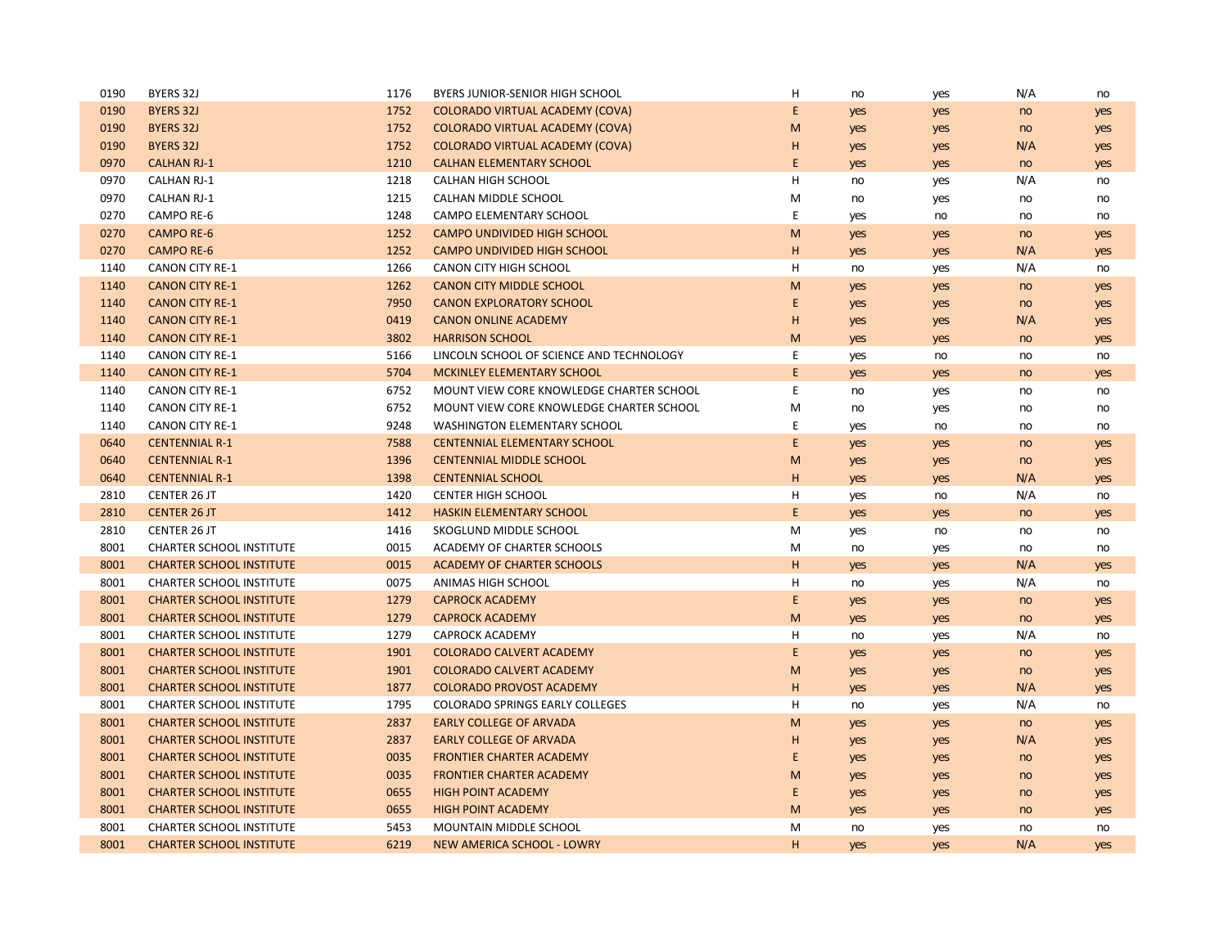| 0190 | BYERS 32J                       | 1176 | BYERS JUNIOR-SENIOR HIGH SCHOOL          | н | no  | yes | N/A | no  |
|------|---------------------------------|------|------------------------------------------|---|-----|-----|-----|-----|
| 0190 | <b>BYERS 32J</b>                | 1752 | <b>COLORADO VIRTUAL ACADEMY (COVA)</b>   | E | yes | yes | no  | yes |
| 0190 | <b>BYERS 32J</b>                | 1752 | <b>COLORADO VIRTUAL ACADEMY (COVA)</b>   | M | yes | yes | no  | yes |
| 0190 | <b>BYERS 32J</b>                | 1752 | <b>COLORADO VIRTUAL ACADEMY (COVA)</b>   | H | yes | yes | N/A | yes |
| 0970 | <b>CALHAN RJ-1</b>              | 1210 | <b>CALHAN ELEMENTARY SCHOOL</b>          | E | yes | yes | no  | yes |
| 0970 | <b>CALHAN RJ-1</b>              | 1218 | <b>CALHAN HIGH SCHOOL</b>                | н | no  | yes | N/A | no  |
| 0970 | <b>CALHAN RJ-1</b>              | 1215 | CALHAN MIDDLE SCHOOL                     | M | no  | yes | no  | no  |
| 0270 | CAMPO RE-6                      | 1248 | <b>CAMPO ELEMENTARY SCHOOL</b>           | E | yes | no  | no  | no  |
| 0270 | <b>CAMPO RE-6</b>               | 1252 | <b>CAMPO UNDIVIDED HIGH SCHOOL</b>       | M | yes | yes | no  | yes |
| 0270 | <b>CAMPO RE-6</b>               | 1252 | CAMPO UNDIVIDED HIGH SCHOOL              | н | yes | yes | N/A | yes |
| 1140 | <b>CANON CITY RE-1</b>          | 1266 | <b>CANON CITY HIGH SCHOOL</b>            | н | no  | yes | N/A | no  |
| 1140 | <b>CANON CITY RE-1</b>          | 1262 | <b>CANON CITY MIDDLE SCHOOL</b>          | M | yes | yes | no  | yes |
| 1140 | <b>CANON CITY RE-1</b>          | 7950 | <b>CANON EXPLORATORY SCHOOL</b>          | Ε | yes | yes | no  | yes |
| 1140 | <b>CANON CITY RE-1</b>          | 0419 | <b>CANON ONLINE ACADEMY</b>              | H | yes | yes | N/A | yes |
| 1140 | <b>CANON CITY RE-1</b>          | 3802 | <b>HARRISON SCHOOL</b>                   | M | yes | yes | no  | yes |
| 1140 | <b>CANON CITY RE-1</b>          | 5166 | LINCOLN SCHOOL OF SCIENCE AND TECHNOLOGY | E | yes | no  | no  | no  |
| 1140 | <b>CANON CITY RE-1</b>          | 5704 | <b>MCKINLEY ELEMENTARY SCHOOL</b>        | E | yes | yes | no  | yes |
| 1140 | <b>CANON CITY RE-1</b>          | 6752 | MOUNT VIEW CORE KNOWLEDGE CHARTER SCHOOL | E | no  | yes | no  | no  |
| 1140 | <b>CANON CITY RE-1</b>          | 6752 | MOUNT VIEW CORE KNOWLEDGE CHARTER SCHOOL | M | no  | yes | no  | no  |
| 1140 | <b>CANON CITY RE-1</b>          | 9248 | WASHINGTON ELEMENTARY SCHOOL             | E | yes | no  | no  | no  |
| 0640 | <b>CENTENNIAL R-1</b>           | 7588 | <b>CENTENNIAL ELEMENTARY SCHOOL</b>      | E | yes | yes | no  | yes |
| 0640 | <b>CENTENNIAL R-1</b>           | 1396 | <b>CENTENNIAL MIDDLE SCHOOL</b>          | M | yes | yes | no  | yes |
| 0640 | <b>CENTENNIAL R-1</b>           | 1398 | <b>CENTENNIAL SCHOOL</b>                 | н | yes | yes | N/A | yes |
| 2810 | <b>CENTER 26 JT</b>             | 1420 | <b>CENTER HIGH SCHOOL</b>                | н | yes | no  | N/A | no  |
| 2810 | <b>CENTER 26 JT</b>             | 1412 | <b>HASKIN ELEMENTARY SCHOOL</b>          | E | yes | yes | no  | yes |
| 2810 | CENTER 26 JT                    | 1416 | SKOGLUND MIDDLE SCHOOL                   | М | yes | no  | no  | no  |
| 8001 | <b>CHARTER SCHOOL INSTITUTE</b> | 0015 | ACADEMY OF CHARTER SCHOOLS               | M | no  | yes | no  | no  |
| 8001 | <b>CHARTER SCHOOL INSTITUTE</b> | 0015 | <b>ACADEMY OF CHARTER SCHOOLS</b>        | н | yes | yes | N/A | yes |
| 8001 | <b>CHARTER SCHOOL INSTITUTE</b> | 0075 | ANIMAS HIGH SCHOOL                       | н | no  | yes | N/A | no  |
| 8001 | <b>CHARTER SCHOOL INSTITUTE</b> | 1279 | <b>CAPROCK ACADEMY</b>                   | E | yes | yes | no  | yes |
| 8001 | <b>CHARTER SCHOOL INSTITUTE</b> | 1279 | <b>CAPROCK ACADEMY</b>                   | M | yes | yes | no  | yes |
| 8001 | <b>CHARTER SCHOOL INSTITUTE</b> | 1279 | <b>CAPROCK ACADEMY</b>                   | н | no  | yes | N/A | no  |
| 8001 | <b>CHARTER SCHOOL INSTITUTE</b> | 1901 | <b>COLORADO CALVERT ACADEMY</b>          | E | yes | yes | no  | yes |
| 8001 | <b>CHARTER SCHOOL INSTITUTE</b> | 1901 | <b>COLORADO CALVERT ACADEMY</b>          | M | yes | yes | no  | yes |
| 8001 | <b>CHARTER SCHOOL INSTITUTE</b> | 1877 | <b>COLORADO PROVOST ACADEMY</b>          | H | yes | yes | N/A | yes |
| 8001 | <b>CHARTER SCHOOL INSTITUTE</b> | 1795 | <b>COLORADO SPRINGS EARLY COLLEGES</b>   | н | no  | yes | N/A | no  |
| 8001 | <b>CHARTER SCHOOL INSTITUTE</b> | 2837 | <b>EARLY COLLEGE OF ARVADA</b>           | M | yes | yes | no  | yes |
| 8001 | <b>CHARTER SCHOOL INSTITUTE</b> | 2837 | <b>EARLY COLLEGE OF ARVADA</b>           | H | yes | yes | N/A | yes |
| 8001 | <b>CHARTER SCHOOL INSTITUTE</b> | 0035 | <b>FRONTIER CHARTER ACADEMY</b>          | E | yes | yes | no  | yes |
| 8001 | <b>CHARTER SCHOOL INSTITUTE</b> | 0035 | <b>FRONTIER CHARTER ACADEMY</b>          | M | yes | yes | no  | yes |
| 8001 | <b>CHARTER SCHOOL INSTITUTE</b> | 0655 | <b>HIGH POINT ACADEMY</b>                | E | yes | yes | no  | yes |
| 8001 | <b>CHARTER SCHOOL INSTITUTE</b> | 0655 | <b>HIGH POINT ACADEMY</b>                | M | yes | yes | no  | yes |
| 8001 | <b>CHARTER SCHOOL INSTITUTE</b> | 5453 | <b>MOUNTAIN MIDDLE SCHOOL</b>            | м | no  | yes | no  | no  |
| 8001 | <b>CHARTER SCHOOL INSTITUTE</b> | 6219 | <b>NEW AMERICA SCHOOL - LOWRY</b>        | H | yes | yes | N/A | yes |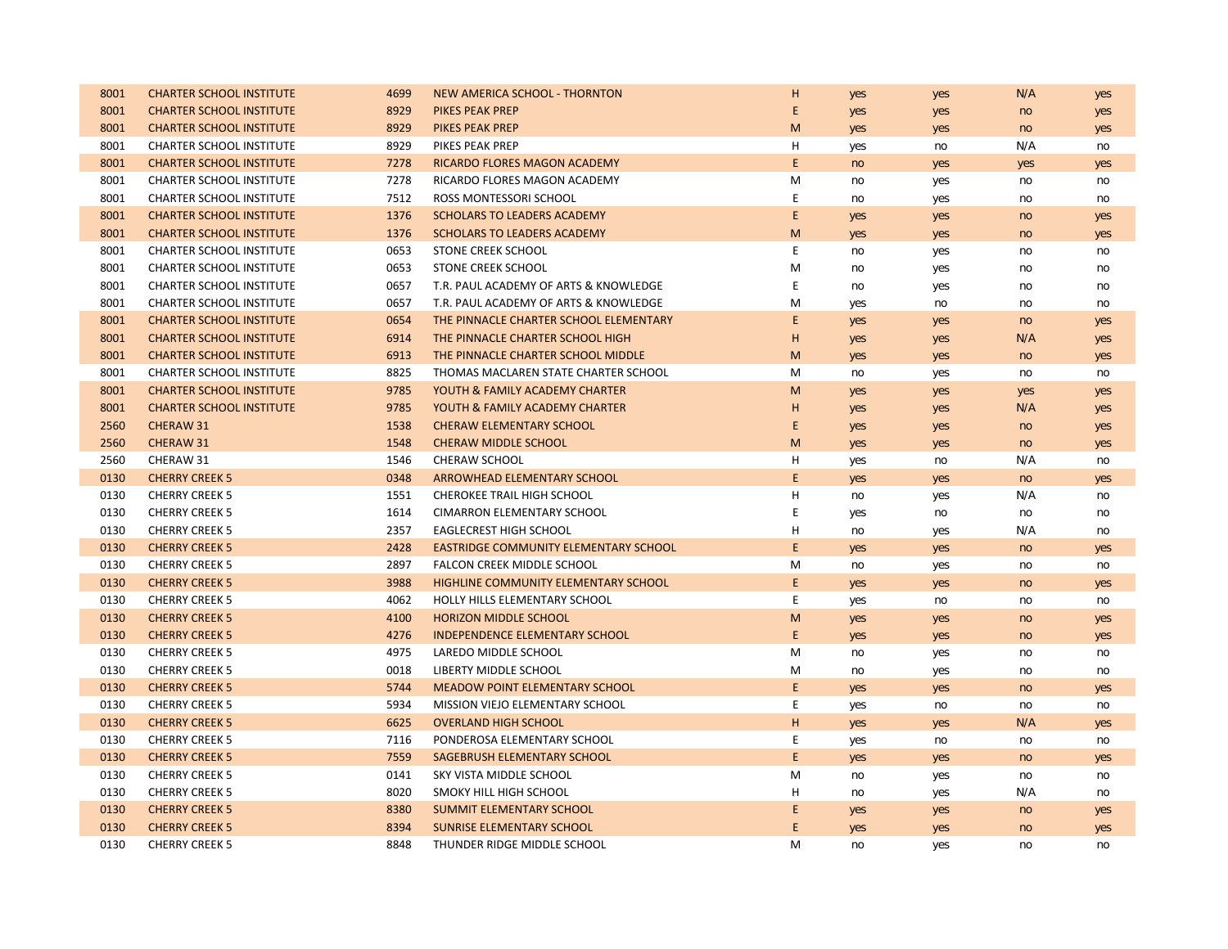| 8001 | <b>CHARTER SCHOOL INSTITUTE</b> | 4699 | NEW AMERICA SCHOOL - THORNTON          | н           | yes | yes | N/A | yes |
|------|---------------------------------|------|----------------------------------------|-------------|-----|-----|-----|-----|
| 8001 | <b>CHARTER SCHOOL INSTITUTE</b> | 8929 | <b>PIKES PEAK PREP</b>                 | E           | yes | yes | no  | yes |
| 8001 | <b>CHARTER SCHOOL INSTITUTE</b> | 8929 | <b>PIKES PEAK PREP</b>                 | M           | yes | yes | no  | yes |
| 8001 | <b>CHARTER SCHOOL INSTITUTE</b> | 8929 | PIKES PEAK PREP                        | Η           | yes | no  | N/A | no  |
| 8001 | <b>CHARTER SCHOOL INSTITUTE</b> | 7278 | RICARDO FLORES MAGON ACADEMY           | E           | no  | yes | yes | yes |
| 8001 | <b>CHARTER SCHOOL INSTITUTE</b> | 7278 | RICARDO FLORES MAGON ACADEMY           | M           | no  | yes | no  | no  |
| 8001 | <b>CHARTER SCHOOL INSTITUTE</b> | 7512 | ROSS MONTESSORI SCHOOL                 | $\mathsf E$ | no  | yes | no  | no  |
| 8001 | <b>CHARTER SCHOOL INSTITUTE</b> | 1376 | <b>SCHOLARS TO LEADERS ACADEMY</b>     | E           | yes | yes | no  | yes |
| 8001 | <b>CHARTER SCHOOL INSTITUTE</b> | 1376 | <b>SCHOLARS TO LEADERS ACADEMY</b>     | M           | yes | yes | no  | yes |
| 8001 | <b>CHARTER SCHOOL INSTITUTE</b> | 0653 | <b>STONE CREEK SCHOOL</b>              | E           | no  | yes | no  | no  |
| 8001 | <b>CHARTER SCHOOL INSTITUTE</b> | 0653 | <b>STONE CREEK SCHOOL</b>              | M           | no  | yes | no  | no  |
| 8001 | <b>CHARTER SCHOOL INSTITUTE</b> | 0657 | T.R. PAUL ACADEMY OF ARTS & KNOWLEDGE  | E           | no  | yes | no  | no  |
| 8001 | <b>CHARTER SCHOOL INSTITUTE</b> | 0657 | T.R. PAUL ACADEMY OF ARTS & KNOWLEDGE  | M           | yes | no  | no  | no  |
| 8001 | <b>CHARTER SCHOOL INSTITUTE</b> | 0654 | THE PINNACLE CHARTER SCHOOL ELEMENTARY | E           | yes | yes | no  | yes |
| 8001 | <b>CHARTER SCHOOL INSTITUTE</b> | 6914 | THE PINNACLE CHARTER SCHOOL HIGH       | н           | yes | yes | N/A | yes |
| 8001 | <b>CHARTER SCHOOL INSTITUTE</b> | 6913 | THE PINNACLE CHARTER SCHOOL MIDDLE     | M           | yes | yes | no  | yes |
| 8001 | <b>CHARTER SCHOOL INSTITUTE</b> | 8825 | THOMAS MACLAREN STATE CHARTER SCHOOL   | M           | no  | yes | no  | no  |
| 8001 | <b>CHARTER SCHOOL INSTITUTE</b> | 9785 | YOUTH & FAMILY ACADEMY CHARTER         | M           | yes | yes | yes | yes |
| 8001 | <b>CHARTER SCHOOL INSTITUTE</b> | 9785 | YOUTH & FAMILY ACADEMY CHARTER         | н           | yes | yes | N/A | yes |
| 2560 | CHERAW 31                       | 1538 | <b>CHERAW ELEMENTARY SCHOOL</b>        | E           | yes | yes | no  | yes |
| 2560 | CHERAW 31                       | 1548 | <b>CHERAW MIDDLE SCHOOL</b>            | M           | yes | yes | no  | yes |
| 2560 | CHERAW 31                       | 1546 | <b>CHERAW SCHOOL</b>                   | н           | yes | no  | N/A | no  |
| 0130 | <b>CHERRY CREEK 5</b>           | 0348 | ARROWHEAD ELEMENTARY SCHOOL            | E           | yes | yes | no  | yes |
| 0130 | <b>CHERRY CREEK 5</b>           | 1551 | CHEROKEE TRAIL HIGH SCHOOL             | Н           | no  | yes | N/A | no  |
| 0130 | <b>CHERRY CREEK 5</b>           | 1614 | <b>CIMARRON ELEMENTARY SCHOOL</b>      | E           | yes | no  | no  | no  |
| 0130 | <b>CHERRY CREEK 5</b>           | 2357 | <b>EAGLECREST HIGH SCHOOL</b>          | н           | no  | yes | N/A | no  |
| 0130 | <b>CHERRY CREEK 5</b>           | 2428 | EASTRIDGE COMMUNITY ELEMENTARY SCHOOL  | E           | yes | yes | no  | yes |
| 0130 | <b>CHERRY CREEK 5</b>           | 2897 | FALCON CREEK MIDDLE SCHOOL             | M           | no  | yes | no  | no  |
| 0130 | <b>CHERRY CREEK 5</b>           | 3988 | HIGHLINE COMMUNITY ELEMENTARY SCHOOL   | E           | yes | yes | no  | yes |
| 0130 | <b>CHERRY CREEK 5</b>           | 4062 | HOLLY HILLS ELEMENTARY SCHOOL          | E           | yes | no  | no  | no  |
| 0130 | <b>CHERRY CREEK 5</b>           | 4100 | <b>HORIZON MIDDLE SCHOOL</b>           | M           | yes | yes | no  | yes |
| 0130 | <b>CHERRY CREEK 5</b>           | 4276 | <b>INDEPENDENCE ELEMENTARY SCHOOL</b>  | E           | yes | yes | no  | yes |
| 0130 | <b>CHERRY CREEK 5</b>           | 4975 | LAREDO MIDDLE SCHOOL                   | M           | no  | yes | no  | no  |
| 0130 | <b>CHERRY CREEK 5</b>           | 0018 | LIBERTY MIDDLE SCHOOL                  | M           | no  | yes | no  | no  |
| 0130 | <b>CHERRY CREEK 5</b>           | 5744 | <b>MEADOW POINT ELEMENTARY SCHOOL</b>  | E           | yes | yes | no  | yes |
| 0130 | <b>CHERRY CREEK 5</b>           | 5934 | MISSION VIEJO ELEMENTARY SCHOOL        | E           | yes | no  | no  | no  |
| 0130 | <b>CHERRY CREEK 5</b>           | 6625 | <b>OVERLAND HIGH SCHOOL</b>            | H           | yes | yes | N/A | yes |
| 0130 | <b>CHERRY CREEK 5</b>           | 7116 | PONDEROSA ELEMENTARY SCHOOL            | E           | yes | no  | no  | no  |
| 0130 | <b>CHERRY CREEK 5</b>           | 7559 | SAGEBRUSH ELEMENTARY SCHOOL            | E           | yes | yes | no  | yes |
| 0130 | <b>CHERRY CREEK 5</b>           | 0141 | SKY VISTA MIDDLE SCHOOL                | M           | no  | yes | no  | no  |
| 0130 | <b>CHERRY CREEK 5</b>           | 8020 | SMOKY HILL HIGH SCHOOL                 | Н           | no  | yes | N/A | no  |
| 0130 | <b>CHERRY CREEK 5</b>           | 8380 | SUMMIT ELEMENTARY SCHOOL               | E           | yes | yes | no  | yes |
| 0130 | <b>CHERRY CREEK 5</b>           | 8394 | <b>SUNRISE ELEMENTARY SCHOOL</b>       | E           | yes | yes | no  | yes |
| 0130 | <b>CHERRY CREEK 5</b>           | 8848 | THUNDER RIDGE MIDDLE SCHOOL            | M           | no  | yes | no  | no  |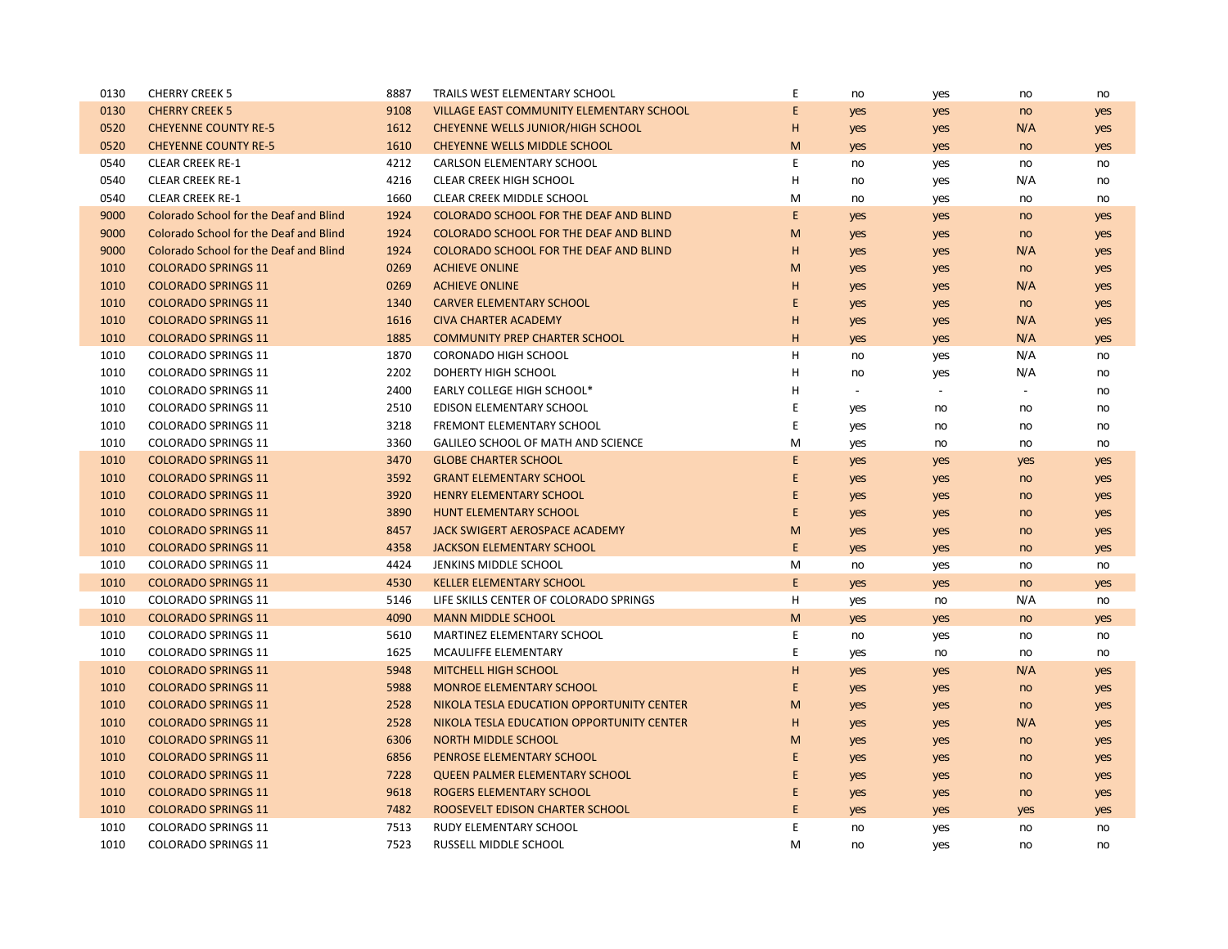| 0130 | <b>CHERRY CREEK 5</b>                         | 8887 | TRAILS WEST ELEMENTARY SCHOOL                 | E | no     | yes            | no             | no  |
|------|-----------------------------------------------|------|-----------------------------------------------|---|--------|----------------|----------------|-----|
| 0130 | <b>CHERRY CREEK 5</b>                         | 9108 | VILLAGE EAST COMMUNITY ELEMENTARY SCHOOL      | E | yes    | yes            | no             | yes |
| 0520 | <b>CHEYENNE COUNTY RE-5</b>                   | 1612 | CHEYENNE WELLS JUNIOR/HIGH SCHOOL             | н | yes    | yes            | N/A            | yes |
| 0520 | <b>CHEYENNE COUNTY RE-5</b>                   | 1610 | CHEYENNE WELLS MIDDLE SCHOOL                  | M | yes    | yes            | no             | yes |
| 0540 | <b>CLEAR CREEK RE-1</b>                       | 4212 | <b>CARLSON ELEMENTARY SCHOOL</b>              | E | no     | yes            | no             | no  |
| 0540 | <b>CLEAR CREEK RE-1</b>                       | 4216 | <b>CLEAR CREEK HIGH SCHOOL</b>                | н | no     | yes            | N/A            | no  |
| 0540 | <b>CLEAR CREEK RE-1</b>                       | 1660 | CLEAR CREEK MIDDLE SCHOOL                     | M | no     | yes            | no             | no  |
| 9000 | Colorado School for the Deaf and Blind        | 1924 | COLORADO SCHOOL FOR THE DEAF AND BLIND        | E | yes    | yes            | no             | yes |
| 9000 | <b>Colorado School for the Deaf and Blind</b> | 1924 | <b>COLORADO SCHOOL FOR THE DEAF AND BLIND</b> | M | yes    | yes            | no             | yes |
| 9000 | Colorado School for the Deaf and Blind        | 1924 | <b>COLORADO SCHOOL FOR THE DEAF AND BLIND</b> | н | yes    | yes            | N/A            | yes |
| 1010 | <b>COLORADO SPRINGS 11</b>                    | 0269 | <b>ACHIEVE ONLINE</b>                         | M | yes    | yes            | no             | yes |
| 1010 | <b>COLORADO SPRINGS 11</b>                    | 0269 | <b>ACHIEVE ONLINE</b>                         | H | yes    | yes            | N/A            | yes |
| 1010 | <b>COLORADO SPRINGS 11</b>                    | 1340 | <b>CARVER ELEMENTARY SCHOOL</b>               | E | yes    | yes            | no             | yes |
| 1010 | <b>COLORADO SPRINGS 11</b>                    | 1616 | <b>CIVA CHARTER ACADEMY</b>                   | H | yes    | yes            | N/A            | yes |
| 1010 | <b>COLORADO SPRINGS 11</b>                    | 1885 | <b>COMMUNITY PREP CHARTER SCHOOL</b>          | H | yes    | yes            | N/A            | yes |
| 1010 | <b>COLORADO SPRINGS 11</b>                    | 1870 | <b>CORONADO HIGH SCHOOL</b>                   | н | no     | yes            | N/A            | no  |
| 1010 | <b>COLORADO SPRINGS 11</b>                    | 2202 | DOHERTY HIGH SCHOOL                           | H | no     | yes            | N/A            | no  |
| 1010 | <b>COLORADO SPRINGS 11</b>                    | 2400 | <b>EARLY COLLEGE HIGH SCHOOL*</b>             | H | $\sim$ | $\blacksquare$ | $\blacksquare$ | no  |
| 1010 | <b>COLORADO SPRINGS 11</b>                    | 2510 | EDISON ELEMENTARY SCHOOL                      | E | yes    | no             | no             | no  |
| 1010 | <b>COLORADO SPRINGS 11</b>                    | 3218 | <b>FREMONT ELEMENTARY SCHOOL</b>              | E | yes    | no             | no             | no  |
| 1010 | <b>COLORADO SPRINGS 11</b>                    | 3360 | GALILEO SCHOOL OF MATH AND SCIENCE            | M | yes    | no             | no             | no  |
| 1010 | <b>COLORADO SPRINGS 11</b>                    | 3470 | <b>GLOBE CHARTER SCHOOL</b>                   | E | yes    | yes            | yes            | yes |
| 1010 | <b>COLORADO SPRINGS 11</b>                    | 3592 | <b>GRANT ELEMENTARY SCHOOL</b>                | E | yes    | yes            | no             | yes |
| 1010 | <b>COLORADO SPRINGS 11</b>                    | 3920 | <b>HENRY ELEMENTARY SCHOOL</b>                | E | yes    | yes            | no             | yes |
| 1010 | <b>COLORADO SPRINGS 11</b>                    | 3890 | <b>HUNT ELEMENTARY SCHOOL</b>                 | E | yes    | yes            | no             | yes |
| 1010 | <b>COLORADO SPRINGS 11</b>                    | 8457 | JACK SWIGERT AEROSPACE ACADEMY                | M | yes    | yes            | no             | yes |
| 1010 | <b>COLORADO SPRINGS 11</b>                    | 4358 | <b>JACKSON ELEMENTARY SCHOOL</b>              | E | yes    | yes            | no             | yes |
| 1010 | <b>COLORADO SPRINGS 11</b>                    | 4424 | JENKINS MIDDLE SCHOOL                         | M | no     | yes            | no             | no  |
| 1010 | <b>COLORADO SPRINGS 11</b>                    | 4530 | <b>KELLER ELEMENTARY SCHOOL</b>               | E | yes    | yes            | no             | yes |
| 1010 | <b>COLORADO SPRINGS 11</b>                    | 5146 | LIFE SKILLS CENTER OF COLORADO SPRINGS        | н | yes    | no             | N/A            | no  |
| 1010 | <b>COLORADO SPRINGS 11</b>                    | 4090 | <b>MANN MIDDLE SCHOOL</b>                     | M | yes    | yes            | no             | yes |
| 1010 | <b>COLORADO SPRINGS 11</b>                    | 5610 | MARTINEZ ELEMENTARY SCHOOL                    | E | no     | yes            | no             | no  |
| 1010 | <b>COLORADO SPRINGS 11</b>                    | 1625 | MCAULIFFE ELEMENTARY                          | E | yes    | no             | no             | no  |
| 1010 | <b>COLORADO SPRINGS 11</b>                    | 5948 | MITCHELL HIGH SCHOOL                          | H | yes    | yes            | N/A            | yes |
| 1010 | <b>COLORADO SPRINGS 11</b>                    | 5988 | <b>MONROE ELEMENTARY SCHOOL</b>               | E | yes    | yes            | no             | yes |
| 1010 | <b>COLORADO SPRINGS 11</b>                    | 2528 | NIKOLA TESLA EDUCATION OPPORTUNITY CENTER     | M | yes    | yes            | no             | yes |
| 1010 | <b>COLORADO SPRINGS 11</b>                    | 2528 | NIKOLA TESLA EDUCATION OPPORTUNITY CENTER     | н | yes    | yes            | N/A            | yes |
| 1010 | <b>COLORADO SPRINGS 11</b>                    | 6306 | <b>NORTH MIDDLE SCHOOL</b>                    | M | yes    | yes            | no             | yes |
| 1010 | <b>COLORADO SPRINGS 11</b>                    | 6856 | PENROSE ELEMENTARY SCHOOL                     | E | yes    | yes            | no             | yes |
| 1010 | <b>COLORADO SPRINGS 11</b>                    | 7228 | <b>QUEEN PALMER ELEMENTARY SCHOOL</b>         | E | yes    | yes            | no             | yes |
| 1010 | <b>COLORADO SPRINGS 11</b>                    | 9618 | <b>ROGERS ELEMENTARY SCHOOL</b>               | E | yes    | yes            | no             | yes |
| 1010 | <b>COLORADO SPRINGS 11</b>                    | 7482 | ROOSEVELT EDISON CHARTER SCHOOL               | E | yes    | yes            | yes            | yes |
| 1010 | <b>COLORADO SPRINGS 11</b>                    | 7513 | <b>RUDY ELEMENTARY SCHOOL</b>                 | E | no     | yes            | no             | no  |
| 1010 | <b>COLORADO SPRINGS 11</b>                    | 7523 | RUSSELL MIDDLE SCHOOL                         | M | no     | yes            | no             | no  |
|      |                                               |      |                                               |   |        |                |                |     |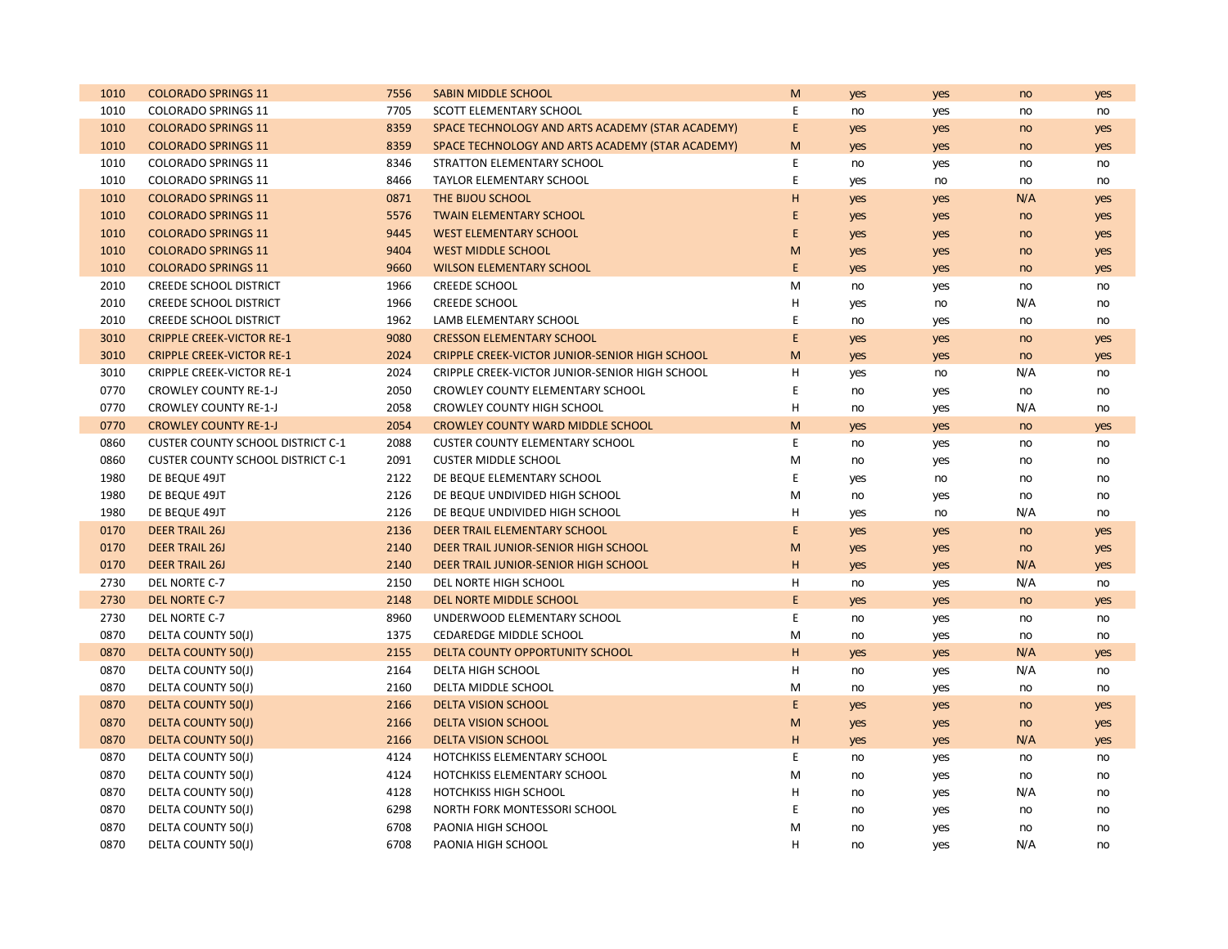| 1010 | <b>COLORADO SPRINGS 11</b>               | 7556 | <b>SABIN MIDDLE SCHOOL</b>                       | M  | yes | yes | no  | yes |
|------|------------------------------------------|------|--------------------------------------------------|----|-----|-----|-----|-----|
| 1010 | <b>COLORADO SPRINGS 11</b>               | 7705 | <b>SCOTT ELEMENTARY SCHOOL</b>                   | E  | no  | yes | no  | no  |
| 1010 | <b>COLORADO SPRINGS 11</b>               | 8359 | SPACE TECHNOLOGY AND ARTS ACADEMY (STAR ACADEMY) | E. | yes | yes | no  | yes |
| 1010 | <b>COLORADO SPRINGS 11</b>               | 8359 | SPACE TECHNOLOGY AND ARTS ACADEMY (STAR ACADEMY) | M  | yes | yes | no  | yes |
| 1010 | <b>COLORADO SPRINGS 11</b>               | 8346 | STRATTON ELEMENTARY SCHOOL                       | E  | no  | yes | no  | no  |
| 1010 | <b>COLORADO SPRINGS 11</b>               | 8466 | <b>TAYLOR ELEMENTARY SCHOOL</b>                  | E  | yes | no  | no  | no  |
| 1010 | <b>COLORADO SPRINGS 11</b>               | 0871 | THE BIJOU SCHOOL                                 | H  | yes | yes | N/A | yes |
| 1010 | <b>COLORADO SPRINGS 11</b>               | 5576 | <b>TWAIN ELEMENTARY SCHOOL</b>                   | E  | yes | yes | no  | yes |
| 1010 | <b>COLORADO SPRINGS 11</b>               | 9445 | <b>WEST ELEMENTARY SCHOOL</b>                    | E  | yes | yes | no  | yes |
| 1010 | <b>COLORADO SPRINGS 11</b>               | 9404 | <b>WEST MIDDLE SCHOOL</b>                        | M  | yes | yes | no  | yes |
| 1010 | <b>COLORADO SPRINGS 11</b>               | 9660 | <b>WILSON ELEMENTARY SCHOOL</b>                  | E  | yes | yes | no  | yes |
| 2010 | <b>CREEDE SCHOOL DISTRICT</b>            | 1966 | <b>CREEDE SCHOOL</b>                             | M  | no  | yes | no  | no  |
| 2010 | <b>CREEDE SCHOOL DISTRICT</b>            | 1966 | <b>CREEDE SCHOOL</b>                             | H  | yes | no  | N/A | no  |
| 2010 | <b>CREEDE SCHOOL DISTRICT</b>            | 1962 | LAMB ELEMENTARY SCHOOL                           | E  | no  | yes | no  | no  |
| 3010 | <b>CRIPPLE CREEK-VICTOR RE-1</b>         | 9080 | <b>CRESSON ELEMENTARY SCHOOL</b>                 | E  | yes | yes | no  | yes |
| 3010 | <b>CRIPPLE CREEK-VICTOR RE-1</b>         | 2024 | CRIPPLE CREEK-VICTOR JUNIOR-SENIOR HIGH SCHOOL   | M  | yes | yes | no  | yes |
| 3010 | <b>CRIPPLE CREEK-VICTOR RE-1</b>         | 2024 | CRIPPLE CREEK-VICTOR JUNIOR-SENIOR HIGH SCHOOL   | н  | yes | no  | N/A | no  |
| 0770 | <b>CROWLEY COUNTY RE-1-J</b>             | 2050 | CROWLEY COUNTY ELEMENTARY SCHOOL                 | E  | no  | yes | no  | no  |
| 0770 | <b>CROWLEY COUNTY RE-1-J</b>             | 2058 | <b>CROWLEY COUNTY HIGH SCHOOL</b>                | H  | no  | yes | N/A | no  |
| 0770 | <b>CROWLEY COUNTY RE-1-J</b>             | 2054 | <b>CROWLEY COUNTY WARD MIDDLE SCHOOL</b>         | M  | yes | yes | no  | yes |
| 0860 | <b>CUSTER COUNTY SCHOOL DISTRICT C-1</b> | 2088 | <b>CUSTER COUNTY ELEMENTARY SCHOOL</b>           | E  | no  | yes | no  | no  |
| 0860 | <b>CUSTER COUNTY SCHOOL DISTRICT C-1</b> | 2091 | <b>CUSTER MIDDLE SCHOOL</b>                      | M  | no  | yes | no  | no  |
| 1980 | DE BEQUE 49JT                            | 2122 | DE BEQUE ELEMENTARY SCHOOL                       | Ε  | yes | no  | no  | no  |
| 1980 | DE BEQUE 49JT                            | 2126 | DE BEQUE UNDIVIDED HIGH SCHOOL                   | M  | no  | yes | no  | no  |
| 1980 | DE BEQUE 49JT                            | 2126 | DE BEQUE UNDIVIDED HIGH SCHOOL                   | н  | yes | no  | N/A | no  |
| 0170 | <b>DEER TRAIL 26J</b>                    | 2136 | DEER TRAIL ELEMENTARY SCHOOL                     | E  | yes | yes | no  | yes |
| 0170 | <b>DEER TRAIL 26J</b>                    | 2140 | DEER TRAIL JUNIOR-SENIOR HIGH SCHOOL             | M  | yes | yes | no  | yes |
| 0170 | <b>DEER TRAIL 26J</b>                    | 2140 | DEER TRAIL JUNIOR-SENIOR HIGH SCHOOL             | H  | yes | yes | N/A | yes |
| 2730 | DEL NORTE C-7                            | 2150 | DEL NORTE HIGH SCHOOL                            | н  | no  | yes | N/A | no  |
| 2730 | <b>DEL NORTE C-7</b>                     | 2148 | DEL NORTE MIDDLE SCHOOL                          | E. | yes | yes | no  | yes |
| 2730 | DEL NORTE C-7                            | 8960 | UNDERWOOD ELEMENTARY SCHOOL                      | E  | no  | yes | no  | no  |
| 0870 | DELTA COUNTY 50(J)                       | 1375 | CEDAREDGE MIDDLE SCHOOL                          | M  | no  | yes | no  | no  |
| 0870 | <b>DELTA COUNTY 50(J)</b>                | 2155 | DELTA COUNTY OPPORTUNITY SCHOOL                  | H  | yes | yes | N/A | yes |
| 0870 | DELTA COUNTY 50(J)                       | 2164 | DELTA HIGH SCHOOL                                | H  | no  | yes | N/A | no  |
| 0870 | DELTA COUNTY 50(J)                       | 2160 | DELTA MIDDLE SCHOOL                              | M  | no  | yes | no  | no  |
| 0870 | <b>DELTA COUNTY 50(J)</b>                | 2166 | <b>DELTA VISION SCHOOL</b>                       | E  | yes | yes | no  | yes |
| 0870 | <b>DELTA COUNTY 50(J)</b>                | 2166 | <b>DELTA VISION SCHOOL</b>                       | M  | yes | yes | no  | yes |
| 0870 | <b>DELTA COUNTY 50(J)</b>                | 2166 | <b>DELTA VISION SCHOOL</b>                       | H  | yes | yes | N/A | yes |
| 0870 | DELTA COUNTY 50(J)                       | 4124 | HOTCHKISS ELEMENTARY SCHOOL                      | E  | no  | yes | no  | no  |
| 0870 | DELTA COUNTY 50(J)                       | 4124 | HOTCHKISS ELEMENTARY SCHOOL                      | M  | no  | yes | no  | no  |
| 0870 | DELTA COUNTY 50(J)                       | 4128 | <b>HOTCHKISS HIGH SCHOOL</b>                     | н  | no  | yes | N/A | no  |
| 0870 | DELTA COUNTY 50(J)                       | 6298 | NORTH FORK MONTESSORI SCHOOL                     | Ε  | no  | yes | no  | no  |
| 0870 | DELTA COUNTY 50(J)                       | 6708 | PAONIA HIGH SCHOOL                               | м  | no  | yes | no  | no  |
| 0870 | DELTA COUNTY 50(J)                       | 6708 | PAONIA HIGH SCHOOL                               | H  | no  | yes | N/A | no  |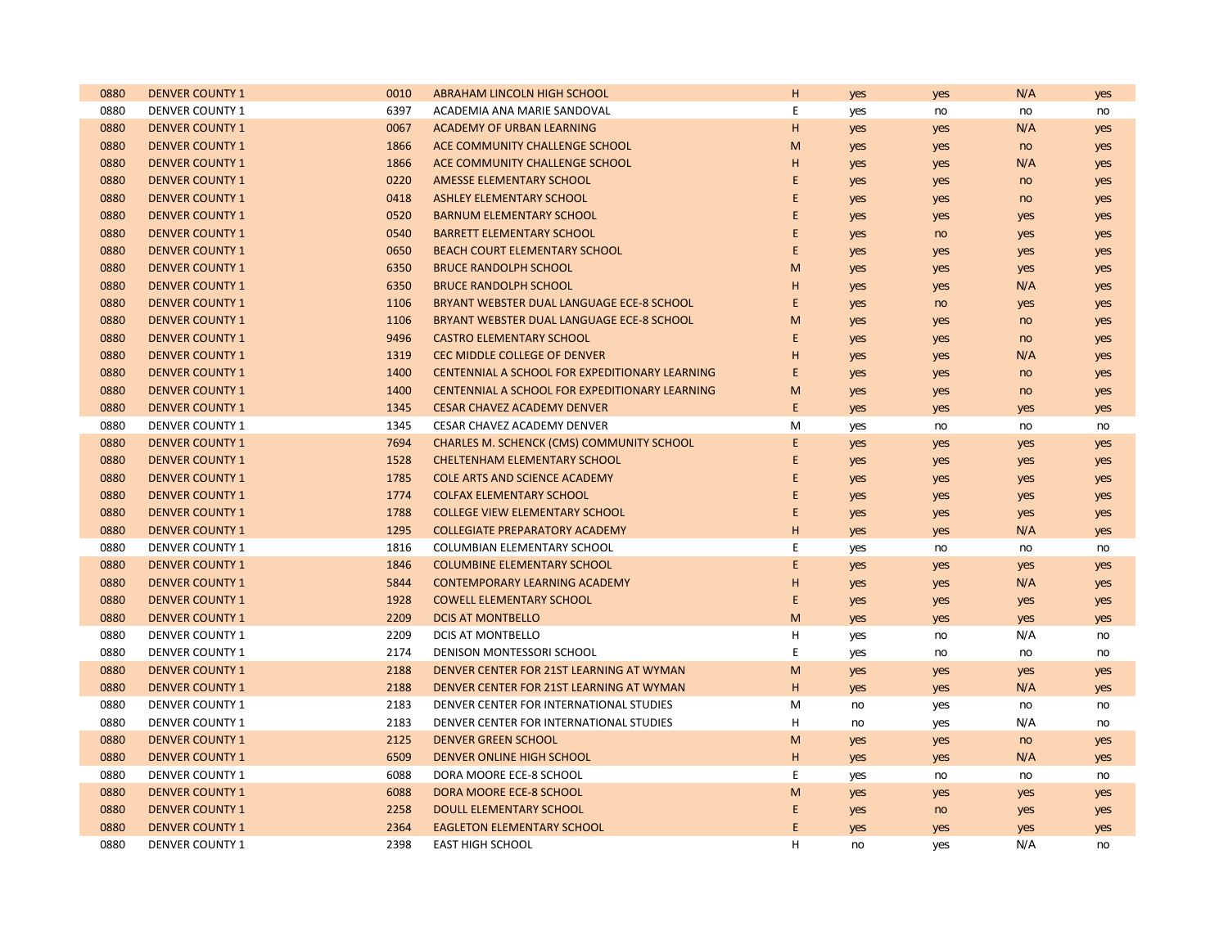| 0880 | <b>DENVER COUNTY 1</b> | 0010 | ABRAHAM LINCOLN HIGH SCHOOL                      | н           | yes        | yes | N/A | yes |
|------|------------------------|------|--------------------------------------------------|-------------|------------|-----|-----|-----|
| 0880 | <b>DENVER COUNTY 1</b> | 6397 | ACADEMIA ANA MARIE SANDOVAL                      | E           | yes        | no  | no  | no  |
| 0880 | <b>DENVER COUNTY 1</b> | 0067 | ACADEMY OF URBAN LEARNING                        | H           | yes        | yes | N/A | yes |
| 0880 | <b>DENVER COUNTY 1</b> | 1866 | ACE COMMUNITY CHALLENGE SCHOOL                   | M           | yes        | yes | no  | yes |
| 0880 | <b>DENVER COUNTY 1</b> | 1866 | ACE COMMUNITY CHALLENGE SCHOOL                   | H           | yes        | yes | N/A | yes |
| 0880 | <b>DENVER COUNTY 1</b> | 0220 | AMESSE ELEMENTARY SCHOOL                         | E           | yes        | yes | no  | yes |
| 0880 | <b>DENVER COUNTY 1</b> | 0418 | <b>ASHLEY ELEMENTARY SCHOOL</b>                  | $\mathsf E$ | yes        | yes | no  | yes |
| 0880 | <b>DENVER COUNTY 1</b> | 0520 | <b>BARNUM ELEMENTARY SCHOOL</b>                  | E           | yes        | yes | yes | yes |
| 0880 | <b>DENVER COUNTY 1</b> | 0540 | <b>BARRETT ELEMENTARY SCHOOL</b>                 | E           | yes        | no  | yes | yes |
| 0880 | <b>DENVER COUNTY 1</b> | 0650 | <b>BEACH COURT ELEMENTARY SCHOOL</b>             | $\mathsf E$ | yes        | yes | yes | yes |
| 0880 | <b>DENVER COUNTY 1</b> | 6350 | <b>BRUCE RANDOLPH SCHOOL</b>                     | M           | yes        | yes | yes | yes |
| 0880 | <b>DENVER COUNTY 1</b> | 6350 | <b>BRUCE RANDOLPH SCHOOL</b>                     | H           | yes        | yes | N/A | yes |
| 0880 | <b>DENVER COUNTY 1</b> | 1106 | BRYANT WEBSTER DUAL LANGUAGE ECE-8 SCHOOL        | E           | yes        | no  | yes | yes |
| 0880 | <b>DENVER COUNTY 1</b> | 1106 | BRYANT WEBSTER DUAL LANGUAGE ECE-8 SCHOOL        | M           | yes        | yes | no  | yes |
| 0880 | <b>DENVER COUNTY 1</b> | 9496 | <b>CASTRO ELEMENTARY SCHOOL</b>                  | E           | yes        | yes | no  | yes |
| 0880 | <b>DENVER COUNTY 1</b> | 1319 | CEC MIDDLE COLLEGE OF DENVER                     | H           | yes        | yes | N/A | yes |
| 0880 | <b>DENVER COUNTY 1</b> | 1400 | CENTENNIAL A SCHOOL FOR EXPEDITIONARY LEARNING   | E           | yes        | yes | no  | yes |
| 0880 | <b>DENVER COUNTY 1</b> | 1400 | CENTENNIAL A SCHOOL FOR EXPEDITIONARY LEARNING   | M           | yes        | yes | no  | yes |
| 0880 | <b>DENVER COUNTY 1</b> | 1345 | <b>CESAR CHAVEZ ACADEMY DENVER</b>               | E           | yes        | yes | yes | yes |
| 0880 | <b>DENVER COUNTY 1</b> | 1345 | CESAR CHAVEZ ACADEMY DENVER                      | M           | yes        | no  | no  | no  |
| 0880 | <b>DENVER COUNTY 1</b> | 7694 | <b>CHARLES M. SCHENCK (CMS) COMMUNITY SCHOOL</b> | E           | yes        | yes | yes | yes |
| 0880 | <b>DENVER COUNTY 1</b> | 1528 | <b>CHELTENHAM ELEMENTARY SCHOOL</b>              | E           | yes        | yes | yes | yes |
| 0880 | <b>DENVER COUNTY 1</b> | 1785 | <b>COLE ARTS AND SCIENCE ACADEMY</b>             | Ε           | yes        | yes | yes | yes |
| 0880 | <b>DENVER COUNTY 1</b> | 1774 | <b>COLFAX ELEMENTARY SCHOOL</b>                  | E           | yes        | yes | yes | yes |
| 0880 | <b>DENVER COUNTY 1</b> | 1788 | <b>COLLEGE VIEW ELEMENTARY SCHOOL</b>            | E           | yes        | yes | yes | yes |
| 0880 | <b>DENVER COUNTY 1</b> | 1295 | <b>COLLEGIATE PREPARATORY ACADEMY</b>            | H           | yes        | yes | N/A | yes |
| 0880 | <b>DENVER COUNTY 1</b> | 1816 | <b>COLUMBIAN ELEMENTARY SCHOOL</b>               | E           | yes        | no  | no  | no  |
| 0880 | <b>DENVER COUNTY 1</b> | 1846 | <b>COLUMBINE ELEMENTARY SCHOOL</b>               | E           | yes        | yes | yes | yes |
| 0880 | <b>DENVER COUNTY 1</b> | 5844 | <b>CONTEMPORARY LEARNING ACADEMY</b>             | H           | yes        | yes | N/A | yes |
| 0880 | <b>DENVER COUNTY 1</b> | 1928 | <b>COWELL ELEMENTARY SCHOOL</b>                  | $\mathsf E$ | yes        | yes | yes | yes |
| 0880 | <b>DENVER COUNTY 1</b> | 2209 | <b>DCIS AT MONTBELLO</b>                         | M           | yes        | yes | yes | yes |
| 0880 | <b>DENVER COUNTY 1</b> | 2209 | DCIS AT MONTBELLO                                | н           | yes        | no  | N/A | no  |
| 0880 | <b>DENVER COUNTY 1</b> | 2174 | DENISON MONTESSORI SCHOOL                        | E           | yes        | no  | no  | no  |
| 0880 | <b>DENVER COUNTY 1</b> | 2188 | DENVER CENTER FOR 21ST LEARNING AT WYMAN         | M           | yes        | yes | yes | yes |
| 0880 | <b>DENVER COUNTY 1</b> | 2188 | DENVER CENTER FOR 21ST LEARNING AT WYMAN         | H           | yes        | yes | N/A | yes |
| 0880 | <b>DENVER COUNTY 1</b> | 2183 | DENVER CENTER FOR INTERNATIONAL STUDIES          | М           | no         | yes | no  | no  |
| 0880 | <b>DENVER COUNTY 1</b> | 2183 | DENVER CENTER FOR INTERNATIONAL STUDIES          | н           | no         | yes | N/A | no  |
| 0880 | <b>DENVER COUNTY 1</b> | 2125 | <b>DENVER GREEN SCHOOL</b>                       | M           | yes        | yes | no  | yes |
| 0880 | <b>DENVER COUNTY 1</b> | 6509 | <b>DENVER ONLINE HIGH SCHOOL</b>                 | H           | yes        | yes | N/A | yes |
| 0880 | <b>DENVER COUNTY 1</b> | 6088 | DORA MOORE ECE-8 SCHOOL                          | E           | yes        | no  | no  | no  |
| 0880 | <b>DENVER COUNTY 1</b> | 6088 | DORA MOORE ECE-8 SCHOOL                          | M           | yes        | yes | yes | yes |
| 0880 | <b>DENVER COUNTY 1</b> | 2258 | DOULL ELEMENTARY SCHOOL                          | Ε           | yes        | no  | yes | yes |
| 0880 | <b>DENVER COUNTY 1</b> | 2364 | <b>EAGLETON ELEMENTARY SCHOOL</b>                | E           | <b>yes</b> | yes | yes | yes |
| 0880 | <b>DENVER COUNTY 1</b> | 2398 | <b>EAST HIGH SCHOOL</b>                          | H           | no         | yes | N/A | no  |
|      |                        |      |                                                  |             |            |     |     |     |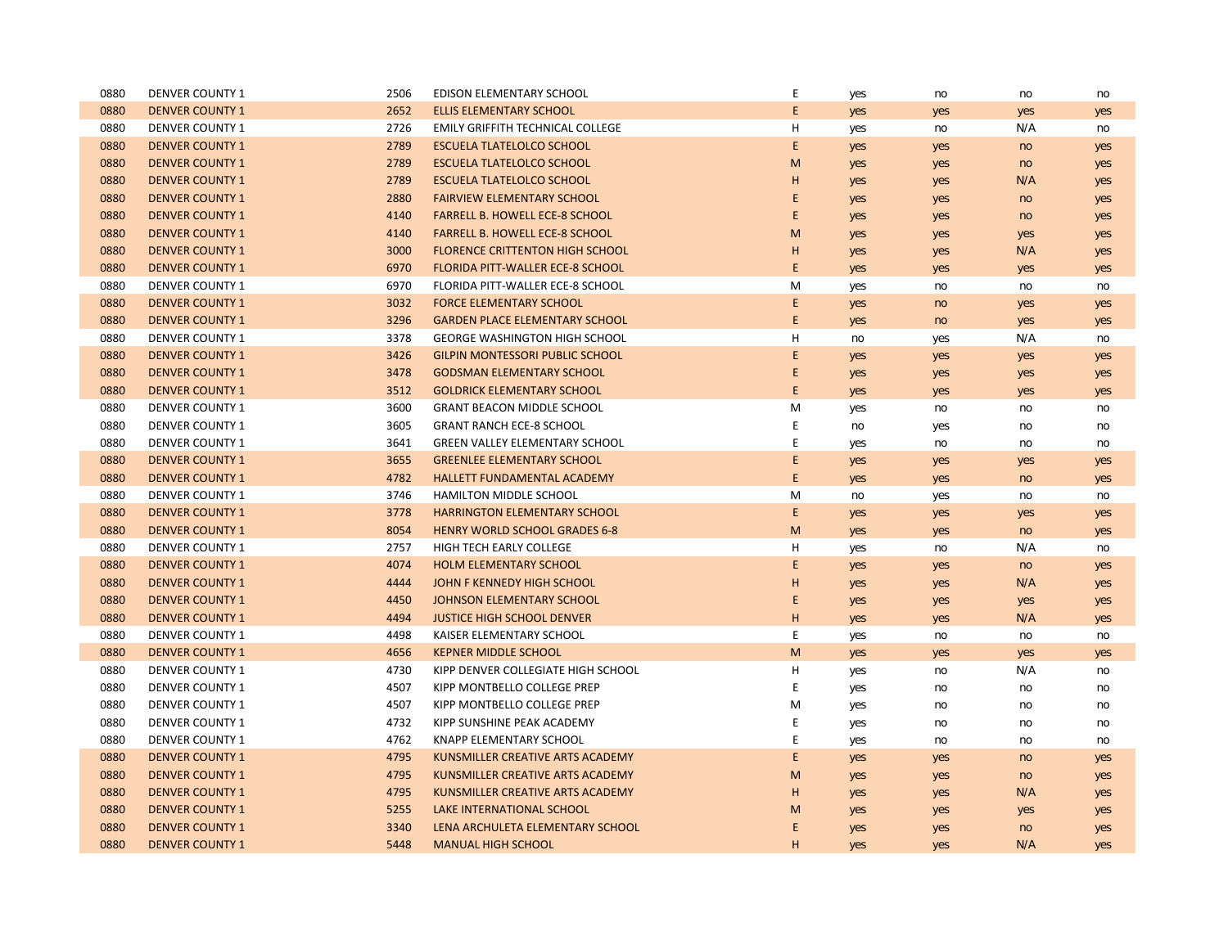| 0880 | <b>DENVER COUNTY 1</b> | 2506 | <b>EDISON ELEMENTARY SCHOOL</b>         | E | yes | no  | no  | no  |
|------|------------------------|------|-----------------------------------------|---|-----|-----|-----|-----|
| 0880 | <b>DENVER COUNTY 1</b> | 2652 | <b>ELLIS ELEMENTARY SCHOOL</b>          | E | yes | yes | yes | yes |
| 0880 | <b>DENVER COUNTY 1</b> | 2726 | EMILY GRIFFITH TECHNICAL COLLEGE        | H | yes | no  | N/A | no  |
| 0880 | <b>DENVER COUNTY 1</b> | 2789 | <b>ESCUELA TLATELOLCO SCHOOL</b>        | E | yes | yes | no  | yes |
| 0880 | <b>DENVER COUNTY 1</b> | 2789 | <b>ESCUELA TLATELOLCO SCHOOL</b>        | M | yes | yes | no  | yes |
| 0880 | <b>DENVER COUNTY 1</b> | 2789 | <b>ESCUELA TLATELOLCO SCHOOL</b>        | н | yes | yes | N/A | yes |
| 0880 | <b>DENVER COUNTY 1</b> | 2880 | <b>FAIRVIEW ELEMENTARY SCHOOL</b>       | E | yes | yes | no  | yes |
| 0880 | <b>DENVER COUNTY 1</b> | 4140 | <b>FARRELL B. HOWELL ECE-8 SCHOOL</b>   | E | yes | yes | no  | yes |
| 0880 | <b>DENVER COUNTY 1</b> | 4140 | <b>FARRELL B. HOWELL ECE-8 SCHOOL</b>   | M | yes | yes | yes | yes |
| 0880 | <b>DENVER COUNTY 1</b> | 3000 | <b>FLORENCE CRITTENTON HIGH SCHOOL</b>  | н | yes | yes | N/A | yes |
| 0880 | <b>DENVER COUNTY 1</b> | 6970 | <b>FLORIDA PITT-WALLER ECE-8 SCHOOL</b> | E | yes | yes | yes | yes |
| 0880 | <b>DENVER COUNTY 1</b> | 6970 | FLORIDA PITT-WALLER ECE-8 SCHOOL        | M | yes | no  | no  | no  |
| 0880 | <b>DENVER COUNTY 1</b> | 3032 | <b>FORCE ELEMENTARY SCHOOL</b>          | E | yes | no  | yes | yes |
| 0880 | <b>DENVER COUNTY 1</b> | 3296 | <b>GARDEN PLACE ELEMENTARY SCHOOL</b>   | E | yes | no  | yes | yes |
| 0880 | <b>DENVER COUNTY 1</b> | 3378 | <b>GEORGE WASHINGTON HIGH SCHOOL</b>    | H | no  | yes | N/A | no  |
| 0880 | <b>DENVER COUNTY 1</b> | 3426 | <b>GILPIN MONTESSORI PUBLIC SCHOOL</b>  | E | yes | yes | yes | yes |
| 0880 | <b>DENVER COUNTY 1</b> | 3478 | <b>GODSMAN ELEMENTARY SCHOOL</b>        | E | yes | yes | yes | yes |
| 0880 | <b>DENVER COUNTY 1</b> | 3512 | <b>GOLDRICK ELEMENTARY SCHOOL</b>       | E | yes | yes | yes | yes |
| 0880 | <b>DENVER COUNTY 1</b> | 3600 | <b>GRANT BEACON MIDDLE SCHOOL</b>       | M | yes | no  | no  | no  |
| 0880 | <b>DENVER COUNTY 1</b> | 3605 | <b>GRANT RANCH ECE-8 SCHOOL</b>         | Ε | no  | yes | no  | no  |
| 0880 | <b>DENVER COUNTY 1</b> | 3641 | <b>GREEN VALLEY ELEMENTARY SCHOOL</b>   | Ε | yes | no  | no  | no  |
| 0880 | <b>DENVER COUNTY 1</b> | 3655 | <b>GREENLEE ELEMENTARY SCHOOL</b>       | E | yes | yes | yes | yes |
| 0880 | <b>DENVER COUNTY 1</b> | 4782 | HALLETT FUNDAMENTAL ACADEMY             | E | yes | yes | no  | yes |
| 0880 | <b>DENVER COUNTY 1</b> | 3746 | HAMILTON MIDDLE SCHOOL                  | M | no  | yes | no  | no  |
| 0880 | <b>DENVER COUNTY 1</b> | 3778 | <b>HARRINGTON ELEMENTARY SCHOOL</b>     | E | yes | yes | yes | yes |
| 0880 | <b>DENVER COUNTY 1</b> | 8054 | <b>HENRY WORLD SCHOOL GRADES 6-8</b>    | M | yes | yes | no  | yes |
| 0880 | <b>DENVER COUNTY 1</b> | 2757 | HIGH TECH EARLY COLLEGE                 | H | yes | no  | N/A | no  |
| 0880 | <b>DENVER COUNTY 1</b> | 4074 | <b>HOLM ELEMENTARY SCHOOL</b>           | E | yes | yes | no  | yes |
| 0880 | <b>DENVER COUNTY 1</b> | 4444 | JOHN F KENNEDY HIGH SCHOOL              | н | yes | yes | N/A | yes |
| 0880 | <b>DENVER COUNTY 1</b> | 4450 | JOHNSON ELEMENTARY SCHOOL               | E | yes | yes | yes | yes |
| 0880 | <b>DENVER COUNTY 1</b> | 4494 | <b>JUSTICE HIGH SCHOOL DENVER</b>       | H | yes | yes | N/A | yes |
| 0880 | <b>DENVER COUNTY 1</b> | 4498 | KAISER ELEMENTARY SCHOOL                | E | yes | no  | no  | no  |
| 0880 | <b>DENVER COUNTY 1</b> | 4656 | <b>KEPNER MIDDLE SCHOOL</b>             | M | yes | yes | yes | yes |
| 0880 | <b>DENVER COUNTY 1</b> | 4730 | KIPP DENVER COLLEGIATE HIGH SCHOOL      | H | yes | no  | N/A | no  |
| 0880 | <b>DENVER COUNTY 1</b> | 4507 | KIPP MONTBELLO COLLEGE PREP             | Ε | yes | no  | no  | no  |
| 0880 | <b>DENVER COUNTY 1</b> | 4507 | KIPP MONTBELLO COLLEGE PREP             | M | yes | no  | no  | no  |
| 0880 | <b>DENVER COUNTY 1</b> | 4732 | KIPP SUNSHINE PEAK ACADEMY              | E | yes | no  | no  | no  |
| 0880 | <b>DENVER COUNTY 1</b> | 4762 | <b>KNAPP ELEMENTARY SCHOOL</b>          | E | yes | no  | no  | no  |
| 0880 | <b>DENVER COUNTY 1</b> | 4795 | KUNSMILLER CREATIVE ARTS ACADEMY        | E | yes | yes | no  | yes |
| 0880 | <b>DENVER COUNTY 1</b> | 4795 | KUNSMILLER CREATIVE ARTS ACADEMY        | M | yes | yes | no  | yes |
| 0880 | <b>DENVER COUNTY 1</b> | 4795 | KUNSMILLER CREATIVE ARTS ACADEMY        | н | yes | yes | N/A | yes |
| 0880 | <b>DENVER COUNTY 1</b> | 5255 | LAKE INTERNATIONAL SCHOOL               | M | yes | yes | yes | yes |
| 0880 | <b>DENVER COUNTY 1</b> | 3340 | LENA ARCHULETA ELEMENTARY SCHOOL        | E | yes | yes | no  | yes |
| 0880 | <b>DENVER COUNTY 1</b> | 5448 | <b>MANUAL HIGH SCHOOL</b>               | H | yes | yes | N/A | yes |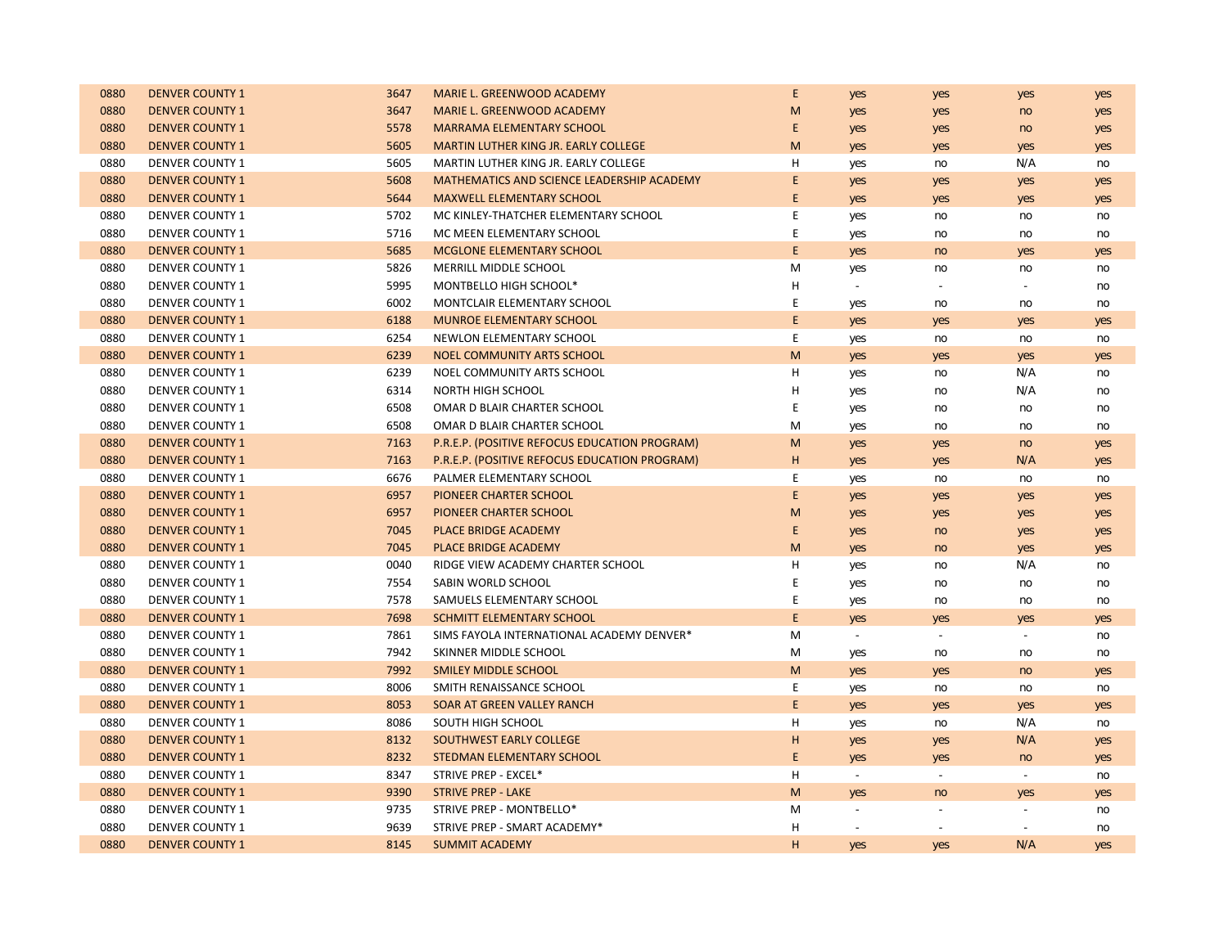| 0880 | <b>DENVER COUNTY 1</b> | 3647 | MARIE L. GREENWOOD ACADEMY                    | E | yes      | yes                         | yes                         | yes |
|------|------------------------|------|-----------------------------------------------|---|----------|-----------------------------|-----------------------------|-----|
| 0880 | <b>DENVER COUNTY 1</b> | 3647 | MARIE L. GREENWOOD ACADEMY                    | M | yes      | yes                         | no                          | yes |
| 0880 | <b>DENVER COUNTY 1</b> | 5578 | <b>MARRAMA ELEMENTARY SCHOOL</b>              | E | yes      | yes                         | no                          | yes |
| 0880 | <b>DENVER COUNTY 1</b> | 5605 | <b>MARTIN LUTHER KING JR. EARLY COLLEGE</b>   | M | yes      | yes                         | yes                         | yes |
| 0880 | <b>DENVER COUNTY 1</b> | 5605 | MARTIN LUTHER KING JR. EARLY COLLEGE          | Н | yes      | no                          | N/A                         | no  |
| 0880 | <b>DENVER COUNTY 1</b> | 5608 | MATHEMATICS AND SCIENCE LEADERSHIP ACADEMY    | E | yes      | yes                         | yes                         | yes |
| 0880 | <b>DENVER COUNTY 1</b> | 5644 | <b>MAXWELL ELEMENTARY SCHOOL</b>              | E | yes      | yes                         | yes                         | yes |
| 0880 | <b>DENVER COUNTY 1</b> | 5702 | MC KINLEY-THATCHER ELEMENTARY SCHOOL          | Ε | yes      | no                          | no                          | no  |
| 0880 | <b>DENVER COUNTY 1</b> | 5716 | MC MEEN ELEMENTARY SCHOOL                     | E | yes      | no                          | no                          | no  |
| 0880 | <b>DENVER COUNTY 1</b> | 5685 | MCGLONE ELEMENTARY SCHOOL                     | E | yes      | no                          | yes                         | yes |
| 0880 | <b>DENVER COUNTY 1</b> | 5826 | MERRILL MIDDLE SCHOOL                         | M | yes      | no                          | no                          | no  |
| 0880 | <b>DENVER COUNTY 1</b> | 5995 | MONTBELLO HIGH SCHOOL*                        | Н |          |                             | $\sim$                      | no  |
| 0880 | <b>DENVER COUNTY 1</b> | 6002 | MONTCLAIR ELEMENTARY SCHOOL                   | Ε | yes      | no                          | no                          | no  |
| 0880 | <b>DENVER COUNTY 1</b> | 6188 | <b>MUNROE ELEMENTARY SCHOOL</b>               | E | yes      | yes                         | yes                         | yes |
| 0880 | <b>DENVER COUNTY 1</b> | 6254 | NEWLON ELEMENTARY SCHOOL                      | E | yes      | no                          | no                          | no  |
| 0880 | <b>DENVER COUNTY 1</b> | 6239 | <b>NOEL COMMUNITY ARTS SCHOOL</b>             | M | yes      | yes                         | yes                         | yes |
| 0880 | <b>DENVER COUNTY 1</b> | 6239 | NOEL COMMUNITY ARTS SCHOOL                    | н | yes      | no                          | N/A                         | no  |
| 0880 | <b>DENVER COUNTY 1</b> | 6314 | <b>NORTH HIGH SCHOOL</b>                      | н | yes      | no                          | N/A                         | no  |
| 0880 | <b>DENVER COUNTY 1</b> | 6508 | OMAR D BLAIR CHARTER SCHOOL                   | E | yes      | no                          | no                          | no  |
| 0880 | <b>DENVER COUNTY 1</b> | 6508 | OMAR D BLAIR CHARTER SCHOOL                   | M | yes      | no                          | no                          | no  |
| 0880 | <b>DENVER COUNTY 1</b> | 7163 | P.R.E.P. (POSITIVE REFOCUS EDUCATION PROGRAM) | M | yes      | yes                         | no                          | yes |
| 0880 | <b>DENVER COUNTY 1</b> | 7163 | P.R.E.P. (POSITIVE REFOCUS EDUCATION PROGRAM) | H | yes      | yes                         | N/A                         | yes |
| 0880 | <b>DENVER COUNTY 1</b> | 6676 | PALMER ELEMENTARY SCHOOL                      | Ε | yes      | no                          | no                          | no  |
| 0880 | <b>DENVER COUNTY 1</b> | 6957 | PIONEER CHARTER SCHOOL                        | E | yes      | yes                         | yes                         | yes |
| 0880 | <b>DENVER COUNTY 1</b> | 6957 | PIONEER CHARTER SCHOOL                        | M | yes      | yes                         | yes                         | yes |
| 0880 | <b>DENVER COUNTY 1</b> | 7045 | PLACE BRIDGE ACADEMY                          | E | yes      | no                          | yes                         | yes |
| 0880 | <b>DENVER COUNTY 1</b> | 7045 | <b>PLACE BRIDGE ACADEMY</b>                   | M | yes      | no                          | yes                         | yes |
| 0880 | <b>DENVER COUNTY 1</b> | 0040 | RIDGE VIEW ACADEMY CHARTER SCHOOL             | н | yes      | no                          | N/A                         | no  |
| 0880 | <b>DENVER COUNTY 1</b> | 7554 | SABIN WORLD SCHOOL                            | E | yes      | no                          | no                          | no  |
| 0880 | <b>DENVER COUNTY 1</b> | 7578 | SAMUELS ELEMENTARY SCHOOL                     | E | yes      | no                          | no                          | no  |
| 0880 | <b>DENVER COUNTY 1</b> | 7698 | <b>SCHMITT ELEMENTARY SCHOOL</b>              | E | yes      | yes                         | yes                         | yes |
| 0880 | <b>DENVER COUNTY 1</b> | 7861 | SIMS FAYOLA INTERNATIONAL ACADEMY DENVER*     | M | $\omega$ | $\sim$                      | $\blacksquare$              | no  |
| 0880 | <b>DENVER COUNTY 1</b> | 7942 | SKINNER MIDDLE SCHOOL                         | M | yes      | no                          | no                          | no  |
| 0880 | <b>DENVER COUNTY 1</b> | 7992 | <b>SMILEY MIDDLE SCHOOL</b>                   | M | yes      | yes                         | no                          | yes |
| 0880 | <b>DENVER COUNTY 1</b> | 8006 | SMITH RENAISSANCE SCHOOL                      | E | yes      | no                          | no                          | no  |
| 0880 | <b>DENVER COUNTY 1</b> | 8053 | SOAR AT GREEN VALLEY RANCH                    | E | yes      | yes                         | yes                         | yes |
| 0880 | <b>DENVER COUNTY 1</b> | 8086 | SOUTH HIGH SCHOOL                             | Н | yes      | no                          | N/A                         | no  |
| 0880 | <b>DENVER COUNTY 1</b> | 8132 | <b>SOUTHWEST EARLY COLLEGE</b>                | H | yes      | yes                         | N/A                         | yes |
| 0880 | <b>DENVER COUNTY 1</b> | 8232 | STEDMAN ELEMENTARY SCHOOL                     | E | yes      | yes                         | no                          | yes |
| 0880 | <b>DENVER COUNTY 1</b> | 8347 | STRIVE PREP - EXCEL*                          | Н | $\sim$   | $\mathcal{L}_{\mathcal{A}}$ | $\mathcal{L}_{\mathcal{A}}$ | no  |
| 0880 | <b>DENVER COUNTY 1</b> | 9390 | <b>STRIVE PREP - LAKE</b>                     | M | yes      | no                          | yes                         | yes |
| 0880 | <b>DENVER COUNTY 1</b> | 9735 | STRIVE PREP - MONTBELLO*                      | M |          |                             | $\mathbf{r}$                | no  |
| 0880 | <b>DENVER COUNTY 1</b> | 9639 | STRIVE PREP - SMART ACADEMY*                  | н |          | $\overline{\phantom{a}}$    |                             | no  |
| 0880 | <b>DENVER COUNTY 1</b> | 8145 | <b>SUMMIT ACADEMY</b>                         | H | yes      | yes                         | N/A                         | yes |
|      |                        |      |                                               |   |          |                             |                             |     |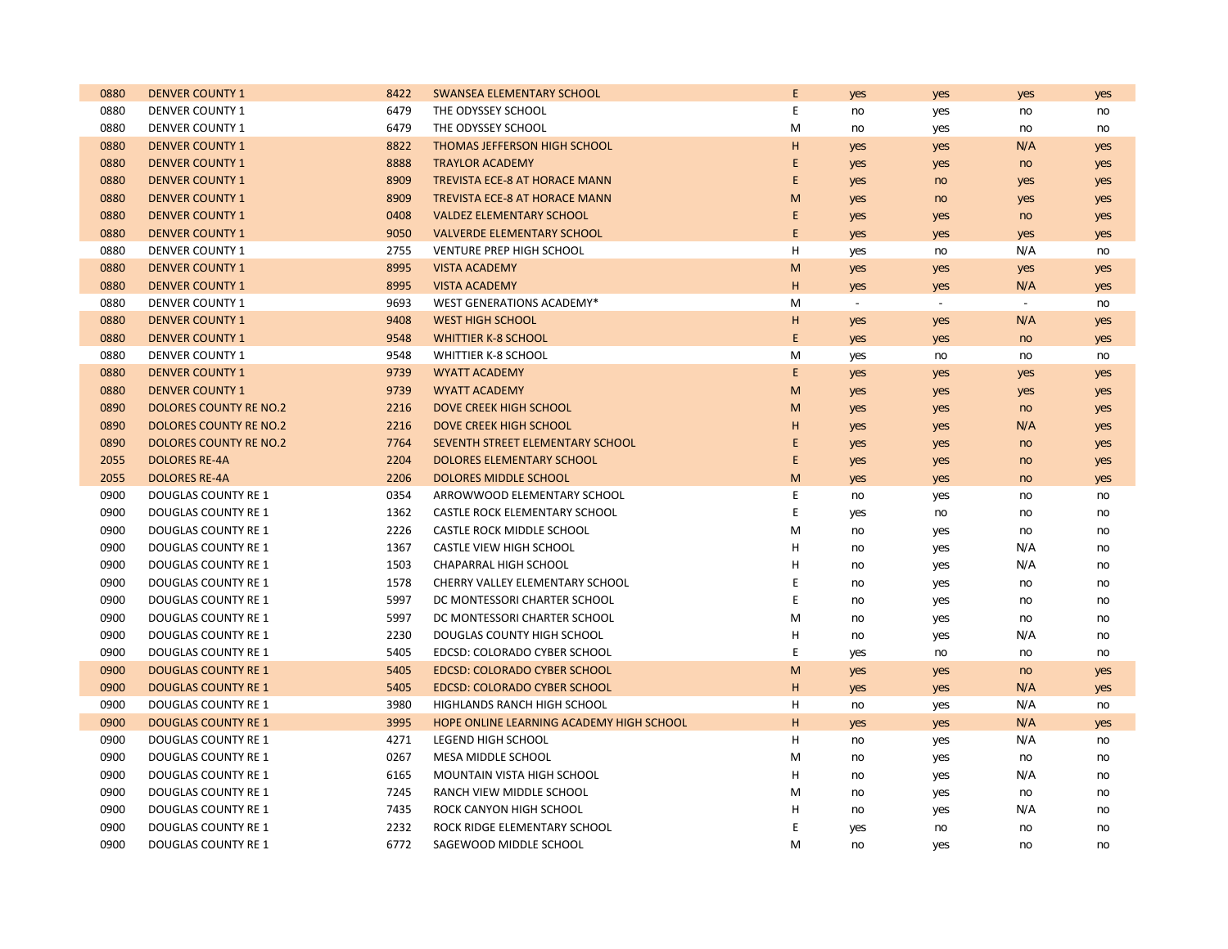| 0880 | <b>DENVER COUNTY 1</b>        | 8422 | SWANSEA ELEMENTARY SCHOOL                | E | yes      | yes            | yes           | yes |
|------|-------------------------------|------|------------------------------------------|---|----------|----------------|---------------|-----|
| 0880 | <b>DENVER COUNTY 1</b>        | 6479 | THE ODYSSEY SCHOOL                       | E | no       | yes            | no            | no  |
| 0880 | <b>DENVER COUNTY 1</b>        | 6479 | THE ODYSSEY SCHOOL                       | M | no       | yes            | no            | no  |
| 0880 | <b>DENVER COUNTY 1</b>        | 8822 | <b>THOMAS JEFFERSON HIGH SCHOOL</b>      | H | yes      | yes            | N/A           | yes |
| 0880 | <b>DENVER COUNTY 1</b>        | 8888 | <b>TRAYLOR ACADEMY</b>                   | E | yes      | yes            | no            | yes |
| 0880 | <b>DENVER COUNTY 1</b>        | 8909 | <b>TREVISTA ECE-8 AT HORACE MANN</b>     | E | yes      | no             | yes           | yes |
| 0880 | <b>DENVER COUNTY 1</b>        | 8909 | <b>TREVISTA ECE-8 AT HORACE MANN</b>     | M | yes      | no             | yes           | yes |
| 0880 | <b>DENVER COUNTY 1</b>        | 0408 | <b>VALDEZ ELEMENTARY SCHOOL</b>          | E | yes      | yes            | no            | yes |
| 0880 | <b>DENVER COUNTY 1</b>        | 9050 | <b>VALVERDE ELEMENTARY SCHOOL</b>        | E | yes      | yes            | yes           | yes |
| 0880 | <b>DENVER COUNTY 1</b>        | 2755 | VENTURE PREP HIGH SCHOOL                 | н | yes      | no             | N/A           | no  |
| 0880 | <b>DENVER COUNTY 1</b>        | 8995 | <b>VISTA ACADEMY</b>                     | M | yes      | yes            | yes           | yes |
| 0880 | <b>DENVER COUNTY 1</b>        | 8995 | <b>VISTA ACADEMY</b>                     | H | yes      | yes            | N/A           | yes |
| 0880 | <b>DENVER COUNTY 1</b>        | 9693 | WEST GENERATIONS ACADEMY*                | M | $\omega$ | $\mathbb{Z}^2$ | $\mathcal{L}$ | no  |
| 0880 | <b>DENVER COUNTY 1</b>        | 9408 | <b>WEST HIGH SCHOOL</b>                  | H | yes      | yes            | N/A           | yes |
| 0880 | <b>DENVER COUNTY 1</b>        | 9548 | <b>WHITTIER K-8 SCHOOL</b>               | E | yes      | yes            | no            | yes |
| 0880 | <b>DENVER COUNTY 1</b>        | 9548 | <b>WHITTIER K-8 SCHOOL</b>               | M | yes      | no             | no            | no  |
| 0880 | <b>DENVER COUNTY 1</b>        | 9739 | <b>WYATT ACADEMY</b>                     | E | yes      | yes            | yes           | yes |
| 0880 | <b>DENVER COUNTY 1</b>        | 9739 | <b>WYATT ACADEMY</b>                     | M | yes      | yes            | yes           | yes |
| 0890 | DOLORES COUNTY RE NO.2        | 2216 | <b>DOVE CREEK HIGH SCHOOL</b>            | M | yes      | yes            | no            | yes |
| 0890 | <b>DOLORES COUNTY RE NO.2</b> | 2216 | <b>DOVE CREEK HIGH SCHOOL</b>            | H | yes      | yes            | N/A           | yes |
| 0890 | <b>DOLORES COUNTY RE NO.2</b> | 7764 | SEVENTH STREET ELEMENTARY SCHOOL         | E | yes      | yes            | no            | yes |
| 2055 | <b>DOLORES RE-4A</b>          | 2204 | <b>DOLORES ELEMENTARY SCHOOL</b>         | E | yes      | yes            | no            | yes |
| 2055 | <b>DOLORES RE-4A</b>          | 2206 | DOLORES MIDDLE SCHOOL                    | M | yes      | yes            | no            | yes |
| 0900 | <b>DOUGLAS COUNTY RE 1</b>    | 0354 | ARROWWOOD ELEMENTARY SCHOOL              | E | no       | yes            | no            | no  |
| 0900 | DOUGLAS COUNTY RE 1           | 1362 | CASTLE ROCK ELEMENTARY SCHOOL            | E | yes      | no             | no            | no  |
| 0900 | DOUGLAS COUNTY RE 1           | 2226 | CASTLE ROCK MIDDLE SCHOOL                | M | no       | yes            | no            | no  |
| 0900 | <b>DOUGLAS COUNTY RE 1</b>    | 1367 | CASTLE VIEW HIGH SCHOOL                  | Н | no       | yes            | N/A           | no  |
| 0900 | DOUGLAS COUNTY RE 1           | 1503 | CHAPARRAL HIGH SCHOOL                    | H | no       | yes            | N/A           | no  |
| 0900 | <b>DOUGLAS COUNTY RE 1</b>    | 1578 | CHERRY VALLEY ELEMENTARY SCHOOL          | E | no       | yes            | no            | no  |
| 0900 | DOUGLAS COUNTY RE 1           | 5997 | DC MONTESSORI CHARTER SCHOOL             | E | no       | yes            | no            | no  |
| 0900 | <b>DOUGLAS COUNTY RE 1</b>    | 5997 | DC MONTESSORI CHARTER SCHOOL             | M | no       | yes            | no            | no  |
| 0900 | <b>DOUGLAS COUNTY RE 1</b>    | 2230 | DOUGLAS COUNTY HIGH SCHOOL               | н | no       | yes            | N/A           | no  |
| 0900 | <b>DOUGLAS COUNTY RE 1</b>    | 5405 | EDCSD: COLORADO CYBER SCHOOL             | E | yes      | no             | no            | no  |
| 0900 | <b>DOUGLAS COUNTY RE 1</b>    | 5405 | <b>EDCSD: COLORADO CYBER SCHOOL</b>      | M | yes      | yes            | no            | yes |
| 0900 | <b>DOUGLAS COUNTY RE 1</b>    | 5405 | <b>EDCSD: COLORADO CYBER SCHOOL</b>      | н | yes      | yes            | N/A           | yes |
| 0900 | <b>DOUGLAS COUNTY RE 1</b>    | 3980 | HIGHLANDS RANCH HIGH SCHOOL              | н | no       | yes            | N/A           | no  |
| 0900 | <b>DOUGLAS COUNTY RE 1</b>    | 3995 | HOPE ONLINE LEARNING ACADEMY HIGH SCHOOL | H | yes      | yes            | N/A           | yes |
| 0900 | <b>DOUGLAS COUNTY RE 1</b>    | 4271 | <b>LEGEND HIGH SCHOOL</b>                | H | no       | yes            | N/A           | no  |
| 0900 | DOUGLAS COUNTY RE 1           | 0267 | MESA MIDDLE SCHOOL                       | M | no       | yes            | no            | no  |
| 0900 | DOUGLAS COUNTY RE 1           | 6165 | MOUNTAIN VISTA HIGH SCHOOL               | Н | no       | yes            | N/A           | no  |
| 0900 | DOUGLAS COUNTY RE 1           | 7245 | RANCH VIEW MIDDLE SCHOOL                 | M | no       | yes            | no            | no  |
| 0900 | DOUGLAS COUNTY RE 1           | 7435 | ROCK CANYON HIGH SCHOOL                  | н | no       | yes            | N/A           | no  |
| 0900 | <b>DOUGLAS COUNTY RE 1</b>    | 2232 | ROCK RIDGE ELEMENTARY SCHOOL             | E | yes      | no             | no            | no  |
| 0900 | <b>DOUGLAS COUNTY RE 1</b>    | 6772 | SAGEWOOD MIDDLE SCHOOL                   | M | no       | yes            | no            | no  |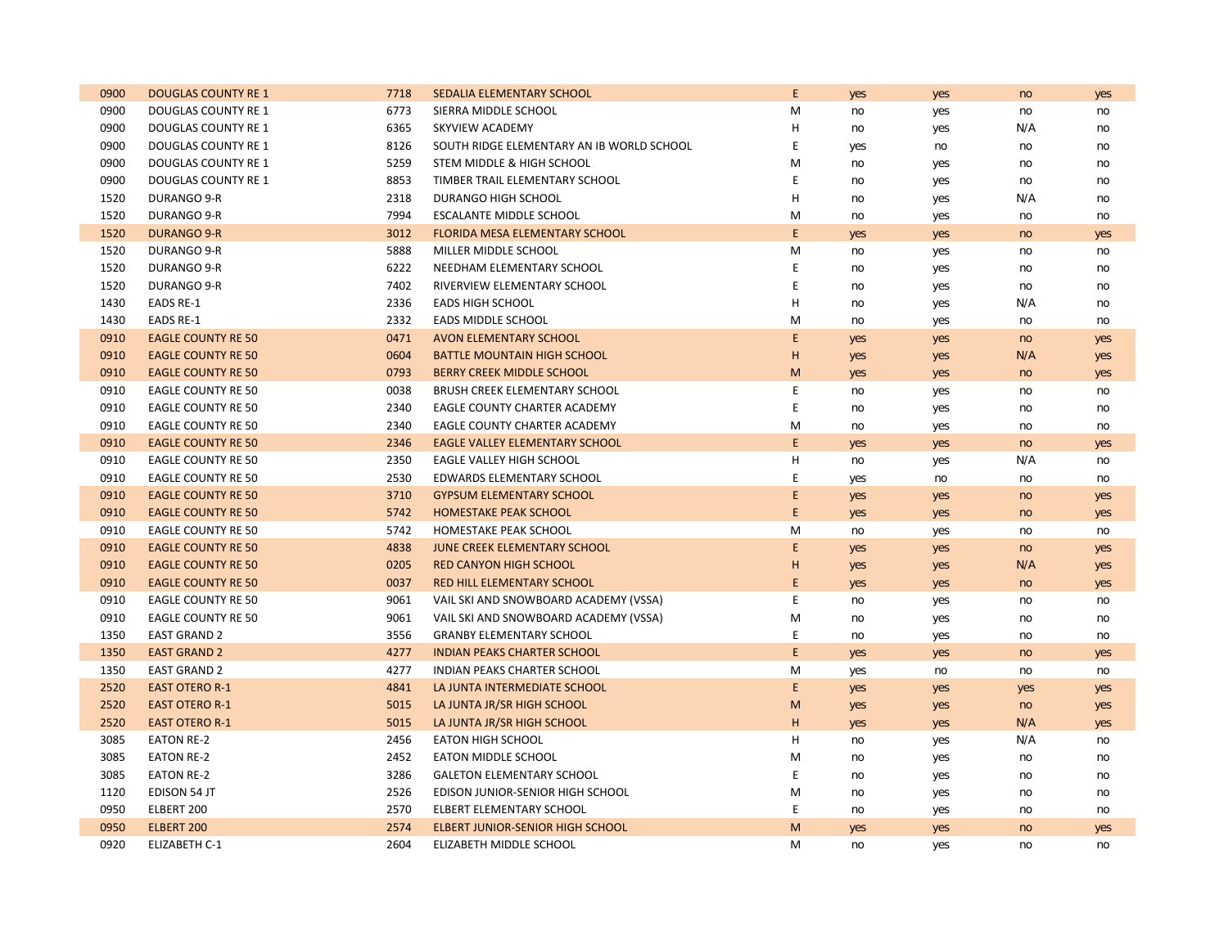| 0900 | <b>DOUGLAS COUNTY RE 1</b> | 7718 | SEDALIA ELEMENTARY SCHOOL                 | E              | yes | yes | no  | yes |
|------|----------------------------|------|-------------------------------------------|----------------|-----|-----|-----|-----|
| 0900 | DOUGLAS COUNTY RE 1        | 6773 | SIERRA MIDDLE SCHOOL                      | M              | no  | yes | no  | no  |
| 0900 | DOUGLAS COUNTY RE 1        | 6365 | SKYVIEW ACADEMY                           | Н              | no  | yes | N/A | no  |
| 0900 | DOUGLAS COUNTY RE 1        | 8126 | SOUTH RIDGE ELEMENTARY AN IB WORLD SCHOOL | E              | yes | no  | no  | no  |
| 0900 | DOUGLAS COUNTY RE 1        | 5259 | STEM MIDDLE & HIGH SCHOOL                 | M              | no  | yes | no  | no  |
| 0900 | DOUGLAS COUNTY RE 1        | 8853 | TIMBER TRAIL ELEMENTARY SCHOOL            | Ε              | no  | yes | no  | no  |
| 1520 | DURANGO 9-R                | 2318 | DURANGO HIGH SCHOOL                       | $\overline{H}$ | no  | yes | N/A | no  |
| 1520 | DURANGO 9-R                | 7994 | <b>ESCALANTE MIDDLE SCHOOL</b>            | M              | no  | yes | no  | no  |
| 1520 | <b>DURANGO 9-R</b>         | 3012 | FLORIDA MESA ELEMENTARY SCHOOL            | E              | yes | yes | no  | yes |
| 1520 | DURANGO 9-R                | 5888 | MILLER MIDDLE SCHOOL                      | M              | no  | yes | no  | no  |
| 1520 | DURANGO 9-R                | 6222 | NEEDHAM ELEMENTARY SCHOOL                 | E              | no  | yes | no  | no  |
| 1520 | DURANGO 9-R                | 7402 | RIVERVIEW ELEMENTARY SCHOOL               | E              | no  | yes | no  | no  |
| 1430 | <b>EADS RE-1</b>           | 2336 | <b>EADS HIGH SCHOOL</b>                   | H              | no  | yes | N/A | no  |
| 1430 | <b>EADS RE-1</b>           | 2332 | EADS MIDDLE SCHOOL                        | M              | no  | yes | no  | no  |
| 0910 | <b>EAGLE COUNTY RE 50</b>  | 0471 | <b>AVON ELEMENTARY SCHOOL</b>             | E              | yes | yes | no  | yes |
| 0910 | <b>EAGLE COUNTY RE 50</b>  | 0604 | <b>BATTLE MOUNTAIN HIGH SCHOOL</b>        | Н              | yes | yes | N/A | yes |
| 0910 | <b>EAGLE COUNTY RE 50</b>  | 0793 | <b>BERRY CREEK MIDDLE SCHOOL</b>          | M              | yes | yes | no  | yes |
| 0910 | EAGLE COUNTY RE 50         | 0038 | <b>BRUSH CREEK ELEMENTARY SCHOOL</b>      | E              | no  | yes | no  | no  |
| 0910 | <b>EAGLE COUNTY RE 50</b>  | 2340 | EAGLE COUNTY CHARTER ACADEMY              | E              | no  | yes | no  | no  |
| 0910 | <b>EAGLE COUNTY RE 50</b>  | 2340 | EAGLE COUNTY CHARTER ACADEMY              | M              | no  | yes | no  | no  |
| 0910 | <b>EAGLE COUNTY RE 50</b>  | 2346 | <b>EAGLE VALLEY ELEMENTARY SCHOOL</b>     | E              | yes | yes | no  | yes |
| 0910 | <b>EAGLE COUNTY RE 50</b>  | 2350 | EAGLE VALLEY HIGH SCHOOL                  | H              | no  | yes | N/A | no  |
| 0910 | <b>EAGLE COUNTY RE 50</b>  | 2530 | EDWARDS ELEMENTARY SCHOOL                 | E              | yes | no  | no  | no  |
| 0910 | <b>EAGLE COUNTY RE 50</b>  | 3710 | <b>GYPSUM ELEMENTARY SCHOOL</b>           | E              | yes | yes | no  | yes |
| 0910 | <b>EAGLE COUNTY RE 50</b>  | 5742 | <b>HOMESTAKE PEAK SCHOOL</b>              | E              | yes | yes | no  | yes |
| 0910 | <b>EAGLE COUNTY RE 50</b>  | 5742 | HOMESTAKE PEAK SCHOOL                     | M              | no  | yes | no  | no  |
| 0910 | <b>EAGLE COUNTY RE 50</b>  | 4838 | <b>JUNE CREEK ELEMENTARY SCHOOL</b>       | E              | yes | yes | no  | yes |
| 0910 | <b>EAGLE COUNTY RE 50</b>  | 0205 | <b>RED CANYON HIGH SCHOOL</b>             | H              | yes | yes | N/A | yes |
| 0910 | <b>EAGLE COUNTY RE 50</b>  | 0037 | <b>RED HILL ELEMENTARY SCHOOL</b>         | E              | yes | yes | no  | yes |
| 0910 | <b>EAGLE COUNTY RE 50</b>  | 9061 | VAIL SKI AND SNOWBOARD ACADEMY (VSSA)     | E              | no  | yes | no  | no  |
| 0910 | <b>EAGLE COUNTY RE 50</b>  | 9061 | VAIL SKI AND SNOWBOARD ACADEMY (VSSA)     | M              | no  | yes | no  | no  |
| 1350 | <b>EAST GRAND 2</b>        | 3556 | <b>GRANBY ELEMENTARY SCHOOL</b>           | E              | no  | yes | no  | no  |
| 1350 | <b>EAST GRAND 2</b>        | 4277 | <b>INDIAN PEAKS CHARTER SCHOOL</b>        | E              | yes | yes | no  | yes |
| 1350 | <b>EAST GRAND 2</b>        | 4277 | INDIAN PEAKS CHARTER SCHOOL               | M              | yes | no  | no  | no  |
| 2520 | <b>EAST OTERO R-1</b>      | 4841 | LA JUNTA INTERMEDIATE SCHOOL              | E              | yes | yes | yes | yes |
| 2520 | <b>EAST OTERO R-1</b>      | 5015 | LA JUNTA JR/SR HIGH SCHOOL                | M              | yes | yes | no  | yes |
| 2520 | <b>EAST OTERO R-1</b>      | 5015 | LA JUNTA JR/SR HIGH SCHOOL                | H              | yes | yes | N/A | yes |
| 3085 | <b>EATON RE-2</b>          | 2456 | <b>EATON HIGH SCHOOL</b>                  | H              | no  | yes | N/A | no  |
| 3085 | <b>EATON RE-2</b>          | 2452 | <b>EATON MIDDLE SCHOOL</b>                | M              | no  | yes | no  | no  |
| 3085 | <b>EATON RE-2</b>          | 3286 | <b>GALETON ELEMENTARY SCHOOL</b>          | Ε              | no  | yes | no  | no  |
| 1120 | EDISON 54 JT               | 2526 | EDISON JUNIOR-SENIOR HIGH SCHOOL          | M              | no  | yes | no  | no  |
| 0950 | ELBERT 200                 | 2570 | ELBERT ELEMENTARY SCHOOL                  | E              | no  | yes | no  | no  |
| 0950 | ELBERT 200                 | 2574 | <b>ELBERT JUNIOR-SENIOR HIGH SCHOOL</b>   | M              | yes | yes | no  | yes |
| 0920 | <b>ELIZABETH C-1</b>       | 2604 | ELIZABETH MIDDLE SCHOOL                   | M              | no  | yes | no  | no  |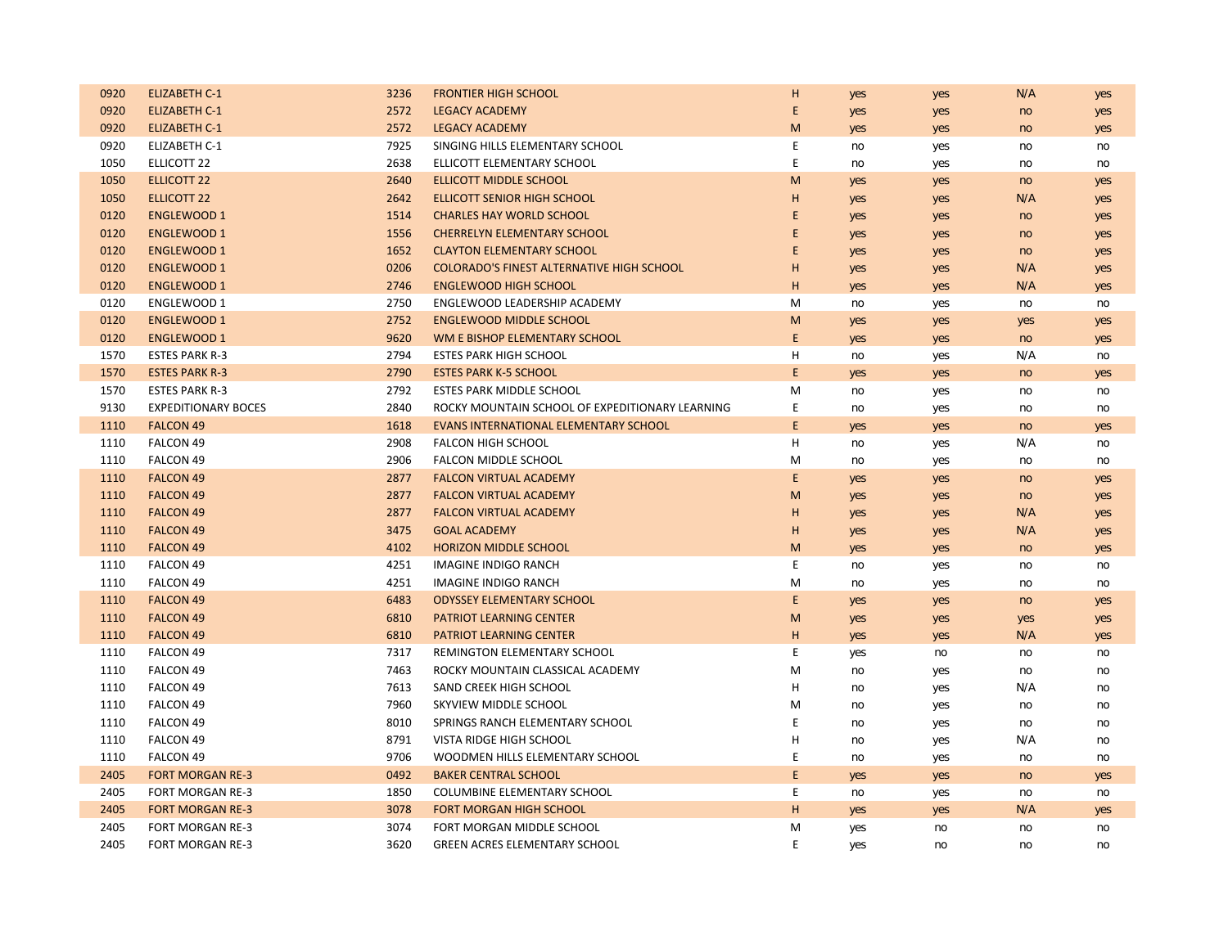| 0920 | <b>ELIZABETH C-1</b>       | 3236 | <b>FRONTIER HIGH SCHOOL</b>                      | Н           | yes | yes | N/A | yes |
|------|----------------------------|------|--------------------------------------------------|-------------|-----|-----|-----|-----|
| 0920 | <b>ELIZABETH C-1</b>       | 2572 | <b>LEGACY ACADEMY</b>                            | E           | yes | yes | no  | yes |
| 0920 | <b>ELIZABETH C-1</b>       | 2572 | <b>LEGACY ACADEMY</b>                            | M           | yes | yes | no  | yes |
| 0920 | ELIZABETH C-1              | 7925 | SINGING HILLS ELEMENTARY SCHOOL                  | $\mathsf E$ | no  | yes | no  | no  |
| 1050 | ELLICOTT 22                | 2638 | ELLICOTT ELEMENTARY SCHOOL                       | E           | no  | yes | no  | no  |
| 1050 | <b>ELLICOTT 22</b>         | 2640 | <b>ELLICOTT MIDDLE SCHOOL</b>                    | M           | yes | yes | no  | yes |
| 1050 | <b>ELLICOTT 22</b>         | 2642 | <b>ELLICOTT SENIOR HIGH SCHOOL</b>               | н           | yes | yes | N/A | yes |
| 0120 | <b>ENGLEWOOD 1</b>         | 1514 | <b>CHARLES HAY WORLD SCHOOL</b>                  | E           | yes | yes | no  | yes |
| 0120 | <b>ENGLEWOOD 1</b>         | 1556 | <b>CHERRELYN ELEMENTARY SCHOOL</b>               | E           | yes | yes | no  | yes |
| 0120 | <b>ENGLEWOOD 1</b>         | 1652 | <b>CLAYTON ELEMENTARY SCHOOL</b>                 | E           | yes | yes | no  | yes |
| 0120 | <b>ENGLEWOOD 1</b>         | 0206 | <b>COLORADO'S FINEST ALTERNATIVE HIGH SCHOOL</b> | Н           | yes | yes | N/A | yes |
| 0120 | <b>ENGLEWOOD 1</b>         | 2746 | <b>ENGLEWOOD HIGH SCHOOL</b>                     | H           | yes | yes | N/A | yes |
| 0120 | ENGLEWOOD 1                | 2750 | ENGLEWOOD LEADERSHIP ACADEMY                     | M           | no  | yes | no  | no  |
| 0120 | <b>ENGLEWOOD 1</b>         | 2752 | <b>ENGLEWOOD MIDDLE SCHOOL</b>                   | M           | yes | yes | yes | yes |
| 0120 | <b>ENGLEWOOD 1</b>         | 9620 | WM E BISHOP ELEMENTARY SCHOOL                    | E           | yes | yes | no  | yes |
| 1570 | <b>ESTES PARK R-3</b>      | 2794 | <b>ESTES PARK HIGH SCHOOL</b>                    | н           | no  | yes | N/A | no  |
| 1570 | <b>ESTES PARK R-3</b>      | 2790 | <b>ESTES PARK K-5 SCHOOL</b>                     | E           | yes | yes | no  | yes |
| 1570 | <b>ESTES PARK R-3</b>      | 2792 | <b>ESTES PARK MIDDLE SCHOOL</b>                  | M           | no  | yes | no  | no  |
| 9130 | <b>EXPEDITIONARY BOCES</b> | 2840 | ROCKY MOUNTAIN SCHOOL OF EXPEDITIONARY LEARNING  | E           | no  | yes | no  | no  |
| 1110 | <b>FALCON 49</b>           | 1618 | EVANS INTERNATIONAL ELEMENTARY SCHOOL            | $\mathsf E$ | yes | yes | no  | yes |
| 1110 | FALCON 49                  | 2908 | <b>FALCON HIGH SCHOOL</b>                        | Н           | no  | yes | N/A | no  |
| 1110 | FALCON 49                  | 2906 | FALCON MIDDLE SCHOOL                             | M           | no  | yes | no  | no  |
| 1110 | <b>FALCON 49</b>           | 2877 | <b>FALCON VIRTUAL ACADEMY</b>                    | E           | yes | yes | no  | yes |
| 1110 | <b>FALCON 49</b>           | 2877 | <b>FALCON VIRTUAL ACADEMY</b>                    | M           | yes | yes | no  | yes |
| 1110 | <b>FALCON 49</b>           | 2877 | <b>FALCON VIRTUAL ACADEMY</b>                    | Н           | yes | yes | N/A | yes |
| 1110 | <b>FALCON 49</b>           | 3475 | <b>GOAL ACADEMY</b>                              | Н           | yes | yes | N/A | yes |
| 1110 | <b>FALCON 49</b>           | 4102 | <b>HORIZON MIDDLE SCHOOL</b>                     | M           | yes | yes | no  | yes |
| 1110 | FALCON 49                  | 4251 | <b>IMAGINE INDIGO RANCH</b>                      | E           | no  | yes | no  | no  |
| 1110 | FALCON 49                  | 4251 | IMAGINE INDIGO RANCH                             | M           | no  | yes | no  | no  |
| 1110 | <b>FALCON 49</b>           | 6483 | <b>ODYSSEY ELEMENTARY SCHOOL</b>                 | E           | yes | yes | no  | yes |
| 1110 | <b>FALCON 49</b>           | 6810 | <b>PATRIOT LEARNING CENTER</b>                   | M           | yes | yes | yes | yes |
| 1110 | <b>FALCON 49</b>           | 6810 | <b>PATRIOT LEARNING CENTER</b>                   | H           | yes | yes | N/A | yes |
| 1110 | FALCON 49                  | 7317 | REMINGTON ELEMENTARY SCHOOL                      | Ε           | yes | no  | no  | no  |
| 1110 | FALCON 49                  | 7463 | ROCKY MOUNTAIN CLASSICAL ACADEMY                 | M           | no  | yes | no  | no  |
| 1110 | FALCON 49                  | 7613 | SAND CREEK HIGH SCHOOL                           | Н           | no  | yes | N/A | no  |
| 1110 | FALCON 49                  | 7960 | SKYVIEW MIDDLE SCHOOL                            | M           | no  | yes | no  | no  |
| 1110 | FALCON 49                  | 8010 | SPRINGS RANCH ELEMENTARY SCHOOL                  | Ε           | no  | yes | no  | no  |
| 1110 | <b>FALCON 49</b>           | 8791 | VISTA RIDGE HIGH SCHOOL                          | Η           | no  | yes | N/A | no  |
| 1110 | FALCON 49                  | 9706 | WOODMEN HILLS ELEMENTARY SCHOOL                  | E           | no  | yes | no  | no  |
| 2405 | <b>FORT MORGAN RE-3</b>    | 0492 | <b>BAKER CENTRAL SCHOOL</b>                      | E           | yes | yes | no  | yes |
| 2405 | FORT MORGAN RE-3           | 1850 | COLUMBINE ELEMENTARY SCHOOL                      | E           | no  | yes | no  | no  |
| 2405 | <b>FORT MORGAN RE-3</b>    | 3078 | <b>FORT MORGAN HIGH SCHOOL</b>                   | H           | yes | yes | N/A | yes |
| 2405 | <b>FORT MORGAN RE-3</b>    | 3074 | FORT MORGAN MIDDLE SCHOOL                        | М           | yes | no  | no  | no  |
| 2405 | <b>FORT MORGAN RE-3</b>    | 3620 | <b>GREEN ACRES ELEMENTARY SCHOOL</b>             | E           | yes | no  | no  | no  |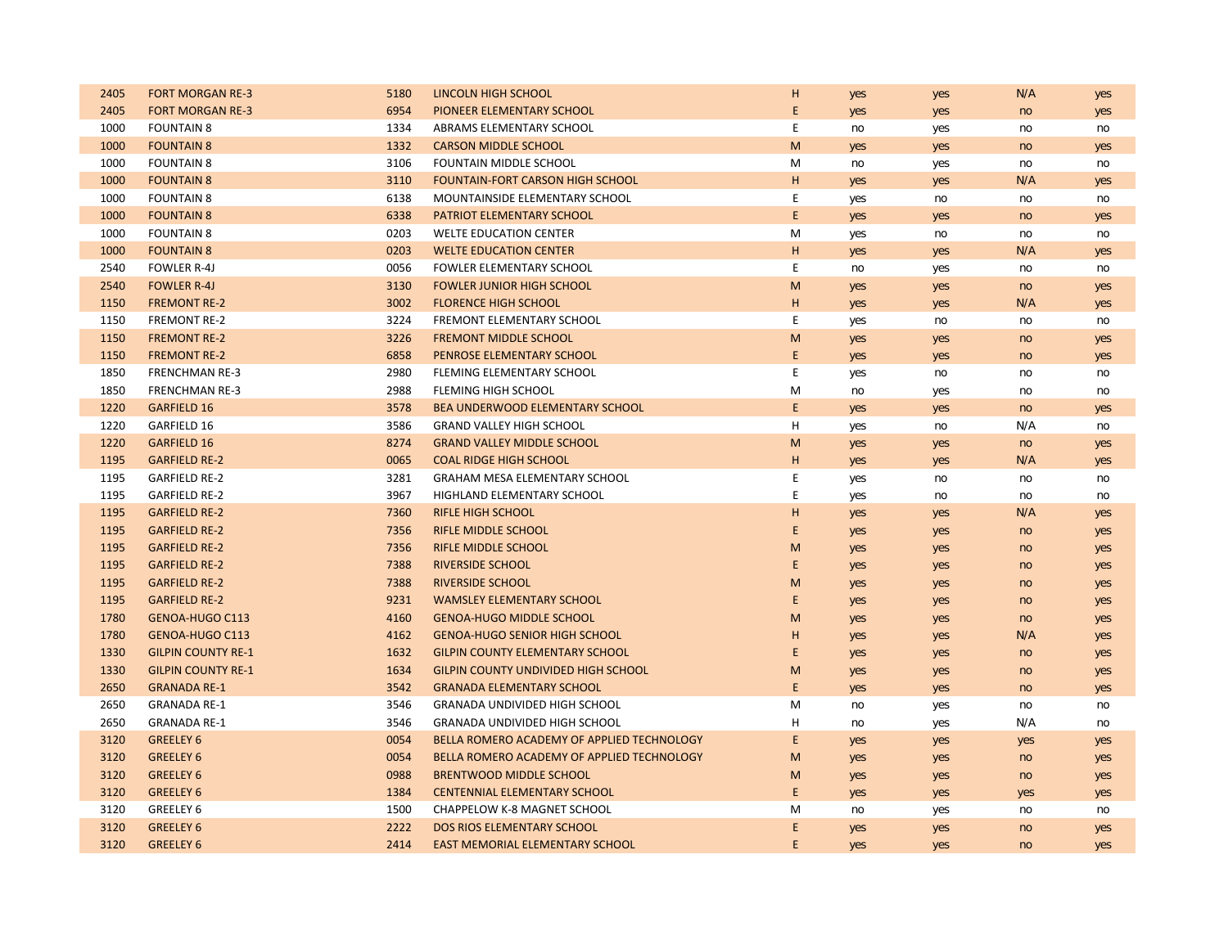| 2405 | <b>FORT MORGAN RE-3</b>   | 5180 | LINCOLN HIGH SCHOOL                        | Н | yes | yes | N/A | yes |
|------|---------------------------|------|--------------------------------------------|---|-----|-----|-----|-----|
| 2405 | <b>FORT MORGAN RE-3</b>   | 6954 | PIONEER ELEMENTARY SCHOOL                  | E | yes | yes | no  | yes |
| 1000 | <b>FOUNTAIN 8</b>         | 1334 | ABRAMS ELEMENTARY SCHOOL                   | E | no  | yes | no  | no  |
| 1000 | <b>FOUNTAIN 8</b>         | 1332 | <b>CARSON MIDDLE SCHOOL</b>                | M | yes | yes | no  | yes |
| 1000 | <b>FOUNTAIN 8</b>         | 3106 | FOUNTAIN MIDDLE SCHOOL                     | M | no  | yes | no  | no  |
| 1000 | <b>FOUNTAIN 8</b>         | 3110 | <b>FOUNTAIN-FORT CARSON HIGH SCHOOL</b>    | H | yes | yes | N/A | yes |
| 1000 | <b>FOUNTAIN 8</b>         | 6138 | MOUNTAINSIDE ELEMENTARY SCHOOL             | E | yes | no  | no  | no  |
| 1000 | <b>FOUNTAIN 8</b>         | 6338 | PATRIOT ELEMENTARY SCHOOL                  | E | yes | yes | no  | yes |
| 1000 | <b>FOUNTAIN 8</b>         | 0203 | <b>WELTE EDUCATION CENTER</b>              | M | yes | no  | no  | no  |
| 1000 | <b>FOUNTAIN 8</b>         | 0203 | <b>WELTE EDUCATION CENTER</b>              | H | yes | yes | N/A | yes |
| 2540 | <b>FOWLER R-4J</b>        | 0056 | FOWLER ELEMENTARY SCHOOL                   | E | no  | yes | no  | no  |
| 2540 | <b>FOWLER R-4J</b>        | 3130 | <b>FOWLER JUNIOR HIGH SCHOOL</b>           | M | yes | yes | no  | yes |
| 1150 | <b>FREMONT RE-2</b>       | 3002 | <b>FLORENCE HIGH SCHOOL</b>                | н | yes | yes | N/A | yes |
| 1150 | <b>FREMONT RE-2</b>       | 3224 | FREMONT ELEMENTARY SCHOOL                  | E | yes | no  | no  | no  |
| 1150 | <b>FREMONT RE-2</b>       | 3226 | <b>FREMONT MIDDLE SCHOOL</b>               | M | yes | yes | no  | yes |
| 1150 | <b>FREMONT RE-2</b>       | 6858 | PENROSE ELEMENTARY SCHOOL                  | E | yes | yes | no  | yes |
| 1850 | <b>FRENCHMAN RE-3</b>     | 2980 | FLEMING ELEMENTARY SCHOOL                  | E | yes | no  | no  | no  |
| 1850 | <b>FRENCHMAN RE-3</b>     | 2988 | FLEMING HIGH SCHOOL                        | M | no  | yes | no  | no  |
| 1220 | <b>GARFIELD 16</b>        | 3578 | BEA UNDERWOOD ELEMENTARY SCHOOL            | E | yes | yes | no  | yes |
| 1220 | GARFIELD 16               | 3586 | <b>GRAND VALLEY HIGH SCHOOL</b>            | H | yes | no  | N/A | no  |
| 1220 | <b>GARFIELD 16</b>        | 8274 | <b>GRAND VALLEY MIDDLE SCHOOL</b>          | M | yes | yes | no  | yes |
| 1195 | <b>GARFIELD RE-2</b>      | 0065 | <b>COAL RIDGE HIGH SCHOOL</b>              | H | yes | yes | N/A | yes |
| 1195 | <b>GARFIELD RE-2</b>      | 3281 | GRAHAM MESA ELEMENTARY SCHOOL              | E | yes | no  | no  | no  |
| 1195 | <b>GARFIELD RE-2</b>      | 3967 | HIGHLAND ELEMENTARY SCHOOL                 | E | yes | no  | no  | no  |
| 1195 | <b>GARFIELD RE-2</b>      | 7360 | <b>RIFLE HIGH SCHOOL</b>                   | H | yes | yes | N/A | yes |
| 1195 | <b>GARFIELD RE-2</b>      | 7356 | <b>RIFLE MIDDLE SCHOOL</b>                 | E | yes | yes | no  | yes |
| 1195 | <b>GARFIELD RE-2</b>      | 7356 | <b>RIFLE MIDDLE SCHOOL</b>                 | M | yes | yes | no  | yes |
| 1195 | <b>GARFIELD RE-2</b>      | 7388 | <b>RIVERSIDE SCHOOL</b>                    | E | yes | yes | no  | yes |
| 1195 | <b>GARFIELD RE-2</b>      | 7388 | <b>RIVERSIDE SCHOOL</b>                    | M | yes | yes | no  | yes |
| 1195 | <b>GARFIELD RE-2</b>      | 9231 | <b>WAMSLEY ELEMENTARY SCHOOL</b>           | E | yes | yes | no  | yes |
| 1780 | <b>GENOA-HUGO C113</b>    | 4160 | <b>GENOA-HUGO MIDDLE SCHOOL</b>            | М | yes | yes | no  | yes |
| 1780 | <b>GENOA-HUGO C113</b>    | 4162 | <b>GENOA-HUGO SENIOR HIGH SCHOOL</b>       | H | yes | yes | N/A | yes |
| 1330 | <b>GILPIN COUNTY RE-1</b> | 1632 | <b>GILPIN COUNTY ELEMENTARY SCHOOL</b>     | E | yes | yes | no  | yes |
| 1330 | <b>GILPIN COUNTY RE-1</b> | 1634 | <b>GILPIN COUNTY UNDIVIDED HIGH SCHOOL</b> | M | yes | yes | no  | yes |
| 2650 | <b>GRANADA RE-1</b>       | 3542 | <b>GRANADA ELEMENTARY SCHOOL</b>           | E | yes | yes | no  | yes |
| 2650 | <b>GRANADA RE-1</b>       | 3546 | <b>GRANADA UNDIVIDED HIGH SCHOOL</b>       | м | no  | yes | no  | no  |
| 2650 | <b>GRANADA RE-1</b>       | 3546 | <b>GRANADA UNDIVIDED HIGH SCHOOL</b>       | н | no  | yes | N/A | no  |
| 3120 | <b>GREELEY 6</b>          | 0054 | BELLA ROMERO ACADEMY OF APPLIED TECHNOLOGY | E | yes | yes | yes | yes |
| 3120 | <b>GREELEY 6</b>          | 0054 | BELLA ROMERO ACADEMY OF APPLIED TECHNOLOGY | M | yes | yes | no  | yes |
| 3120 | <b>GREELEY 6</b>          | 0988 | <b>BRENTWOOD MIDDLE SCHOOL</b>             | M | yes | yes | no  | yes |
| 3120 | <b>GREELEY 6</b>          | 1384 | <b>CENTENNIAL ELEMENTARY SCHOOL</b>        | E | yes | yes | yes | yes |
| 3120 | GREELEY 6                 | 1500 | <b>CHAPPELOW K-8 MAGNET SCHOOL</b>         | M | no  | yes | no  | no  |
| 3120 | <b>GREELEY 6</b>          | 2222 | <b>DOS RIOS ELEMENTARY SCHOOL</b>          | E | yes | yes | no  | yes |
| 3120 | <b>GREELEY 6</b>          | 2414 | EAST MEMORIAL ELEMENTARY SCHOOL            | E | yes | yes | no  | yes |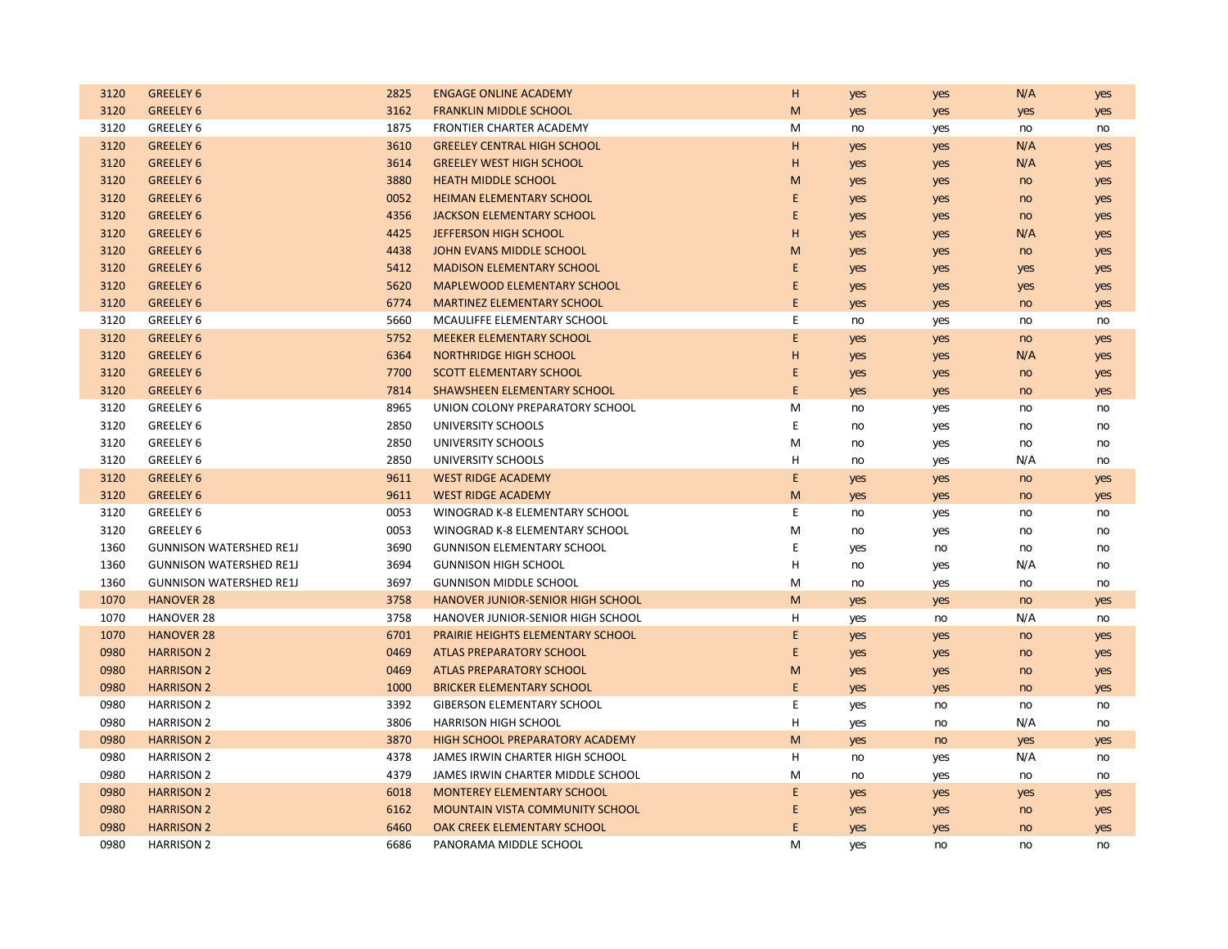| 3120 | <b>GREELEY 6</b>               | 2825 | <b>ENGAGE ONLINE ACADEMY</b>             | н           | yes | yes | N/A | yes |
|------|--------------------------------|------|------------------------------------------|-------------|-----|-----|-----|-----|
| 3120 | <b>GREELEY 6</b>               | 3162 | <b>FRANKLIN MIDDLE SCHOOL</b>            | M           | yes | yes | yes | yes |
| 3120 | GREELEY 6                      | 1875 | FRONTIER CHARTER ACADEMY                 | M           | no  | yes | no  | no  |
| 3120 | <b>GREELEY 6</b>               | 3610 | <b>GREELEY CENTRAL HIGH SCHOOL</b>       | H           | yes | yes | N/A | yes |
| 3120 | <b>GREELEY 6</b>               | 3614 | <b>GREELEY WEST HIGH SCHOOL</b>          | H           | yes | yes | N/A | yes |
| 3120 | <b>GREELEY 6</b>               | 3880 | <b>HEATH MIDDLE SCHOOL</b>               | M           | yes | yes | no  | yes |
| 3120 | <b>GREELEY 6</b>               | 0052 | HEIMAN ELEMENTARY SCHOOL                 | E           | yes | yes | no  | yes |
| 3120 | <b>GREELEY 6</b>               | 4356 | <b>JACKSON ELEMENTARY SCHOOL</b>         | E           | yes | yes | no  | yes |
| 3120 | <b>GREELEY 6</b>               | 4425 | <b>JEFFERSON HIGH SCHOOL</b>             | H           | yes | yes | N/A | yes |
| 3120 | <b>GREELEY 6</b>               | 4438 | JOHN EVANS MIDDLE SCHOOL                 | M           | yes | yes | no  | yes |
| 3120 | <b>GREELEY 6</b>               | 5412 | <b>MADISON ELEMENTARY SCHOOL</b>         | E           | yes | yes | yes | yes |
| 3120 | <b>GREELEY 6</b>               | 5620 | <b>MAPLEWOOD ELEMENTARY SCHOOL</b>       | E           | yes | yes | yes | yes |
| 3120 | <b>GREELEY 6</b>               | 6774 | <b>MARTINEZ ELEMENTARY SCHOOL</b>        | E           | yes | yes | no  | yes |
| 3120 | GREELEY 6                      | 5660 | MCAULIFFE ELEMENTARY SCHOOL              | E           | no  | yes | no  | no  |
| 3120 | <b>GREELEY 6</b>               | 5752 | <b>MEEKER ELEMENTARY SCHOOL</b>          | E           | yes | yes | no  | yes |
| 3120 | <b>GREELEY 6</b>               | 6364 | <b>NORTHRIDGE HIGH SCHOOL</b>            | H           | yes | yes | N/A | yes |
| 3120 | <b>GREELEY 6</b>               | 7700 | <b>SCOTT ELEMENTARY SCHOOL</b>           | E           | yes | yes | no  | yes |
| 3120 | <b>GREELEY 6</b>               | 7814 | SHAWSHEEN ELEMENTARY SCHOOL              | E           | yes | yes | no  | yes |
| 3120 | GREELEY 6                      | 8965 | UNION COLONY PREPARATORY SCHOOL          | M           | no  | yes | no  | no  |
| 3120 | GREELEY 6                      | 2850 | UNIVERSITY SCHOOLS                       | E           | no  | yes | no  | no  |
| 3120 | GREELEY 6                      | 2850 | UNIVERSITY SCHOOLS                       | M           | no  | yes | no  | no  |
| 3120 | GREELEY 6                      | 2850 | UNIVERSITY SCHOOLS                       | н           | no  | yes | N/A | no  |
| 3120 | <b>GREELEY 6</b>               | 9611 | <b>WEST RIDGE ACADEMY</b>                | E           | yes | yes | no  | yes |
| 3120 | <b>GREELEY 6</b>               | 9611 | <b>WEST RIDGE ACADEMY</b>                | M           | yes | yes | no  | yes |
| 3120 | GREELEY 6                      | 0053 | WINOGRAD K-8 ELEMENTARY SCHOOL           | E           | no  | yes | no  | no  |
| 3120 | GREELEY 6                      | 0053 | WINOGRAD K-8 ELEMENTARY SCHOOL           | M           | no  | yes | no  | no  |
| 1360 | <b>GUNNISON WATERSHED RE1J</b> | 3690 | <b>GUNNISON ELEMENTARY SCHOOL</b>        | E           | yes | no  | no  | no  |
| 1360 | <b>GUNNISON WATERSHED RE1J</b> | 3694 | <b>GUNNISON HIGH SCHOOL</b>              | Н           | no  | yes | N/A | no  |
| 1360 | <b>GUNNISON WATERSHED RE1J</b> | 3697 | <b>GUNNISON MIDDLE SCHOOL</b>            | M           | no  | yes | no  | no  |
| 1070 | <b>HANOVER 28</b>              | 3758 | HANOVER JUNIOR-SENIOR HIGH SCHOOL        | M           | yes | yes | no  | yes |
| 1070 | <b>HANOVER 28</b>              | 3758 | HANOVER JUNIOR-SENIOR HIGH SCHOOL        | н           | yes | no  | N/A | no  |
| 1070 | <b>HANOVER 28</b>              | 6701 | <b>PRAIRIE HEIGHTS ELEMENTARY SCHOOL</b> | E           | yes | yes | no  | yes |
| 0980 | <b>HARRISON 2</b>              | 0469 | <b>ATLAS PREPARATORY SCHOOL</b>          | E           | yes | yes | no  | yes |
| 0980 | <b>HARRISON 2</b>              | 0469 | <b>ATLAS PREPARATORY SCHOOL</b>          | M           | yes | yes | no  | yes |
| 0980 | <b>HARRISON 2</b>              | 1000 | <b>BRICKER ELEMENTARY SCHOOL</b>         | $\mathsf E$ | yes | yes | no  | yes |
| 0980 | <b>HARRISON 2</b>              | 3392 | <b>GIBERSON ELEMENTARY SCHOOL</b>        | E           | yes | no  | no  | no  |
| 0980 | <b>HARRISON 2</b>              | 3806 | HARRISON HIGH SCHOOL                     | н           | yes | no  | N/A | no  |
| 0980 | <b>HARRISON 2</b>              | 3870 | <b>HIGH SCHOOL PREPARATORY ACADEMY</b>   | M           | yes | no  | yes | yes |
| 0980 | <b>HARRISON 2</b>              | 4378 | JAMES IRWIN CHARTER HIGH SCHOOL          | H           | no  | yes | N/A | no  |
| 0980 | <b>HARRISON 2</b>              | 4379 | JAMES IRWIN CHARTER MIDDLE SCHOOL        | M           | no  | yes | no  | no  |
| 0980 | <b>HARRISON 2</b>              | 6018 | MONTEREY ELEMENTARY SCHOOL               | $\mathsf E$ | yes | yes | yes | yes |
| 0980 | <b>HARRISON 2</b>              | 6162 | <b>MOUNTAIN VISTA COMMUNITY SCHOOL</b>   | E           | yes | yes | no  | yes |
| 0980 | <b>HARRISON 2</b>              | 6460 | OAK CREEK ELEMENTARY SCHOOL              | E           | yes | yes | no  | yes |
| 0980 | <b>HARRISON 2</b>              | 6686 | PANORAMA MIDDLE SCHOOL                   | M           | yes | no  | no  | no  |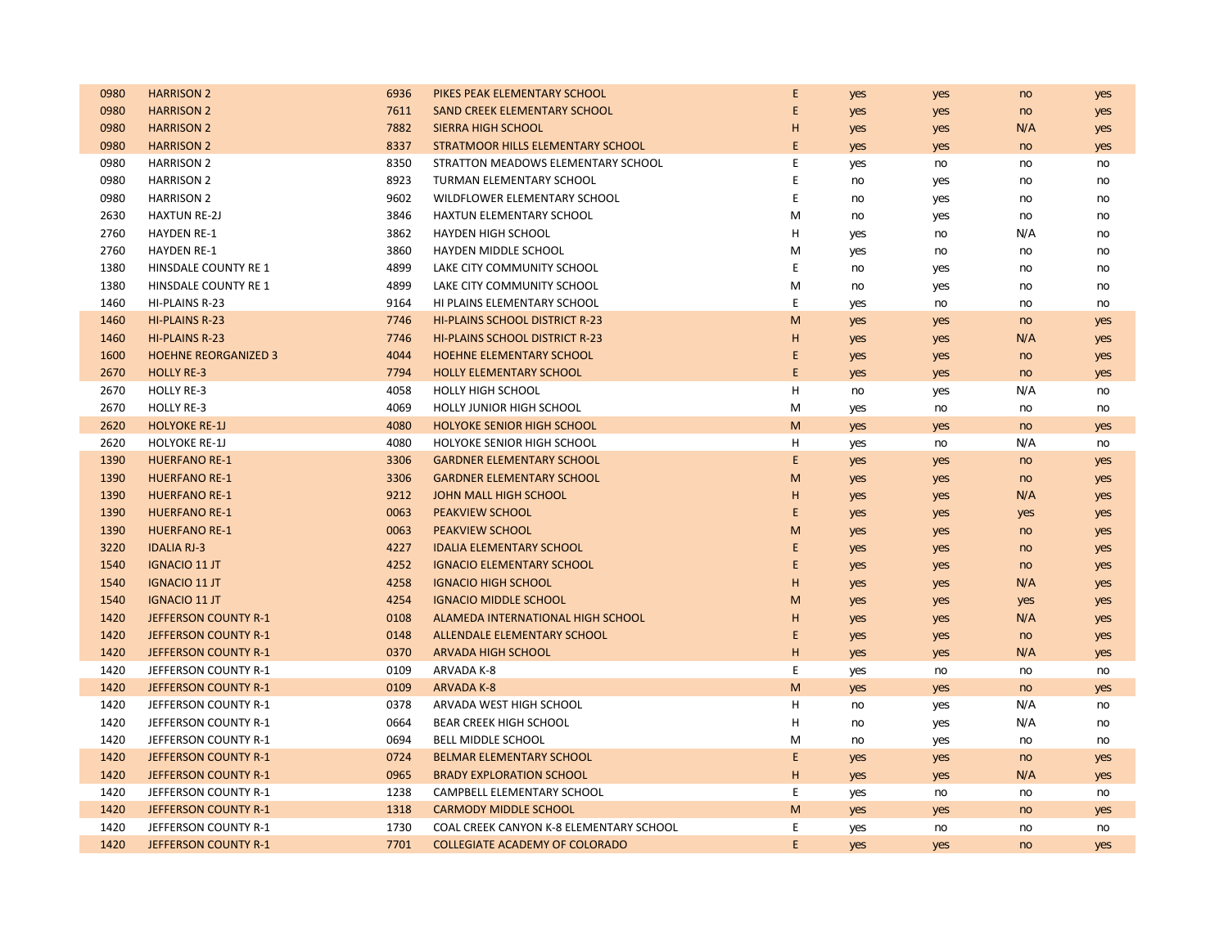| 0980 | <b>HARRISON 2</b>           | 6936 | PIKES PEAK ELEMENTARY SCHOOL            | E           | yes | yes | no  | yes |
|------|-----------------------------|------|-----------------------------------------|-------------|-----|-----|-----|-----|
| 0980 | <b>HARRISON 2</b>           | 7611 | SAND CREEK ELEMENTARY SCHOOL            | E           | yes | yes | no  | yes |
| 0980 | <b>HARRISON 2</b>           | 7882 | SIERRA HIGH SCHOOL                      | H           | yes | yes | N/A | yes |
| 0980 | <b>HARRISON 2</b>           | 8337 | STRATMOOR HILLS ELEMENTARY SCHOOL       | $\mathsf E$ | yes | yes | no  | yes |
| 0980 | <b>HARRISON 2</b>           | 8350 | STRATTON MEADOWS ELEMENTARY SCHOOL      | E           | yes | no  | no  | no  |
| 0980 | <b>HARRISON 2</b>           | 8923 | TURMAN ELEMENTARY SCHOOL                | E           | no  | yes | no  | no  |
| 0980 | <b>HARRISON 2</b>           | 9602 | WILDFLOWER ELEMENTARY SCHOOL            | $\mathsf E$ | no  | yes | no  | no  |
| 2630 | <b>HAXTUN RE-2J</b>         | 3846 | <b>HAXTUN ELEMENTARY SCHOOL</b>         | M           | no  | yes | no  | no  |
| 2760 | <b>HAYDEN RE-1</b>          | 3862 | <b>HAYDEN HIGH SCHOOL</b>               | Н           | yes | no  | N/A | no  |
| 2760 | <b>HAYDEN RE-1</b>          | 3860 | HAYDEN MIDDLE SCHOOL                    | M           | yes | no  | no  | no  |
| 1380 | HINSDALE COUNTY RE 1        | 4899 | LAKE CITY COMMUNITY SCHOOL              | E           | no  | yes | no  | no  |
| 1380 | HINSDALE COUNTY RE 1        | 4899 | LAKE CITY COMMUNITY SCHOOL              | M           | no  | yes | no  | no  |
| 1460 | HI-PLAINS R-23              | 9164 | HI PLAINS ELEMENTARY SCHOOL             | E           | yes | no  | no  | no  |
| 1460 | <b>HI-PLAINS R-23</b>       | 7746 | <b>HI-PLAINS SCHOOL DISTRICT R-23</b>   | M           | yes | yes | no  | yes |
| 1460 | <b>HI-PLAINS R-23</b>       | 7746 | <b>HI-PLAINS SCHOOL DISTRICT R-23</b>   | H           | yes | yes | N/A | yes |
| 1600 | <b>HOEHNE REORGANIZED 3</b> | 4044 | HOEHNE ELEMENTARY SCHOOL                | E           | yes | yes | no  | yes |
| 2670 | <b>HOLLY RE-3</b>           | 7794 | <b>HOLLY ELEMENTARY SCHOOL</b>          | E           | yes | yes | no  | yes |
| 2670 | <b>HOLLY RE-3</b>           | 4058 | <b>HOLLY HIGH SCHOOL</b>                | н           | no  | yes | N/A | no  |
| 2670 | <b>HOLLY RE-3</b>           | 4069 | HOLLY JUNIOR HIGH SCHOOL                | M           | yes | no  | no  | no  |
| 2620 | <b>HOLYOKE RE-1J</b>        | 4080 | <b>HOLYOKE SENIOR HIGH SCHOOL</b>       | M           | yes | yes | no  | yes |
| 2620 | <b>HOLYOKE RE-1J</b>        | 4080 | HOLYOKE SENIOR HIGH SCHOOL              | н           | yes | no  | N/A | no  |
| 1390 | <b>HUERFANO RE-1</b>        | 3306 | <b>GARDNER ELEMENTARY SCHOOL</b>        | E           | yes | yes | no  | yes |
| 1390 | <b>HUERFANO RE-1</b>        | 3306 | <b>GARDNER ELEMENTARY SCHOOL</b>        | M           | yes | yes | no  | yes |
| 1390 | <b>HUERFANO RE-1</b>        | 9212 | JOHN MALL HIGH SCHOOL                   | H           | yes | yes | N/A | yes |
| 1390 | <b>HUERFANO RE-1</b>        | 0063 | PEAKVIEW SCHOOL                         | E           | yes | yes | yes | yes |
| 1390 | <b>HUERFANO RE-1</b>        | 0063 | <b>PEAKVIEW SCHOOL</b>                  | M           | yes | yes | no  | yes |
| 3220 | <b>IDALIA RJ-3</b>          | 4227 | <b>IDALIA ELEMENTARY SCHOOL</b>         | E           | yes | yes | no  | yes |
| 1540 | <b>IGNACIO 11 JT</b>        | 4252 | <b>IGNACIO ELEMENTARY SCHOOL</b>        | E           | yes | yes | no  | yes |
| 1540 | <b>IGNACIO 11 JT</b>        | 4258 | <b>IGNACIO HIGH SCHOOL</b>              | H           | yes | yes | N/A | yes |
| 1540 | <b>IGNACIO 11 JT</b>        | 4254 | <b>IGNACIO MIDDLE SCHOOL</b>            | M           | yes | yes | yes | yes |
| 1420 | JEFFERSON COUNTY R-1        | 0108 | ALAMEDA INTERNATIONAL HIGH SCHOOL       | H           | yes | yes | N/A | yes |
| 1420 | JEFFERSON COUNTY R-1        | 0148 | ALLENDALE ELEMENTARY SCHOOL             | E           | yes | yes | no  | yes |
| 1420 | JEFFERSON COUNTY R-1        | 0370 | <b>ARVADA HIGH SCHOOL</b>               | H           | yes | yes | N/A | yes |
| 1420 | JEFFERSON COUNTY R-1        | 0109 | ARVADA K-8                              | E           | yes | no  | no  | no  |
| 1420 | JEFFERSON COUNTY R-1        | 0109 | <b>ARVADA K-8</b>                       | M           | yes | yes | no  | yes |
| 1420 | JEFFERSON COUNTY R-1        | 0378 | ARVADA WEST HIGH SCHOOL                 | H           | no  | yes | N/A | no  |
| 1420 | JEFFERSON COUNTY R-1        | 0664 | BEAR CREEK HIGH SCHOOL                  | н           | no  | yes | N/A | no  |
| 1420 | JEFFERSON COUNTY R-1        | 0694 | <b>BELL MIDDLE SCHOOL</b>               | M           | no  | yes | no  | no  |
| 1420 | <b>JEFFERSON COUNTY R-1</b> | 0724 | <b>BELMAR ELEMENTARY SCHOOL</b>         | E           | yes | yes | no  | yes |
| 1420 | JEFFERSON COUNTY R-1        | 0965 | <b>BRADY EXPLORATION SCHOOL</b>         | H           | yes | yes | N/A | yes |
| 1420 | JEFFERSON COUNTY R-1        | 1238 | CAMPBELL ELEMENTARY SCHOOL              | E           | yes | no  | no  | no  |
| 1420 | JEFFERSON COUNTY R-1        | 1318 | <b>CARMODY MIDDLE SCHOOL</b>            | M           | yes | yes | no  | yes |
| 1420 | JEFFERSON COUNTY R-1        | 1730 | COAL CREEK CANYON K-8 ELEMENTARY SCHOOL | E           | yes | no  | no  | no  |
| 1420 | <b>JEFFERSON COUNTY R-1</b> | 7701 | <b>COLLEGIATE ACADEMY OF COLORADO</b>   | E           | yes | yes | no  | yes |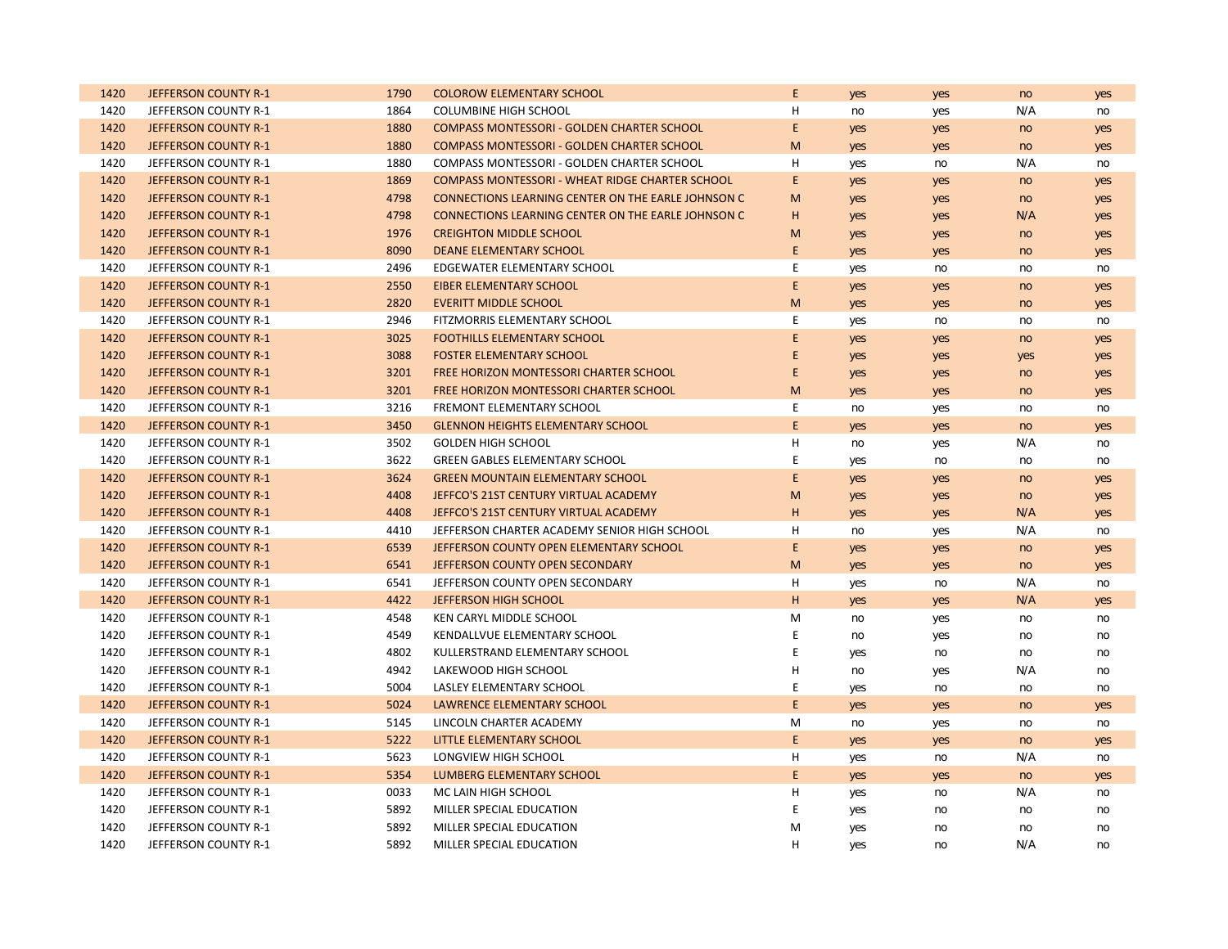| 1420 | JEFFERSON COUNTY R-1 | 1790 | <b>COLOROW ELEMENTARY SCHOOL</b>                       | E           | yes | yes | no  | yes |
|------|----------------------|------|--------------------------------------------------------|-------------|-----|-----|-----|-----|
| 1420 | JEFFERSON COUNTY R-1 | 1864 | <b>COLUMBINE HIGH SCHOOL</b>                           | н           | no  | yes | N/A | no  |
| 1420 | JEFFERSON COUNTY R-1 | 1880 | <b>COMPASS MONTESSORI - GOLDEN CHARTER SCHOOL</b>      | E           | yes | yes | no  | yes |
| 1420 | JEFFERSON COUNTY R-1 | 1880 | <b>COMPASS MONTESSORI - GOLDEN CHARTER SCHOOL</b>      | M           | yes | yes | no  | yes |
| 1420 | JEFFERSON COUNTY R-1 | 1880 | COMPASS MONTESSORI - GOLDEN CHARTER SCHOOL             | H           | yes | no  | N/A | no  |
| 1420 | JEFFERSON COUNTY R-1 | 1869 | <b>COMPASS MONTESSORI - WHEAT RIDGE CHARTER SCHOOL</b> | E           | yes | yes | no  | yes |
| 1420 | JEFFERSON COUNTY R-1 | 4798 | CONNECTIONS LEARNING CENTER ON THE EARLE JOHNSON C     | M           | yes | yes | no  | yes |
| 1420 | JEFFERSON COUNTY R-1 | 4798 | CONNECTIONS LEARNING CENTER ON THE EARLE JOHNSON C     | н           | yes | yes | N/A | yes |
| 1420 | JEFFERSON COUNTY R-1 | 1976 | <b>CREIGHTON MIDDLE SCHOOL</b>                         | M           | yes | yes | no  | yes |
| 1420 | JEFFERSON COUNTY R-1 | 8090 | <b>DEANE ELEMENTARY SCHOOL</b>                         | E           | yes | yes | no  | yes |
| 1420 | JEFFERSON COUNTY R-1 | 2496 | EDGEWATER ELEMENTARY SCHOOL                            | E           | yes | no  | no  | no  |
| 1420 | JEFFERSON COUNTY R-1 | 2550 | <b>EIBER ELEMENTARY SCHOOL</b>                         | E           | yes | yes | no  | yes |
| 1420 | JEFFERSON COUNTY R-1 | 2820 | <b>EVERITT MIDDLE SCHOOL</b>                           | M           | yes | yes | no  | yes |
| 1420 | JEFFERSON COUNTY R-1 | 2946 | FITZMORRIS ELEMENTARY SCHOOL                           | E           | yes | no  | no  | no  |
| 1420 | JEFFERSON COUNTY R-1 | 3025 | <b>FOOTHILLS ELEMENTARY SCHOOL</b>                     | E           | yes | yes | no  | yes |
| 1420 | JEFFERSON COUNTY R-1 | 3088 | <b>FOSTER ELEMENTARY SCHOOL</b>                        | E           | yes | yes | yes | yes |
| 1420 | JEFFERSON COUNTY R-1 | 3201 | FREE HORIZON MONTESSORI CHARTER SCHOOL                 | E           | yes | yes | no  | yes |
| 1420 | JEFFERSON COUNTY R-1 | 3201 | FREE HORIZON MONTESSORI CHARTER SCHOOL                 | M           | yes | yes | no  | yes |
| 1420 | JEFFERSON COUNTY R-1 | 3216 | FREMONT ELEMENTARY SCHOOL                              | E           | no  | yes | no  | no  |
| 1420 | JEFFERSON COUNTY R-1 | 3450 | <b>GLENNON HEIGHTS ELEMENTARY SCHOOL</b>               | E           | yes | yes | no  | yes |
| 1420 | JEFFERSON COUNTY R-1 | 3502 | <b>GOLDEN HIGH SCHOOL</b>                              | н           | no  | yes | N/A | no  |
| 1420 | JEFFERSON COUNTY R-1 | 3622 | <b>GREEN GABLES ELEMENTARY SCHOOL</b>                  | E           | yes | no  | no  | no  |
| 1420 | JEFFERSON COUNTY R-1 | 3624 | <b>GREEN MOUNTAIN ELEMENTARY SCHOOL</b>                | $\mathsf E$ | yes | yes | no  | yes |
| 1420 | JEFFERSON COUNTY R-1 | 4408 | JEFFCO'S 21ST CENTURY VIRTUAL ACADEMY                  | M           | yes | yes | no  | yes |
| 1420 | JEFFERSON COUNTY R-1 | 4408 | JEFFCO'S 21ST CENTURY VIRTUAL ACADEMY                  | H           | yes | yes | N/A | yes |
| 1420 | JEFFERSON COUNTY R-1 | 4410 | JEFFERSON CHARTER ACADEMY SENIOR HIGH SCHOOL           | н           | no  | yes | N/A | no  |
| 1420 | JEFFERSON COUNTY R-1 | 6539 | JEFFERSON COUNTY OPEN ELEMENTARY SCHOOL                | E           | yes | yes | no  | yes |
| 1420 | JEFFERSON COUNTY R-1 | 6541 | JEFFERSON COUNTY OPEN SECONDARY                        | M           | yes | yes | no  | yes |
| 1420 | JEFFERSON COUNTY R-1 | 6541 | JEFFERSON COUNTY OPEN SECONDARY                        | H           | yes | no  | N/A | no  |
| 1420 | JEFFERSON COUNTY R-1 | 4422 | JEFFERSON HIGH SCHOOL                                  | H           | yes | yes | N/A | yes |
| 1420 | JEFFERSON COUNTY R-1 | 4548 | KEN CARYL MIDDLE SCHOOL                                | M           | no  | yes | no  | no  |
| 1420 | JEFFERSON COUNTY R-1 | 4549 | KENDALLVUE ELEMENTARY SCHOOL                           | E           | no  | yes | no  | no  |
| 1420 | JEFFERSON COUNTY R-1 | 4802 | KULLERSTRAND ELEMENTARY SCHOOL                         | E           | yes | no  | no  | no  |
| 1420 | JEFFERSON COUNTY R-1 | 4942 | LAKEWOOD HIGH SCHOOL                                   | H           | no  | yes | N/A | no  |
| 1420 | JEFFERSON COUNTY R-1 | 5004 | LASLEY ELEMENTARY SCHOOL                               | E           | yes | no  | no  | no  |
| 1420 | JEFFERSON COUNTY R-1 | 5024 | <b>LAWRENCE ELEMENTARY SCHOOL</b>                      | E           | yes | yes | no  | yes |
| 1420 | JEFFERSON COUNTY R-1 | 5145 | LINCOLN CHARTER ACADEMY                                | M           | no  | yes | no  | no  |
| 1420 | JEFFERSON COUNTY R-1 | 5222 | LITTLE ELEMENTARY SCHOOL                               | E           | yes | yes | no  | yes |
| 1420 | JEFFERSON COUNTY R-1 | 5623 | LONGVIEW HIGH SCHOOL                                   | н           | yes | no  | N/A | no  |
| 1420 | JEFFERSON COUNTY R-1 | 5354 | LUMBERG ELEMENTARY SCHOOL                              | E           | yes | yes | no  | yes |
| 1420 | JEFFERSON COUNTY R-1 | 0033 | MC LAIN HIGH SCHOOL                                    | н           | yes | no  | N/A | no  |
| 1420 | JEFFERSON COUNTY R-1 | 5892 | MILLER SPECIAL EDUCATION                               | E           | yes | no  | no  | no  |
| 1420 | JEFFERSON COUNTY R-1 | 5892 | MILLER SPECIAL EDUCATION                               | м           | yes | no  | no  | no  |
| 1420 | JEFFERSON COUNTY R-1 | 5892 | MILLER SPECIAL EDUCATION                               | H           | yes | no  | N/A | no  |
|      |                      |      |                                                        |             |     |     |     |     |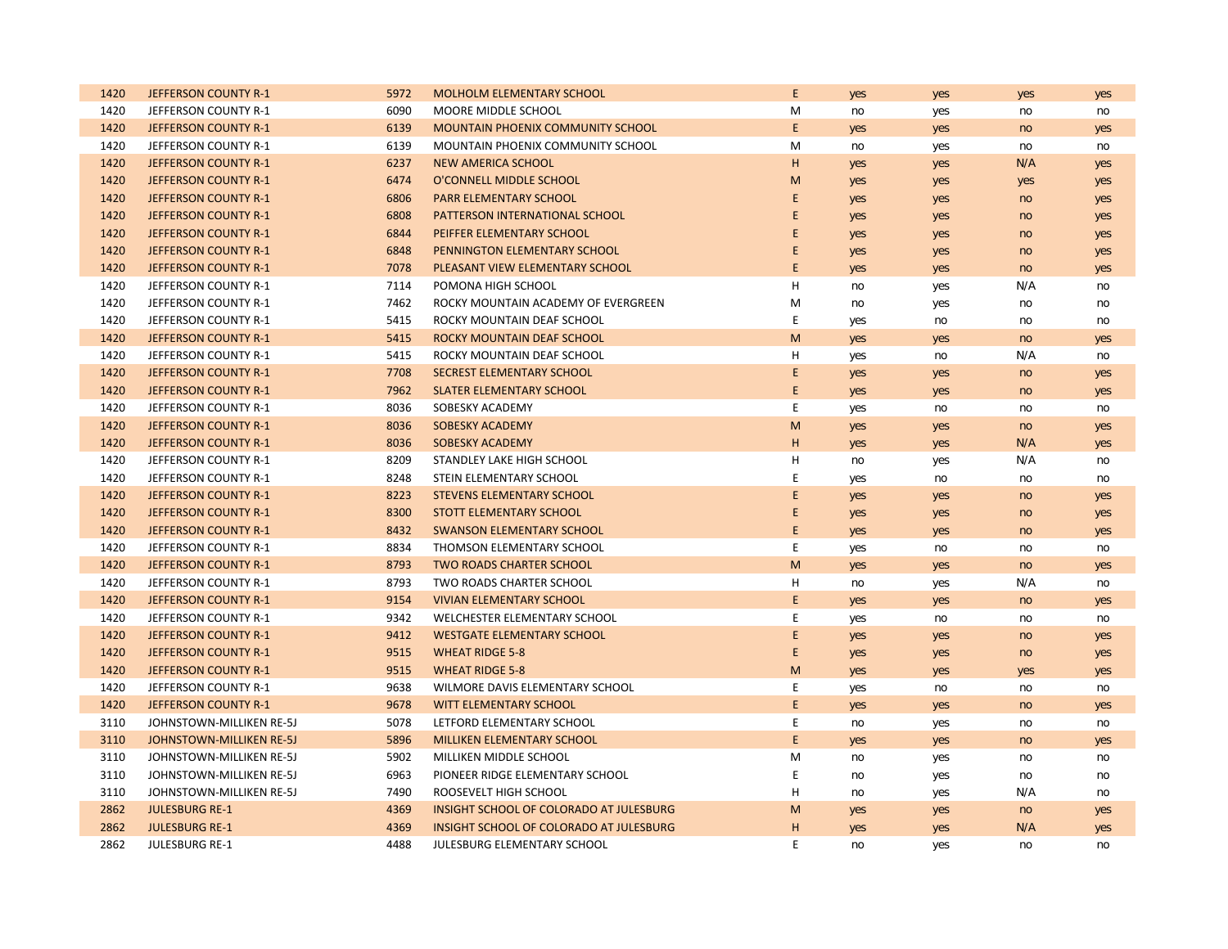| 1420 | <b>JEFFERSON COUNTY R-1</b> | 5972 | <b>MOLHOLM ELEMENTARY SCHOOL</b>        | E           | yes | yes | yes | yes |
|------|-----------------------------|------|-----------------------------------------|-------------|-----|-----|-----|-----|
| 1420 | JEFFERSON COUNTY R-1        | 6090 | MOORE MIDDLE SCHOOL                     | M           | no  | yes | no  | no  |
| 1420 | JEFFERSON COUNTY R-1        | 6139 | MOUNTAIN PHOENIX COMMUNITY SCHOOL       | E           | yes | yes | no  | yes |
| 1420 | JEFFERSON COUNTY R-1        | 6139 | MOUNTAIN PHOENIX COMMUNITY SCHOOL       | M           | no  | yes | no  | no  |
| 1420 | <b>JEFFERSON COUNTY R-1</b> | 6237 | NEW AMERICA SCHOOL                      | H           | yes | yes | N/A | yes |
| 1420 | JEFFERSON COUNTY R-1        | 6474 | O'CONNELL MIDDLE SCHOOL                 | M           | yes | yes | yes | yes |
| 1420 | <b>JEFFERSON COUNTY R-1</b> | 6806 | <b>PARR ELEMENTARY SCHOOL</b>           | E           | yes | yes | no  | yes |
| 1420 | <b>JEFFERSON COUNTY R-1</b> | 6808 | PATTERSON INTERNATIONAL SCHOOL          | E           | yes | yes | no  | yes |
| 1420 | <b>JEFFERSON COUNTY R-1</b> | 6844 | PEIFFER ELEMENTARY SCHOOL               | E           | yes | yes | no  | yes |
| 1420 | JEFFERSON COUNTY R-1        | 6848 | PENNINGTON ELEMENTARY SCHOOL            | E           | yes | yes | no  | yes |
| 1420 | JEFFERSON COUNTY R-1        | 7078 | PLEASANT VIEW ELEMENTARY SCHOOL         | E           | yes | yes | no  | yes |
| 1420 | JEFFERSON COUNTY R-1        | 7114 | POMONA HIGH SCHOOL                      | н           | no  | yes | N/A | no  |
| 1420 | JEFFERSON COUNTY R-1        | 7462 | ROCKY MOUNTAIN ACADEMY OF EVERGREEN     | M           | no  | yes | no  | no  |
| 1420 | JEFFERSON COUNTY R-1        | 5415 | ROCKY MOUNTAIN DEAF SCHOOL              | E           | yes | no  | no  | no  |
| 1420 | <b>JEFFERSON COUNTY R-1</b> | 5415 | ROCKY MOUNTAIN DEAF SCHOOL              | M           | yes | yes | no  | yes |
| 1420 | JEFFERSON COUNTY R-1        | 5415 | ROCKY MOUNTAIN DEAF SCHOOL              | н           | yes | no  | N/A | no  |
| 1420 | JEFFERSON COUNTY R-1        | 7708 | SECREST ELEMENTARY SCHOOL               | E           | yes | yes | no  | yes |
| 1420 | JEFFERSON COUNTY R-1        | 7962 | <b>SLATER ELEMENTARY SCHOOL</b>         | E           | yes | yes | no  | yes |
| 1420 | JEFFERSON COUNTY R-1        | 8036 | SOBESKY ACADEMY                         | E           | yes | no  | no  | no  |
| 1420 | JEFFERSON COUNTY R-1        | 8036 | <b>SOBESKY ACADEMY</b>                  | M           | yes | yes | no  | yes |
| 1420 | JEFFERSON COUNTY R-1        | 8036 | <b>SOBESKY ACADEMY</b>                  | н           | yes | yes | N/A | yes |
| 1420 | JEFFERSON COUNTY R-1        | 8209 | STANDLEY LAKE HIGH SCHOOL               | н           | no  | yes | N/A | no  |
| 1420 | JEFFERSON COUNTY R-1        | 8248 | STEIN ELEMENTARY SCHOOL                 | E           | yes | no  | no  | no  |
| 1420 | JEFFERSON COUNTY R-1        | 8223 | <b>STEVENS ELEMENTARY SCHOOL</b>        | $\mathsf E$ | yes | yes | no  | yes |
| 1420 | JEFFERSON COUNTY R-1        | 8300 | <b>STOTT ELEMENTARY SCHOOL</b>          | E           | yes | yes | no  | yes |
| 1420 | JEFFERSON COUNTY R-1        | 8432 | <b>SWANSON ELEMENTARY SCHOOL</b>        | E           | yes | yes | no  | yes |
| 1420 | JEFFERSON COUNTY R-1        | 8834 | THOMSON ELEMENTARY SCHOOL               | E           | yes | no  | no  | no  |
| 1420 | JEFFERSON COUNTY R-1        | 8793 | <b>TWO ROADS CHARTER SCHOOL</b>         | M           | yes | yes | no  | yes |
| 1420 | JEFFERSON COUNTY R-1        | 8793 | TWO ROADS CHARTER SCHOOL                | H           | no  | yes | N/A | no  |
| 1420 | JEFFERSON COUNTY R-1        | 9154 | <b>VIVIAN ELEMENTARY SCHOOL</b>         | E           | yes | yes | no  | yes |
| 1420 | JEFFERSON COUNTY R-1        | 9342 | WELCHESTER ELEMENTARY SCHOOL            | E           | yes | no  | no  | no  |
| 1420 | JEFFERSON COUNTY R-1        | 9412 | <b>WESTGATE ELEMENTARY SCHOOL</b>       | $\mathsf E$ | yes | yes | no  | yes |
| 1420 | JEFFERSON COUNTY R-1        | 9515 | <b>WHEAT RIDGE 5-8</b>                  | E           | yes | yes | no  | yes |
| 1420 | <b>JEFFERSON COUNTY R-1</b> | 9515 | <b>WHEAT RIDGE 5-8</b>                  | M           | yes | yes | yes | yes |
| 1420 | JEFFERSON COUNTY R-1        | 9638 | WILMORE DAVIS ELEMENTARY SCHOOL         | $\mathsf E$ | yes | no  | no  | no  |
| 1420 | JEFFERSON COUNTY R-1        | 9678 | WITT ELEMENTARY SCHOOL                  | E           | yes | yes | no  | yes |
| 3110 | JOHNSTOWN-MILLIKEN RE-5J    | 5078 | LETFORD ELEMENTARY SCHOOL               | E           | no  | yes | no  | no  |
| 3110 | JOHNSTOWN-MILLIKEN RE-5J    | 5896 | MILLIKEN ELEMENTARY SCHOOL              | E.          | yes | yes | no  | yes |
| 3110 | JOHNSTOWN-MILLIKEN RE-5J    | 5902 | MILLIKEN MIDDLE SCHOOL                  | M           | no  | yes | no  | no  |
| 3110 | JOHNSTOWN-MILLIKEN RE-5J    | 6963 | PIONEER RIDGE ELEMENTARY SCHOOL         | E           | no  | yes | no  | no  |
| 3110 | JOHNSTOWN-MILLIKEN RE-5J    | 7490 | ROOSEVELT HIGH SCHOOL                   | н           | no  | yes | N/A | no  |
| 2862 | <b>JULESBURG RE-1</b>       | 4369 | INSIGHT SCHOOL OF COLORADO AT JULESBURG | M           | yes | yes | no  | yes |
| 2862 | <b>JULESBURG RE-1</b>       | 4369 | INSIGHT SCHOOL OF COLORADO AT JULESBURG | H           | yes | yes | N/A | yes |
| 2862 | <b>JULESBURG RE-1</b>       | 4488 | JULESBURG ELEMENTARY SCHOOL             | E           | no  | yes | no  | no  |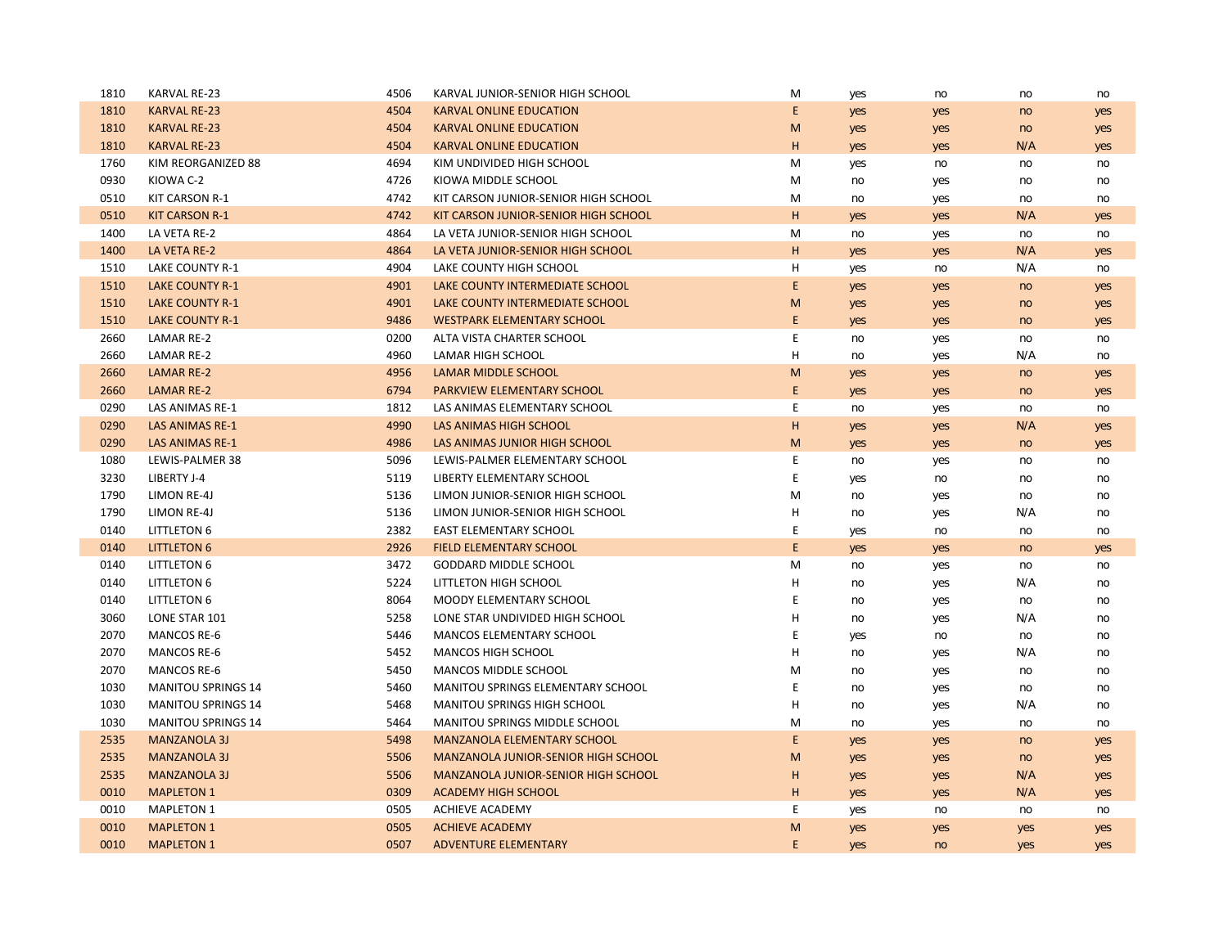| 1810 | KARVAL RE-23              | 4506 | KARVAL JUNIOR-SENIOR HIGH SCHOOL           | M           | yes | no  | no  | no  |
|------|---------------------------|------|--------------------------------------------|-------------|-----|-----|-----|-----|
| 1810 | <b>KARVAL RE-23</b>       | 4504 | <b>KARVAL ONLINE EDUCATION</b>             | E           | yes | yes | no  | yes |
| 1810 | <b>KARVAL RE-23</b>       | 4504 | <b>KARVAL ONLINE EDUCATION</b>             | M           | yes | yes | no  | yes |
| 1810 | <b>KARVAL RE-23</b>       | 4504 | <b>KARVAL ONLINE EDUCATION</b>             | H           | yes | yes | N/A | yes |
| 1760 | KIM REORGANIZED 88        | 4694 | KIM UNDIVIDED HIGH SCHOOL                  | M           | yes | no  | no  | no  |
| 0930 | KIOWA C-2                 | 4726 | KIOWA MIDDLE SCHOOL                        | M           | no  | yes | no  | no  |
| 0510 | <b>KIT CARSON R-1</b>     | 4742 | KIT CARSON JUNIOR-SENIOR HIGH SCHOOL       | M           | no  | yes | no  | no  |
| 0510 | <b>KIT CARSON R-1</b>     | 4742 | KIT CARSON JUNIOR-SENIOR HIGH SCHOOL       | H           | yes | yes | N/A | yes |
| 1400 | LA VETA RE-2              | 4864 | LA VETA JUNIOR-SENIOR HIGH SCHOOL          | M           | no  | yes | no  | no  |
| 1400 | LA VETA RE-2              | 4864 | LA VETA JUNIOR-SENIOR HIGH SCHOOL          | H           | yes | yes | N/A | yes |
| 1510 | LAKE COUNTY R-1           | 4904 | LAKE COUNTY HIGH SCHOOL                    | н           | yes | no  | N/A | no  |
| 1510 | <b>LAKE COUNTY R-1</b>    | 4901 | LAKE COUNTY INTERMEDIATE SCHOOL            | E           | yes | yes | no  | yes |
| 1510 | <b>LAKE COUNTY R-1</b>    | 4901 | LAKE COUNTY INTERMEDIATE SCHOOL            | M           | yes | yes | no  | yes |
| 1510 | <b>LAKE COUNTY R-1</b>    | 9486 | <b>WESTPARK ELEMENTARY SCHOOL</b>          | E           | yes | yes | no  | yes |
| 2660 | <b>LAMAR RE-2</b>         | 0200 | ALTA VISTA CHARTER SCHOOL                  | E           | no  | yes | no  | no  |
| 2660 | <b>LAMAR RE-2</b>         | 4960 | <b>LAMAR HIGH SCHOOL</b>                   | Н           | no  | yes | N/A | no  |
| 2660 | <b>LAMAR RE-2</b>         | 4956 | <b>LAMAR MIDDLE SCHOOL</b>                 | M           | yes | yes | no  | yes |
| 2660 | <b>LAMAR RE-2</b>         | 6794 | PARKVIEW ELEMENTARY SCHOOL                 | E           | yes | yes | no  | yes |
| 0290 | LAS ANIMAS RE-1           | 1812 | LAS ANIMAS ELEMENTARY SCHOOL               | E           | no  | yes | no  | no  |
| 0290 | <b>LAS ANIMAS RE-1</b>    | 4990 | LAS ANIMAS HIGH SCHOOL                     | H           | yes | yes | N/A | yes |
| 0290 | <b>LAS ANIMAS RE-1</b>    | 4986 | LAS ANIMAS JUNIOR HIGH SCHOOL              | M           | yes | yes | no  | yes |
| 1080 | LEWIS-PALMER 38           | 5096 | LEWIS-PALMER ELEMENTARY SCHOOL             | E           | no  | yes | no  | no  |
| 3230 | LIBERTY J-4               | 5119 | LIBERTY ELEMENTARY SCHOOL                  | Ε           | yes | no  | no  | no  |
| 1790 | LIMON RE-4J               | 5136 | LIMON JUNIOR-SENIOR HIGH SCHOOL            | M           | no  | yes | no  | no  |
| 1790 | LIMON RE-4J               | 5136 | LIMON JUNIOR-SENIOR HIGH SCHOOL            | н           | no  | yes | N/A | no  |
| 0140 | <b>LITTLETON 6</b>        | 2382 | <b>EAST ELEMENTARY SCHOOL</b>              | E           | yes | no  | no  | no  |
| 0140 | <b>LITTLETON 6</b>        | 2926 | <b>FIELD ELEMENTARY SCHOOL</b>             | E           | yes | yes | no  | yes |
| 0140 | <b>LITTLETON 6</b>        | 3472 | GODDARD MIDDLE SCHOOL                      | M           | no  | yes | no  | no  |
| 0140 | <b>LITTLETON 6</b>        | 5224 | LITTLETON HIGH SCHOOL                      | Н           | no  | yes | N/A | no  |
| 0140 | <b>LITTLETON 6</b>        | 8064 | MOODY ELEMENTARY SCHOOL                    | E           | no  | yes | no  | no  |
| 3060 | LONE STAR 101             | 5258 | LONE STAR UNDIVIDED HIGH SCHOOL            | H           | no  | yes | N/A | no  |
| 2070 | <b>MANCOS RE-6</b>        | 5446 | <b>MANCOS ELEMENTARY SCHOOL</b>            | E           | yes | no  | no  | no  |
| 2070 | <b>MANCOS RE-6</b>        | 5452 | MANCOS HIGH SCHOOL                         | H           | no  | yes | N/A | no  |
| 2070 | <b>MANCOS RE-6</b>        | 5450 | MANCOS MIDDLE SCHOOL                       | M           | no  | yes | no  | no  |
| 1030 | <b>MANITOU SPRINGS 14</b> | 5460 | MANITOU SPRINGS ELEMENTARY SCHOOL          | E           | no  | yes | no  | no  |
| 1030 | <b>MANITOU SPRINGS 14</b> | 5468 | <b>MANITOU SPRINGS HIGH SCHOOL</b>         | H           | no  | yes | N/A | no  |
| 1030 | <b>MANITOU SPRINGS 14</b> | 5464 | MANITOU SPRINGS MIDDLE SCHOOL              | M           | no  | yes | no  | no  |
| 2535 | <b>MANZANOLA 3J</b>       | 5498 | <b>MANZANOLA ELEMENTARY SCHOOL</b>         | $\mathsf E$ | yes | yes | no  | yes |
| 2535 | <b>MANZANOLA 3J</b>       | 5506 | <b>MANZANOLA JUNIOR-SENIOR HIGH SCHOOL</b> | M           | yes | yes | no  | yes |
| 2535 | <b>MANZANOLA 3J</b>       | 5506 | <b>MANZANOLA JUNIOR-SENIOR HIGH SCHOOL</b> | H           | yes | yes | N/A | yes |
| 0010 | <b>MAPLETON 1</b>         | 0309 | <b>ACADEMY HIGH SCHOOL</b>                 | H           | yes | yes | N/A | yes |
| 0010 | <b>MAPLETON 1</b>         | 0505 | <b>ACHIEVE ACADEMY</b>                     | E           | yes | no  | no  | no  |
| 0010 | <b>MAPLETON 1</b>         | 0505 | <b>ACHIEVE ACADEMY</b>                     | M           | yes | yes | yes | yes |
| 0010 | <b>MAPLETON 1</b>         | 0507 | <b>ADVENTURE ELEMENTARY</b>                | E           | yes | no  | yes | yes |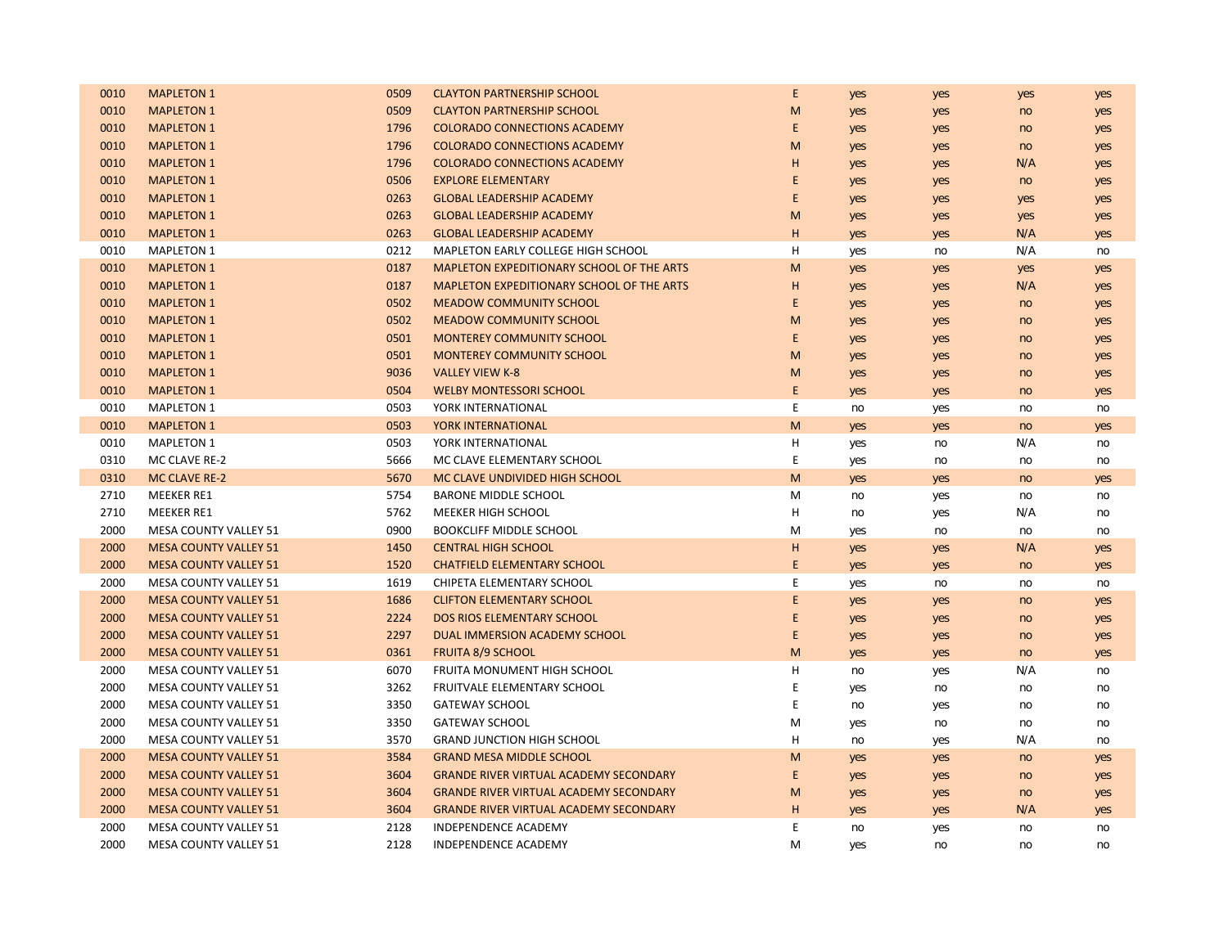| 0010 | <b>MAPLETON 1</b>            | 0509 | <b>CLAYTON PARTNERSHIP SCHOOL</b>             | E. | yes | yes | yes | yes |
|------|------------------------------|------|-----------------------------------------------|----|-----|-----|-----|-----|
| 0010 | <b>MAPLETON 1</b>            | 0509 | <b>CLAYTON PARTNERSHIP SCHOOL</b>             | M  | yes | yes | no  | yes |
| 0010 | <b>MAPLETON 1</b>            | 1796 | <b>COLORADO CONNECTIONS ACADEMY</b>           | E  | yes | yes | no  | yes |
| 0010 | <b>MAPLETON 1</b>            | 1796 | <b>COLORADO CONNECTIONS ACADEMY</b>           | M  | yes | yes | no  | yes |
| 0010 | <b>MAPLETON 1</b>            | 1796 | <b>COLORADO CONNECTIONS ACADEMY</b>           | н  | yes | yes | N/A | yes |
| 0010 | <b>MAPLETON 1</b>            | 0506 | <b>EXPLORE ELEMENTARY</b>                     | E  | yes | yes | no  | yes |
| 0010 | <b>MAPLETON 1</b>            | 0263 | <b>GLOBAL LEADERSHIP ACADEMY</b>              | E  | yes | yes | yes | yes |
| 0010 | <b>MAPLETON 1</b>            | 0263 | <b>GLOBAL LEADERSHIP ACADEMY</b>              | M  | yes | yes | yes | yes |
| 0010 | <b>MAPLETON 1</b>            | 0263 | <b>GLOBAL LEADERSHIP ACADEMY</b>              | н  | yes | yes | N/A | yes |
| 0010 | <b>MAPLETON 1</b>            | 0212 | MAPLETON EARLY COLLEGE HIGH SCHOOL            | н  | yes | no  | N/A | no  |
| 0010 | <b>MAPLETON 1</b>            | 0187 | MAPLETON EXPEDITIONARY SCHOOL OF THE ARTS     | M  | yes | yes | yes | yes |
| 0010 | <b>MAPLETON 1</b>            | 0187 | MAPLETON EXPEDITIONARY SCHOOL OF THE ARTS     | н  | yes | yes | N/A | yes |
| 0010 | <b>MAPLETON 1</b>            | 0502 | <b>MEADOW COMMUNITY SCHOOL</b>                | E  | yes | yes | no  | yes |
| 0010 | <b>MAPLETON 1</b>            | 0502 | <b>MEADOW COMMUNITY SCHOOL</b>                | M  | yes | yes | no  | yes |
| 0010 | <b>MAPLETON 1</b>            | 0501 | <b>MONTEREY COMMUNITY SCHOOL</b>              | E  | yes | yes | no  | yes |
| 0010 | <b>MAPLETON 1</b>            | 0501 | <b>MONTEREY COMMUNITY SCHOOL</b>              | M  | yes | yes | no  | yes |
| 0010 | <b>MAPLETON 1</b>            | 9036 | <b>VALLEY VIEW K-8</b>                        | M  | yes | yes | no  | yes |
| 0010 | <b>MAPLETON 1</b>            | 0504 | <b>WELBY MONTESSORI SCHOOL</b>                | E. | yes | yes | no  | yes |
| 0010 | <b>MAPLETON 1</b>            | 0503 | YORK INTERNATIONAL                            | E  | no  | yes | no  | no  |
| 0010 | <b>MAPLETON 1</b>            | 0503 | YORK INTERNATIONAL                            | M  | yes | yes | no  | yes |
| 0010 | <b>MAPLETON 1</b>            | 0503 | YORK INTERNATIONAL                            | н  | yes | no  | N/A | no  |
| 0310 | MC CLAVE RE-2                | 5666 | MC CLAVE ELEMENTARY SCHOOL                    | E  | yes | no  | no  | no  |
| 0310 | <b>MC CLAVE RE-2</b>         | 5670 | MC CLAVE UNDIVIDED HIGH SCHOOL                | M  | yes | yes | no  | yes |
| 2710 | <b>MEEKER RE1</b>            | 5754 | <b>BARONE MIDDLE SCHOOL</b>                   | M  | no  | yes | no  | no  |
| 2710 | <b>MEEKER RE1</b>            | 5762 | MEEKER HIGH SCHOOL                            | н  | no  | yes | N/A | no  |
| 2000 | <b>MESA COUNTY VALLEY 51</b> | 0900 | <b>BOOKCLIFF MIDDLE SCHOOL</b>                | М  | yes | no  | no  | no  |
| 2000 | <b>MESA COUNTY VALLEY 51</b> | 1450 | <b>CENTRAL HIGH SCHOOL</b>                    | H  | yes | yes | N/A | yes |
| 2000 | <b>MESA COUNTY VALLEY 51</b> | 1520 | <b>CHATFIELD ELEMENTARY SCHOOL</b>            | E. | yes | yes | no  | yes |
| 2000 | MESA COUNTY VALLEY 51        | 1619 | CHIPETA ELEMENTARY SCHOOL                     | E  | yes | no  | no  | no  |
| 2000 | <b>MESA COUNTY VALLEY 51</b> | 1686 | <b>CLIFTON ELEMENTARY SCHOOL</b>              | E  | yes | yes | no  | yes |
| 2000 | <b>MESA COUNTY VALLEY 51</b> | 2224 | <b>DOS RIOS ELEMENTARY SCHOOL</b>             | E  | yes | yes | no  | yes |
| 2000 | <b>MESA COUNTY VALLEY 51</b> | 2297 | DUAL IMMERSION ACADEMY SCHOOL                 | E  | yes | yes | no  | yes |
| 2000 | <b>MESA COUNTY VALLEY 51</b> | 0361 | <b>FRUITA 8/9 SCHOOL</b>                      | M  | yes | yes | no  | yes |
| 2000 | MESA COUNTY VALLEY 51        | 6070 | FRUITA MONUMENT HIGH SCHOOL                   | Η  | no  | yes | N/A | no  |
| 2000 | MESA COUNTY VALLEY 51        | 3262 | FRUITVALE ELEMENTARY SCHOOL                   | E  | yes | no  | no  | no  |
| 2000 | <b>MESA COUNTY VALLEY 51</b> | 3350 | <b>GATEWAY SCHOOL</b>                         | E  | no  | yes | no  | no  |
| 2000 | <b>MESA COUNTY VALLEY 51</b> | 3350 | <b>GATEWAY SCHOOL</b>                         | М  | yes | no  | no  | no  |
| 2000 | <b>MESA COUNTY VALLEY 51</b> | 3570 | <b>GRAND JUNCTION HIGH SCHOOL</b>             | Η  | no  | yes | N/A | no  |
| 2000 | <b>MESA COUNTY VALLEY 51</b> | 3584 | <b>GRAND MESA MIDDLE SCHOOL</b>               | M  | yes | yes | no  | yes |
| 2000 | <b>MESA COUNTY VALLEY 51</b> | 3604 | <b>GRANDE RIVER VIRTUAL ACADEMY SECONDARY</b> | E  | yes | yes | no  | yes |
| 2000 | <b>MESA COUNTY VALLEY 51</b> | 3604 | <b>GRANDE RIVER VIRTUAL ACADEMY SECONDARY</b> | M  | yes | yes | no  | yes |
| 2000 | <b>MESA COUNTY VALLEY 51</b> | 3604 | <b>GRANDE RIVER VIRTUAL ACADEMY SECONDARY</b> | н  | yes | yes | N/A | yes |
| 2000 | <b>MESA COUNTY VALLEY 51</b> | 2128 | INDEPENDENCE ACADEMY                          | E  | no  | yes | no  | no  |
| 2000 | MESA COUNTY VALLEY 51        | 2128 | INDEPENDENCE ACADEMY                          | M  | yes | no  | no  | no  |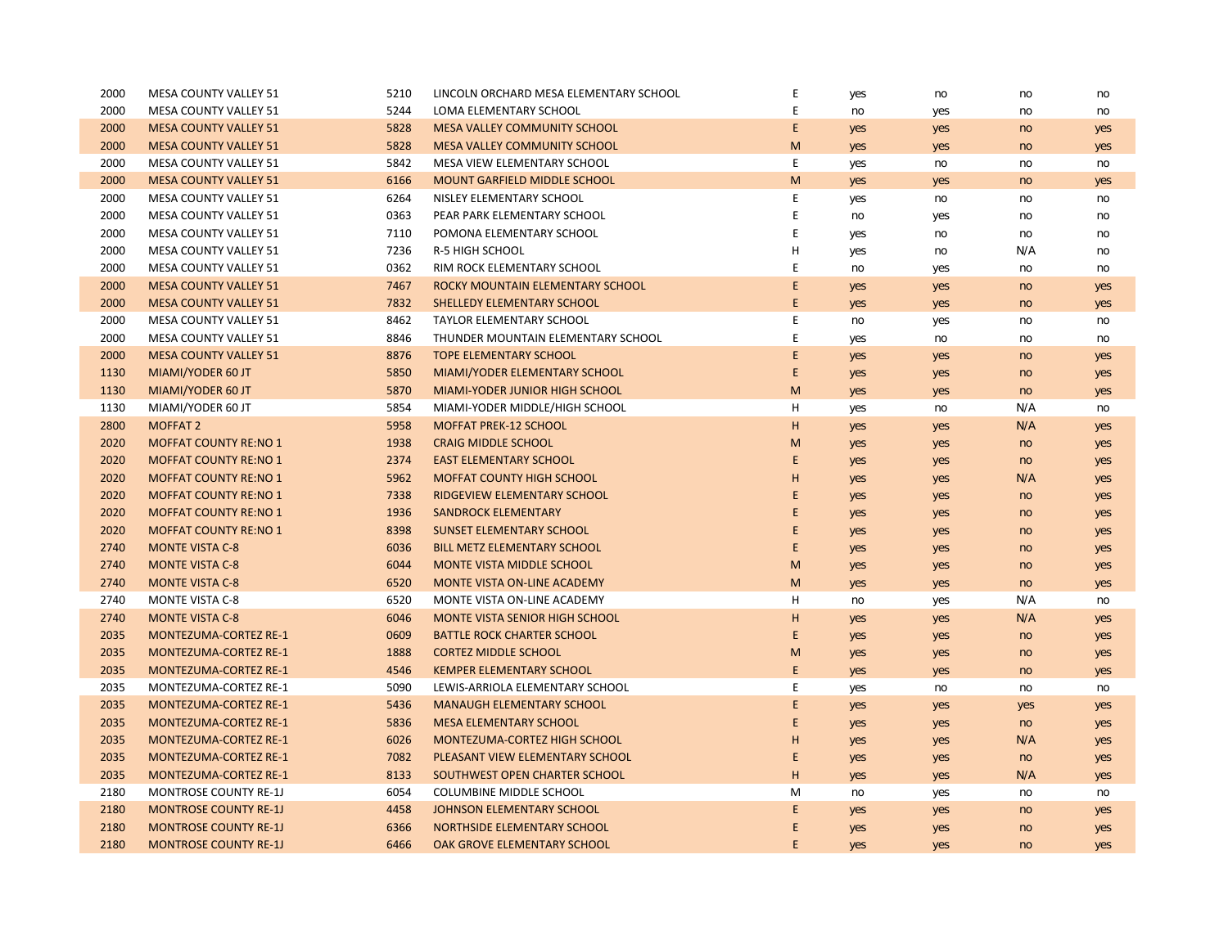| 2000 | MESA COUNTY VALLEY 51        | 5210 | LINCOLN ORCHARD MESA ELEMENTARY SCHOOL | Ε         | yes | no  | no  | no  |
|------|------------------------------|------|----------------------------------------|-----------|-----|-----|-----|-----|
| 2000 | <b>MESA COUNTY VALLEY 51</b> | 5244 | <b>LOMA ELEMENTARY SCHOOL</b>          | E         | no  | yes | no  | no  |
| 2000 | <b>MESA COUNTY VALLEY 51</b> | 5828 | <b>MESA VALLEY COMMUNITY SCHOOL</b>    | E         | yes | yes | no  | yes |
| 2000 | <b>MESA COUNTY VALLEY 51</b> | 5828 | <b>MESA VALLEY COMMUNITY SCHOOL</b>    | M         | yes | yes | no  | yes |
| 2000 | <b>MESA COUNTY VALLEY 51</b> | 5842 | MESA VIEW ELEMENTARY SCHOOL            | E         | yes | no  | no  | no  |
| 2000 | <b>MESA COUNTY VALLEY 51</b> | 6166 | MOUNT GARFIELD MIDDLE SCHOOL           | M         | yes | yes | no  | yes |
| 2000 | MESA COUNTY VALLEY 51        | 6264 | NISLEY ELEMENTARY SCHOOL               | E         | yes | no  | no  | no  |
| 2000 | <b>MESA COUNTY VALLEY 51</b> | 0363 | PEAR PARK ELEMENTARY SCHOOL            | E         | no  | yes | no  | no  |
| 2000 | <b>MESA COUNTY VALLEY 51</b> | 7110 | POMONA ELEMENTARY SCHOOL               | Ε         | yes | no  | no  | no  |
| 2000 | MESA COUNTY VALLEY 51        | 7236 | R-5 HIGH SCHOOL                        | н         | yes | no  | N/A | no  |
| 2000 | MESA COUNTY VALLEY 51        | 0362 | RIM ROCK ELEMENTARY SCHOOL             | Е         | no  | yes | no  | no  |
| 2000 | <b>MESA COUNTY VALLEY 51</b> | 7467 | ROCKY MOUNTAIN ELEMENTARY SCHOOL       | E         | yes | yes | no  | yes |
| 2000 | <b>MESA COUNTY VALLEY 51</b> | 7832 | <b>SHELLEDY ELEMENTARY SCHOOL</b>      | E         | yes | yes | no  | yes |
| 2000 | <b>MESA COUNTY VALLEY 51</b> | 8462 | TAYLOR ELEMENTARY SCHOOL               | E         | no  | yes | no  | no  |
| 2000 | <b>MESA COUNTY VALLEY 51</b> | 8846 | THUNDER MOUNTAIN ELEMENTARY SCHOOL     | E         | yes | no  | no  | no  |
| 2000 | <b>MESA COUNTY VALLEY 51</b> | 8876 | <b>TOPE ELEMENTARY SCHOOL</b>          | E         | yes | yes | no  | yes |
| 1130 | MIAMI/YODER 60 JT            | 5850 | MIAMI/YODER ELEMENTARY SCHOOL          | E         | yes | yes | no  | yes |
| 1130 | MIAMI/YODER 60 JT            | 5870 | MIAMI-YODER JUNIOR HIGH SCHOOL         | ${\sf M}$ | yes | yes | no  | yes |
| 1130 | MIAMI/YODER 60 JT            | 5854 | MIAMI-YODER MIDDLE/HIGH SCHOOL         | H         | yes | no  | N/A | no  |
| 2800 | <b>MOFFAT 2</b>              | 5958 | <b>MOFFAT PREK-12 SCHOOL</b>           | H         | yes | yes | N/A | yes |
| 2020 | <b>MOFFAT COUNTY RE:NO 1</b> | 1938 | <b>CRAIG MIDDLE SCHOOL</b>             | M         | yes | yes | no  | yes |
| 2020 | <b>MOFFAT COUNTY RE:NO 1</b> | 2374 | <b>EAST ELEMENTARY SCHOOL</b>          | E         | yes | yes | no  | yes |
| 2020 | <b>MOFFAT COUNTY RE:NO 1</b> | 5962 | <b>MOFFAT COUNTY HIGH SCHOOL</b>       | H         | yes | yes | N/A | yes |
| 2020 | <b>MOFFAT COUNTY RE:NO 1</b> | 7338 | RIDGEVIEW ELEMENTARY SCHOOL            | E         | yes | yes | no  | yes |
| 2020 | <b>MOFFAT COUNTY RE:NO 1</b> | 1936 | <b>SANDROCK ELEMENTARY</b>             | E         | yes | yes | no  | yes |
| 2020 | <b>MOFFAT COUNTY RE:NO 1</b> | 8398 | <b>SUNSET ELEMENTARY SCHOOL</b>        | E         | yes | yes | no  | yes |
| 2740 | <b>MONTE VISTA C-8</b>       | 6036 | <b>BILL METZ ELEMENTARY SCHOOL</b>     | E         | yes | yes | no  | yes |
| 2740 | <b>MONTE VISTA C-8</b>       | 6044 | MONTE VISTA MIDDLE SCHOOL              | M         | yes | yes | no  | yes |
| 2740 | <b>MONTE VISTA C-8</b>       | 6520 | <b>MONTE VISTA ON-LINE ACADEMY</b>     | M         | yes | yes | no  | yes |
| 2740 | <b>MONTE VISTA C-8</b>       | 6520 | MONTE VISTA ON-LINE ACADEMY            | H         | no  | yes | N/A | no  |
| 2740 | <b>MONTE VISTA C-8</b>       | 6046 | MONTE VISTA SENIOR HIGH SCHOOL         | н         | yes | yes | N/A | yes |
| 2035 | <b>MONTEZUMA-CORTEZ RE-1</b> | 0609 | <b>BATTLE ROCK CHARTER SCHOOL</b>      | E         | yes | yes | no  | yes |
| 2035 | MONTEZUMA-CORTEZ RE-1        | 1888 | <b>CORTEZ MIDDLE SCHOOL</b>            | M         | yes | yes | no  | yes |
| 2035 | <b>MONTEZUMA-CORTEZ RE-1</b> | 4546 | <b>KEMPER ELEMENTARY SCHOOL</b>        | E         | yes | yes | no  | yes |
| 2035 | MONTEZUMA-CORTEZ RE-1        | 5090 | LEWIS-ARRIOLA ELEMENTARY SCHOOL        | E         | yes | no  | no  | no  |
| 2035 | <b>MONTEZUMA-CORTEZ RE-1</b> | 5436 | <b>MANAUGH ELEMENTARY SCHOOL</b>       | E         | yes | yes | yes | yes |
| 2035 | <b>MONTEZUMA-CORTEZ RE-1</b> | 5836 | <b>MESA ELEMENTARY SCHOOL</b>          | E         | yes | yes | no  | yes |
| 2035 | MONTEZUMA-CORTEZ RE-1        | 6026 | MONTEZUMA-CORTEZ HIGH SCHOOL           | Н         | yes | yes | N/A | yes |
| 2035 | MONTEZUMA-CORTEZ RE-1        | 7082 | PLEASANT VIEW ELEMENTARY SCHOOL        | Е         | yes | yes | no  | yes |
| 2035 | MONTEZUMA-CORTEZ RE-1        | 8133 | SOUTHWEST OPEN CHARTER SCHOOL          | Н         | yes | yes | N/A | yes |
| 2180 | MONTROSE COUNTY RE-1J        | 6054 | <b>COLUMBINE MIDDLE SCHOOL</b>         | M         | no  | yes | no  | no  |
| 2180 | <b>MONTROSE COUNTY RE-1J</b> | 4458 | JOHNSON ELEMENTARY SCHOOL              | E         | yes | yes | no  | yes |
| 2180 | <b>MONTROSE COUNTY RE-1J</b> | 6366 | NORTHSIDE ELEMENTARY SCHOOL            | E         | yes | yes | no  | yes |
| 2180 | <b>MONTROSE COUNTY RE-1J</b> | 6466 | OAK GROVE ELEMENTARY SCHOOL            | E         | yes | yes | no  | yes |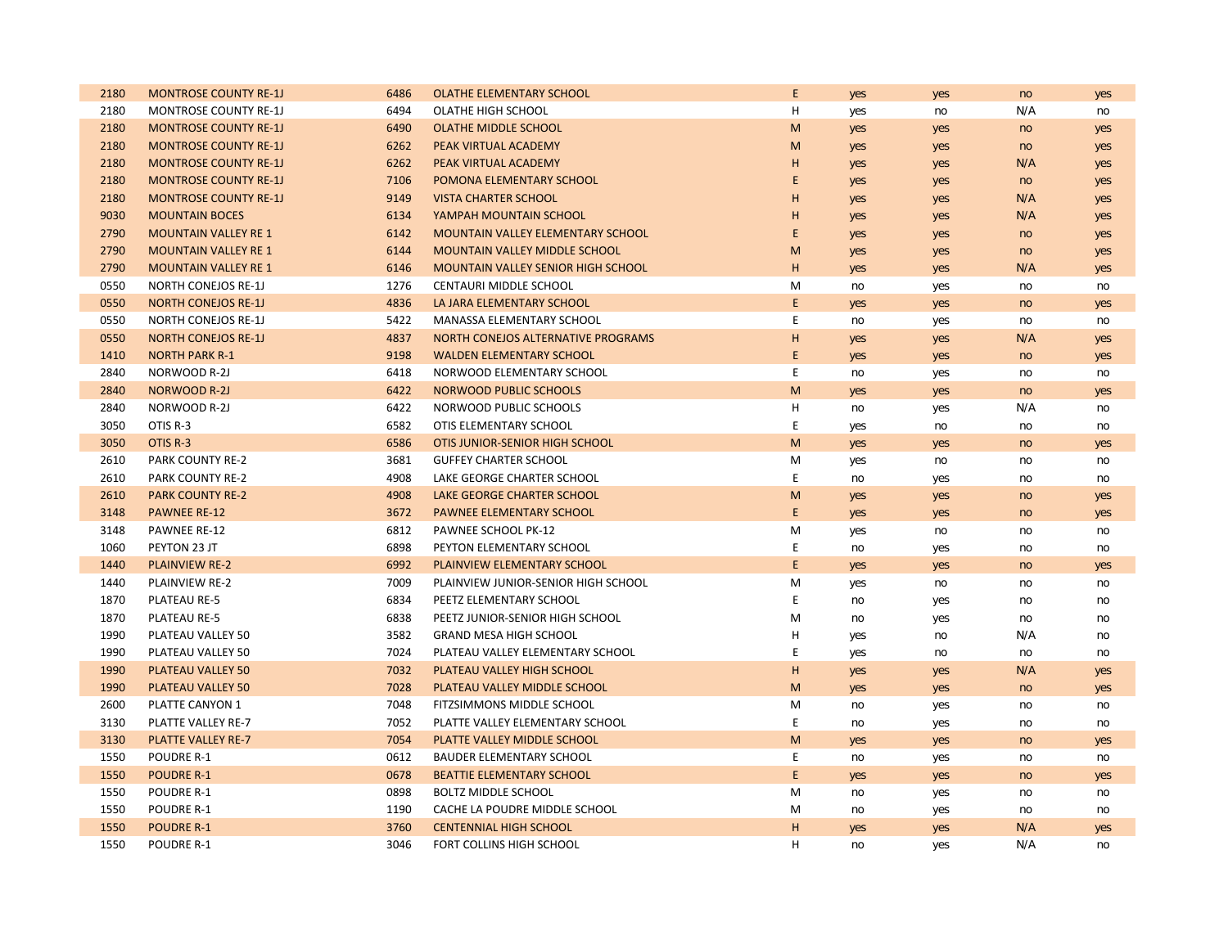| 2180 | <b>MONTROSE COUNTY RE-1J</b> | 6486 | <b>OLATHE ELEMENTARY SCHOOL</b>          | E         | yes | yes | no  | yes |
|------|------------------------------|------|------------------------------------------|-----------|-----|-----|-----|-----|
| 2180 | <b>MONTROSE COUNTY RE-1J</b> | 6494 | OLATHE HIGH SCHOOL                       | н         | yes | no  | N/A | no  |
| 2180 | <b>MONTROSE COUNTY RE-1J</b> | 6490 | <b>OLATHE MIDDLE SCHOOL</b>              | M         | yes | yes | no  | yes |
| 2180 | <b>MONTROSE COUNTY RE-1J</b> | 6262 | PEAK VIRTUAL ACADEMY                     | M         | yes | yes | no  | yes |
| 2180 | <b>MONTROSE COUNTY RE-1J</b> | 6262 | PEAK VIRTUAL ACADEMY                     | н         | yes | yes | N/A | yes |
| 2180 | <b>MONTROSE COUNTY RE-1J</b> | 7106 | POMONA ELEMENTARY SCHOOL                 | E         | yes | yes | no  | yes |
| 2180 | <b>MONTROSE COUNTY RE-1J</b> | 9149 | <b>VISTA CHARTER SCHOOL</b>              | н         | yes | yes | N/A | yes |
| 9030 | <b>MOUNTAIN BOCES</b>        | 6134 | YAMPAH MOUNTAIN SCHOOL                   | H         | yes | yes | N/A | yes |
| 2790 | <b>MOUNTAIN VALLEY RE 1</b>  | 6142 | <b>MOUNTAIN VALLEY ELEMENTARY SCHOOL</b> | E         | yes | yes | no  | yes |
| 2790 | <b>MOUNTAIN VALLEY RE 1</b>  | 6144 | <b>MOUNTAIN VALLEY MIDDLE SCHOOL</b>     | M         | yes | yes | no  | yes |
| 2790 | <b>MOUNTAIN VALLEY RE 1</b>  | 6146 | MOUNTAIN VALLEY SENIOR HIGH SCHOOL       | н         | yes | yes | N/A | yes |
| 0550 | <b>NORTH CONEJOS RE-1J</b>   | 1276 | CENTAURI MIDDLE SCHOOL                   | M         | no  | yes | no  | no  |
| 0550 | <b>NORTH CONEJOS RE-1J</b>   | 4836 | LA JARA ELEMENTARY SCHOOL                | E         | yes | yes | no  | yes |
| 0550 | <b>NORTH CONEJOS RE-1J</b>   | 5422 | MANASSA ELEMENTARY SCHOOL                | E         | no  | yes | no  | no  |
| 0550 | <b>NORTH CONEJOS RE-1J</b>   | 4837 | NORTH CONEJOS ALTERNATIVE PROGRAMS       | H         | yes | yes | N/A | yes |
| 1410 | <b>NORTH PARK R-1</b>        | 9198 | <b>WALDEN ELEMENTARY SCHOOL</b>          | E         | yes | yes | no  | yes |
| 2840 | NORWOOD R-2J                 | 6418 | NORWOOD ELEMENTARY SCHOOL                | E         | no  | yes | no  | no  |
| 2840 | <b>NORWOOD R-2J</b>          | 6422 | NORWOOD PUBLIC SCHOOLS                   | M         | yes | yes | no  | yes |
| 2840 | NORWOOD R-2J                 | 6422 | NORWOOD PUBLIC SCHOOLS                   | н         | no  | yes | N/A | no  |
| 3050 | OTIS R-3                     | 6582 | OTIS ELEMENTARY SCHOOL                   | E         | yes | no  | no  | no  |
| 3050 | OTIS R-3                     | 6586 | OTIS JUNIOR-SENIOR HIGH SCHOOL           | ${\sf M}$ | yes | yes | no  | yes |
| 2610 | PARK COUNTY RE-2             | 3681 | <b>GUFFEY CHARTER SCHOOL</b>             | M         | yes | no  | no  | no  |
| 2610 | <b>PARK COUNTY RE-2</b>      | 4908 | LAKE GEORGE CHARTER SCHOOL               | E         | no  | yes | no  | no  |
| 2610 | <b>PARK COUNTY RE-2</b>      | 4908 | LAKE GEORGE CHARTER SCHOOL               | M         | yes | yes | no  | yes |
| 3148 | <b>PAWNEE RE-12</b>          | 3672 | PAWNEE ELEMENTARY SCHOOL                 | E         | yes | yes | no  | yes |
| 3148 | PAWNEE RE-12                 | 6812 | PAWNEE SCHOOL PK-12                      | М         | yes | no  | no  | no  |
| 1060 | PEYTON 23 JT                 | 6898 | PEYTON ELEMENTARY SCHOOL                 | Ε         | no  | yes | no  | no  |
| 1440 | <b>PLAINVIEW RE-2</b>        | 6992 | PLAINVIEW ELEMENTARY SCHOOL              | E         | yes | yes | no  | yes |
| 1440 | PLAINVIEW RE-2               | 7009 | PLAINVIEW JUNIOR-SENIOR HIGH SCHOOL      | M         | yes | no  | no  | no  |
| 1870 | PLATEAU RE-5                 | 6834 | PEETZ ELEMENTARY SCHOOL                  | Ε         | no  | yes | no  | no  |
| 1870 | PLATEAU RE-5                 | 6838 | PEETZ JUNIOR-SENIOR HIGH SCHOOL          | M         | no  | yes | no  | no  |
| 1990 | PLATEAU VALLEY 50            | 3582 | <b>GRAND MESA HIGH SCHOOL</b>            | Н         | yes | no  | N/A | no  |
| 1990 | PLATEAU VALLEY 50            | 7024 | PLATEAU VALLEY ELEMENTARY SCHOOL         | E         | yes | no  | no  | no  |
| 1990 | <b>PLATEAU VALLEY 50</b>     | 7032 | PLATEAU VALLEY HIGH SCHOOL               | H         | yes | yes | N/A | yes |
| 1990 | PLATEAU VALLEY 50            | 7028 | PLATEAU VALLEY MIDDLE SCHOOL             | M         | yes | yes | no  | yes |
| 2600 | PLATTE CANYON 1              | 7048 | FITZSIMMONS MIDDLE SCHOOL                | M         | no  | yes | no  | no  |
| 3130 | PLATTE VALLEY RE-7           | 7052 | PLATTE VALLEY ELEMENTARY SCHOOL          | Ε         | no  | yes | no  | no  |
| 3130 | PLATTE VALLEY RE-7           | 7054 | PLATTE VALLEY MIDDLE SCHOOL              | ${\sf M}$ | yes | yes | no  | yes |
| 1550 | POUDRE R-1                   | 0612 | <b>BAUDER ELEMENTARY SCHOOL</b>          | E         | no  | yes | no  | no  |
| 1550 | <b>POUDRE R-1</b>            | 0678 | <b>BEATTIE ELEMENTARY SCHOOL</b>         | E         | yes | yes | no  | yes |
| 1550 | POUDRE R-1                   | 0898 | <b>BOLTZ MIDDLE SCHOOL</b>               | M         | no  | yes | no  | no  |
| 1550 | POUDRE R-1                   | 1190 | CACHE LA POUDRE MIDDLE SCHOOL            | M         | no  | yes | no  | no  |
| 1550 | <b>POUDRE R-1</b>            | 3760 | <b>CENTENNIAL HIGH SCHOOL</b>            | H         | yes | yes | N/A | yes |
| 1550 | <b>POUDRE R-1</b>            | 3046 | FORT COLLINS HIGH SCHOOL                 | H         | no  | yes | N/A | no  |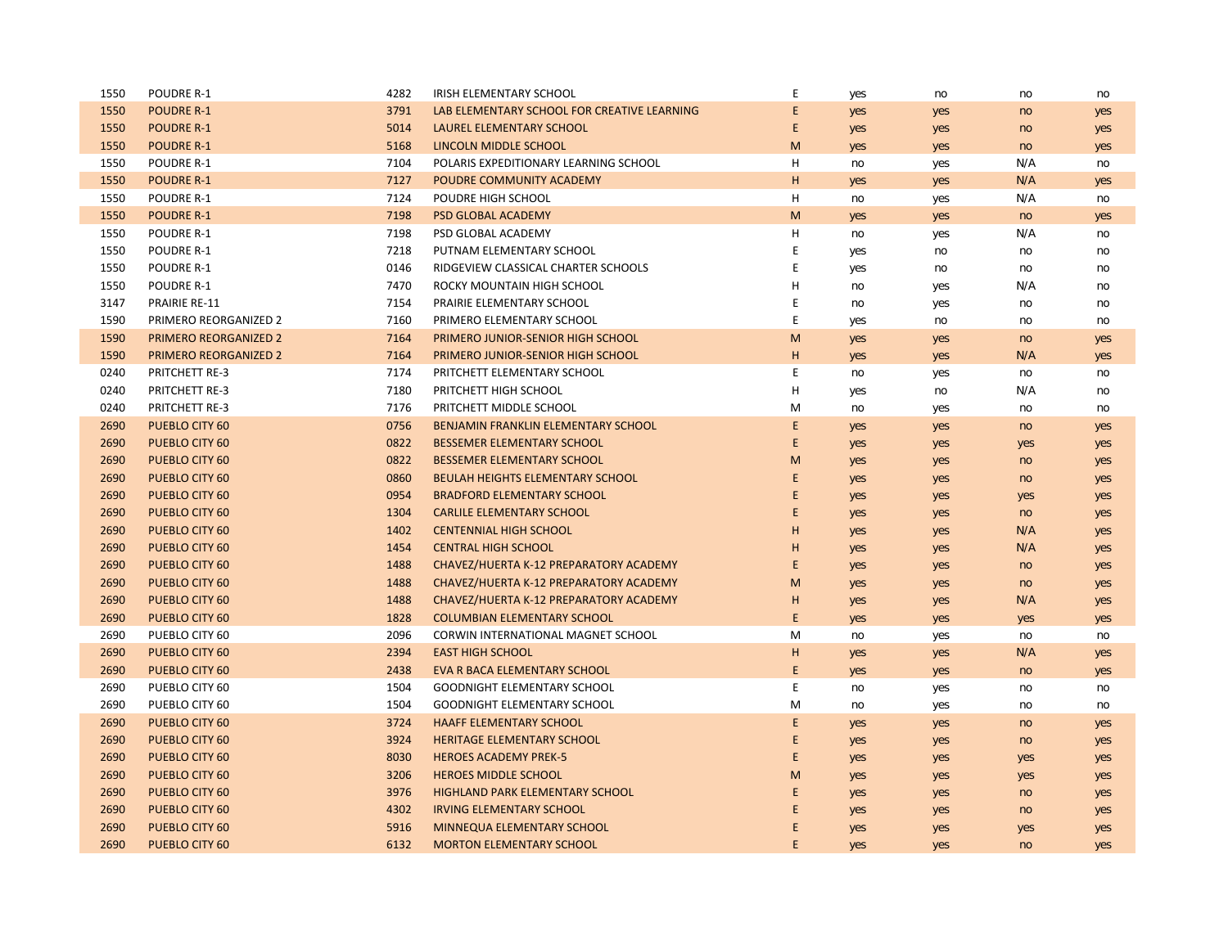| 1550 | POUDRE R-1                   | 4282 | IRISH ELEMENTARY SCHOOL                     | Ε           | yes | no  | no  | no  |
|------|------------------------------|------|---------------------------------------------|-------------|-----|-----|-----|-----|
| 1550 | <b>POUDRE R-1</b>            | 3791 | LAB ELEMENTARY SCHOOL FOR CREATIVE LEARNING | E           | yes | yes | no  | yes |
| 1550 | <b>POUDRE R-1</b>            | 5014 | LAUREL ELEMENTARY SCHOOL                    | E           | yes | yes | no  | yes |
| 1550 | <b>POUDRE R-1</b>            | 5168 | LINCOLN MIDDLE SCHOOL                       | ${\sf M}$   | yes | yes | no  | yes |
| 1550 | POUDRE R-1                   | 7104 | POLARIS EXPEDITIONARY LEARNING SCHOOL       | н           | no  | yes | N/A | no  |
| 1550 | <b>POUDRE R-1</b>            | 7127 | POUDRE COMMUNITY ACADEMY                    | H           | yes | yes | N/A | yes |
| 1550 | POUDRE R-1                   | 7124 | POUDRE HIGH SCHOOL                          | н           | no  | yes | N/A | no  |
| 1550 | <b>POUDRE R-1</b>            | 7198 | <b>PSD GLOBAL ACADEMY</b>                   | M           | yes | yes | no  | yes |
| 1550 | POUDRE R-1                   | 7198 | PSD GLOBAL ACADEMY                          | Η           | no  | yes | N/A | no  |
| 1550 | POUDRE R-1                   | 7218 | PUTNAM ELEMENTARY SCHOOL                    | E           | yes | no  | no  | no  |
| 1550 | POUDRE R-1                   | 0146 | RIDGEVIEW CLASSICAL CHARTER SCHOOLS         | E           | yes | no  | no  | no  |
| 1550 | POUDRE R-1                   | 7470 | ROCKY MOUNTAIN HIGH SCHOOL                  | н           | no  | yes | N/A | no  |
| 3147 | <b>PRAIRIE RE-11</b>         | 7154 | PRAIRIE ELEMENTARY SCHOOL                   | E           | no  | yes | no  | no  |
| 1590 | PRIMERO REORGANIZED 2        | 7160 | PRIMERO ELEMENTARY SCHOOL                   | $\mathsf E$ | yes | no  | no  | no  |
| 1590 | <b>PRIMERO REORGANIZED 2</b> | 7164 | PRIMERO JUNIOR-SENIOR HIGH SCHOOL           | M           | yes | yes | no  | yes |
| 1590 | <b>PRIMERO REORGANIZED 2</b> | 7164 | PRIMERO JUNIOR-SENIOR HIGH SCHOOL           | н           | yes | yes | N/A | yes |
| 0240 | PRITCHETT RE-3               | 7174 | PRITCHETT ELEMENTARY SCHOOL                 | E           | no  | yes | no  | no  |
| 0240 | PRITCHETT RE-3               | 7180 | PRITCHETT HIGH SCHOOL                       | Н           | yes | no  | N/A | no  |
| 0240 | <b>PRITCHETT RE-3</b>        | 7176 | PRITCHETT MIDDLE SCHOOL                     | M           | no  | yes | no  | no  |
| 2690 | <b>PUEBLO CITY 60</b>        | 0756 | BENJAMIN FRANKLIN ELEMENTARY SCHOOL         | E           | yes | yes | no  | yes |
| 2690 | <b>PUEBLO CITY 60</b>        | 0822 | <b>BESSEMER ELEMENTARY SCHOOL</b>           | E           | yes | yes | yes | yes |
| 2690 | PUEBLO CITY 60               | 0822 | <b>BESSEMER ELEMENTARY SCHOOL</b>           | M           | yes | yes | no  | yes |
| 2690 | PUEBLO CITY 60               | 0860 | BEULAH HEIGHTS ELEMENTARY SCHOOL            | Ε           | yes | yes | no  | yes |
| 2690 | PUEBLO CITY 60               | 0954 | <b>BRADFORD ELEMENTARY SCHOOL</b>           | E           | yes | yes | yes | yes |
| 2690 | PUEBLO CITY 60               | 1304 | <b>CARLILE ELEMENTARY SCHOOL</b>            | E           | yes | yes | no  | yes |
| 2690 | <b>PUEBLO CITY 60</b>        | 1402 | <b>CENTENNIAL HIGH SCHOOL</b>               | H           | yes | yes | N/A | yes |
| 2690 | PUEBLO CITY 60               | 1454 | <b>CENTRAL HIGH SCHOOL</b>                  | н           | yes | yes | N/A | yes |
| 2690 | PUEBLO CITY 60               | 1488 | CHAVEZ/HUERTA K-12 PREPARATORY ACADEMY      | E           | yes | yes | no  | yes |
| 2690 | <b>PUEBLO CITY 60</b>        | 1488 | CHAVEZ/HUERTA K-12 PREPARATORY ACADEMY      | M           | yes | yes | no  | yes |
| 2690 | PUEBLO CITY 60               | 1488 | CHAVEZ/HUERTA K-12 PREPARATORY ACADEMY      | н           | yes | yes | N/A | yes |
| 2690 | PUEBLO CITY 60               | 1828 | <b>COLUMBIAN ELEMENTARY SCHOOL</b>          | E           | yes | yes | yes | yes |
| 2690 | PUEBLO CITY 60               | 2096 | CORWIN INTERNATIONAL MAGNET SCHOOL          | M           | no  | yes | no  | no  |
| 2690 | PUEBLO CITY 60               | 2394 | <b>EAST HIGH SCHOOL</b>                     | н           | yes | yes | N/A | yes |
| 2690 | PUEBLO CITY 60               | 2438 | EVA R BACA ELEMENTARY SCHOOL                | E           | yes | yes | no  | yes |
| 2690 | PUEBLO CITY 60               | 1504 | <b>GOODNIGHT ELEMENTARY SCHOOL</b>          | E           | no  | yes | no  | no  |
| 2690 | PUEBLO CITY 60               | 1504 | <b>GOODNIGHT ELEMENTARY SCHOOL</b>          | M           | no  | yes | no  | no  |
| 2690 | PUEBLO CITY 60               | 3724 | <b>HAAFF ELEMENTARY SCHOOL</b>              | E           | yes | yes | no  | yes |
| 2690 | <b>PUEBLO CITY 60</b>        | 3924 | <b>HERITAGE ELEMENTARY SCHOOL</b>           | E           | yes | yes | no  | yes |
| 2690 | <b>PUEBLO CITY 60</b>        | 8030 | <b>HEROES ACADEMY PREK-5</b>                | E           | yes | yes | yes | yes |
| 2690 | PUEBLO CITY 60               | 3206 | <b>HEROES MIDDLE SCHOOL</b>                 | M           | yes | yes | yes | yes |
| 2690 | PUEBLO CITY 60               | 3976 | HIGHLAND PARK ELEMENTARY SCHOOL             | Ε           | yes | yes | no  | yes |
| 2690 | PUEBLO CITY 60               | 4302 | <b>IRVING ELEMENTARY SCHOOL</b>             | E           | yes | yes | no  | yes |
| 2690 | PUEBLO CITY 60               | 5916 | MINNEQUA ELEMENTARY SCHOOL                  | E           | yes | yes | yes | yes |
| 2690 | PUEBLO CITY 60               | 6132 | <b>MORTON ELEMENTARY SCHOOL</b>             | E           | yes | yes | no  | yes |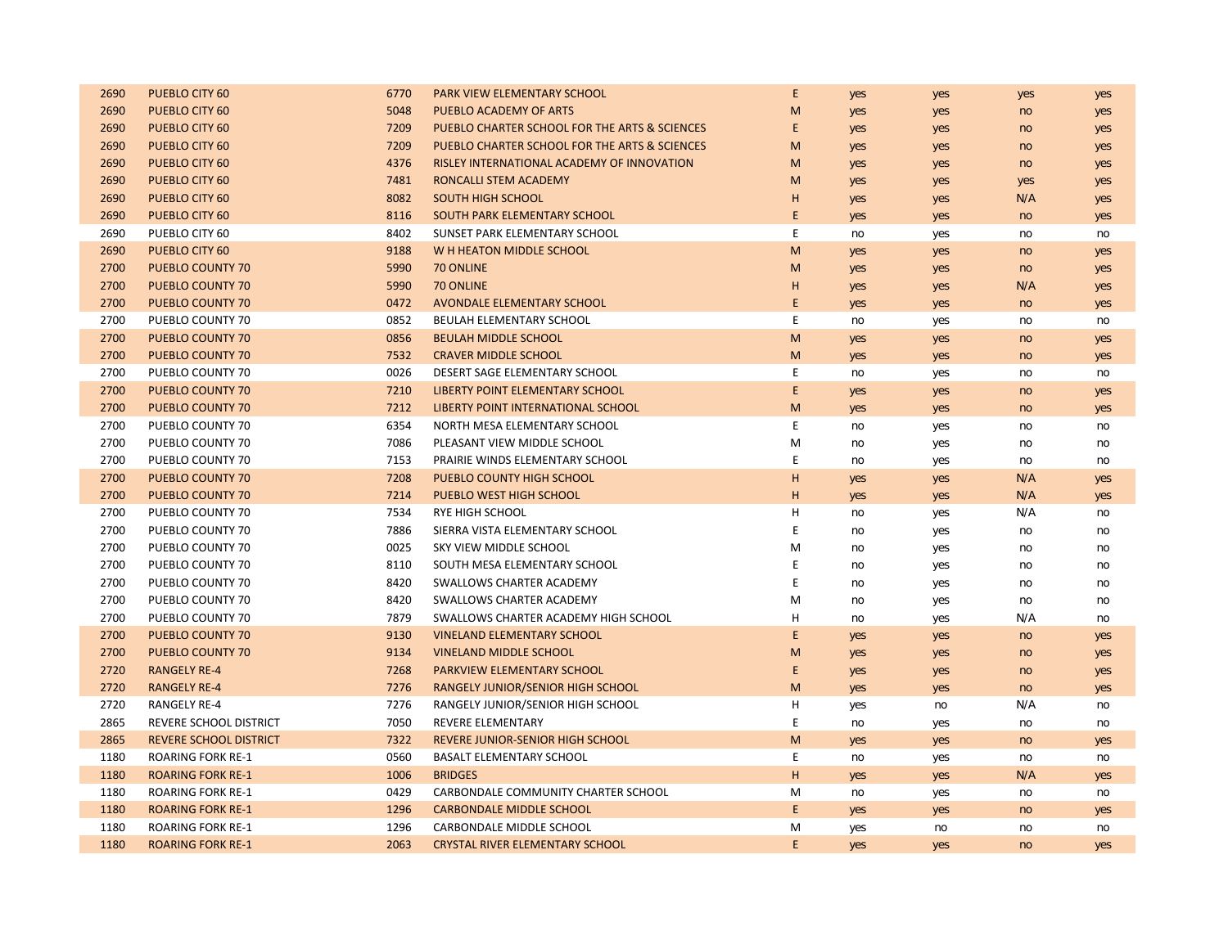| 2690 | PUEBLO CITY 60                | 6770 | PARK VIEW ELEMENTARY SCHOOL                   | E  | yes | yes | yes | yes |
|------|-------------------------------|------|-----------------------------------------------|----|-----|-----|-----|-----|
| 2690 | PUEBLO CITY 60                | 5048 | <b>PUEBLO ACADEMY OF ARTS</b>                 | M  | yes | yes | no  | yes |
| 2690 | PUEBLO CITY 60                | 7209 | PUEBLO CHARTER SCHOOL FOR THE ARTS & SCIENCES | E  | yes | yes | no  | yes |
| 2690 | PUEBLO CITY 60                | 7209 | PUEBLO CHARTER SCHOOL FOR THE ARTS & SCIENCES | M  | yes | yes | no  | yes |
| 2690 | PUEBLO CITY 60                | 4376 | RISLEY INTERNATIONAL ACADEMY OF INNOVATION    | M  | yes | yes | no  | yes |
| 2690 | PUEBLO CITY 60                | 7481 | RONCALLI STEM ACADEMY                         | M  | yes | yes | yes | yes |
| 2690 | PUEBLO CITY 60                | 8082 | <b>SOUTH HIGH SCHOOL</b>                      | н  | yes | yes | N/A | yes |
| 2690 | PUEBLO CITY 60                | 8116 | SOUTH PARK ELEMENTARY SCHOOL                  | E. | yes | yes | no  | yes |
| 2690 | PUEBLO CITY 60                | 8402 | SUNSET PARK ELEMENTARY SCHOOL                 | E  | no  | yes | no  | no  |
| 2690 | PUEBLO CITY 60                | 9188 | W H HEATON MIDDLE SCHOOL                      | M  | yes | yes | no  | yes |
| 2700 | <b>PUEBLO COUNTY 70</b>       | 5990 | 70 ONLINE                                     | M  | yes | yes | no  | yes |
| 2700 | <b>PUEBLO COUNTY 70</b>       | 5990 | 70 ONLINE                                     | H  | yes | yes | N/A | yes |
| 2700 | PUEBLO COUNTY 70              | 0472 | AVONDALE ELEMENTARY SCHOOL                    | E  | yes | yes | no  | yes |
| 2700 | PUEBLO COUNTY 70              | 0852 | BEULAH ELEMENTARY SCHOOL                      | E  | no  | yes | no  | no  |
| 2700 | PUEBLO COUNTY 70              | 0856 | <b>BEULAH MIDDLE SCHOOL</b>                   | M  | yes | yes | no  | yes |
| 2700 | <b>PUEBLO COUNTY 70</b>       | 7532 | <b>CRAVER MIDDLE SCHOOL</b>                   | M  | yes | yes | no  | yes |
| 2700 | PUEBLO COUNTY 70              | 0026 | DESERT SAGE ELEMENTARY SCHOOL                 | E  | no  | yes | no  | no  |
| 2700 | PUEBLO COUNTY 70              | 7210 | LIBERTY POINT ELEMENTARY SCHOOL               | E. | yes | yes | no  | yes |
| 2700 | PUEBLO COUNTY 70              | 7212 | LIBERTY POINT INTERNATIONAL SCHOOL            | M  | yes | yes | no  | yes |
| 2700 | PUEBLO COUNTY 70              | 6354 | NORTH MESA ELEMENTARY SCHOOL                  | E  | no  | yes | no  | no  |
| 2700 | PUEBLO COUNTY 70              | 7086 | PLEASANT VIEW MIDDLE SCHOOL                   | М  | no  | yes | no  | no  |
| 2700 | PUEBLO COUNTY 70              | 7153 | PRAIRIE WINDS ELEMENTARY SCHOOL               | E  | no  | yes | no  | no  |
| 2700 | PUEBLO COUNTY 70              | 7208 | PUEBLO COUNTY HIGH SCHOOL                     | H  | yes | yes | N/A | yes |
| 2700 | PUEBLO COUNTY 70              | 7214 | <b>PUEBLO WEST HIGH SCHOOL</b>                | н  | yes | yes | N/A | yes |
| 2700 | PUEBLO COUNTY 70              | 7534 | <b>RYE HIGH SCHOOL</b>                        | н  | no  | yes | N/A | no  |
| 2700 | PUEBLO COUNTY 70              | 7886 | SIERRA VISTA ELEMENTARY SCHOOL                | E  | no  | yes | no  | no  |
| 2700 | PUEBLO COUNTY 70              | 0025 | SKY VIEW MIDDLE SCHOOL                        | M  | no  | yes | no  | no  |
| 2700 | PUEBLO COUNTY 70              | 8110 | SOUTH MESA ELEMENTARY SCHOOL                  | E  | no  | yes | no  | no  |
| 2700 | PUEBLO COUNTY 70              | 8420 | <b>SWALLOWS CHARTER ACADEMY</b>               | E  | no  | yes | no  | no  |
| 2700 | PUEBLO COUNTY 70              | 8420 | SWALLOWS CHARTER ACADEMY                      | M  | no  | yes | no  | no  |
| 2700 | PUEBLO COUNTY 70              | 7879 | SWALLOWS CHARTER ACADEMY HIGH SCHOOL          | н  | no  | yes | N/A | no  |
| 2700 | <b>PUEBLO COUNTY 70</b>       | 9130 | <b>VINELAND ELEMENTARY SCHOOL</b>             | E  | yes | yes | no  | yes |
| 2700 | <b>PUEBLO COUNTY 70</b>       | 9134 | <b>VINELAND MIDDLE SCHOOL</b>                 | M  | yes | yes | no  | yes |
| 2720 | <b>RANGELY RE-4</b>           | 7268 | PARKVIEW ELEMENTARY SCHOOL                    | E. | yes | yes | no  | yes |
| 2720 | <b>RANGELY RE-4</b>           | 7276 | RANGELY JUNIOR/SENIOR HIGH SCHOOL             | M  | yes | yes | no  | yes |
| 2720 | <b>RANGELY RE-4</b>           | 7276 | RANGELY JUNIOR/SENIOR HIGH SCHOOL             | н  | yes | no  | N/A | no  |
| 2865 | REVERE SCHOOL DISTRICT        | 7050 | REVERE ELEMENTARY                             | E  | no  | yes | no  | no  |
| 2865 | <b>REVERE SCHOOL DISTRICT</b> | 7322 | <b>REVERE JUNIOR-SENIOR HIGH SCHOOL</b>       | M  | yes | yes | no  | yes |
| 1180 | <b>ROARING FORK RE-1</b>      | 0560 | <b>BASALT ELEMENTARY SCHOOL</b>               | E  | no  | yes | no  | no  |
| 1180 | <b>ROARING FORK RE-1</b>      | 1006 | <b>BRIDGES</b>                                | H  | yes | yes | N/A | yes |
| 1180 | <b>ROARING FORK RE-1</b>      | 0429 | CARBONDALE COMMUNITY CHARTER SCHOOL           | M  | no  | yes | no  | no  |
| 1180 | <b>ROARING FORK RE-1</b>      | 1296 | <b>CARBONDALE MIDDLE SCHOOL</b>               | E  | yes | yes | no  | yes |
| 1180 | <b>ROARING FORK RE-1</b>      | 1296 | CARBONDALE MIDDLE SCHOOL                      | М  | yes | no  | no  | no  |
| 1180 | <b>ROARING FORK RE-1</b>      | 2063 | <b>CRYSTAL RIVER ELEMENTARY SCHOOL</b>        | E  | yes | yes | no  | yes |
|      |                               |      |                                               |    |     |     |     |     |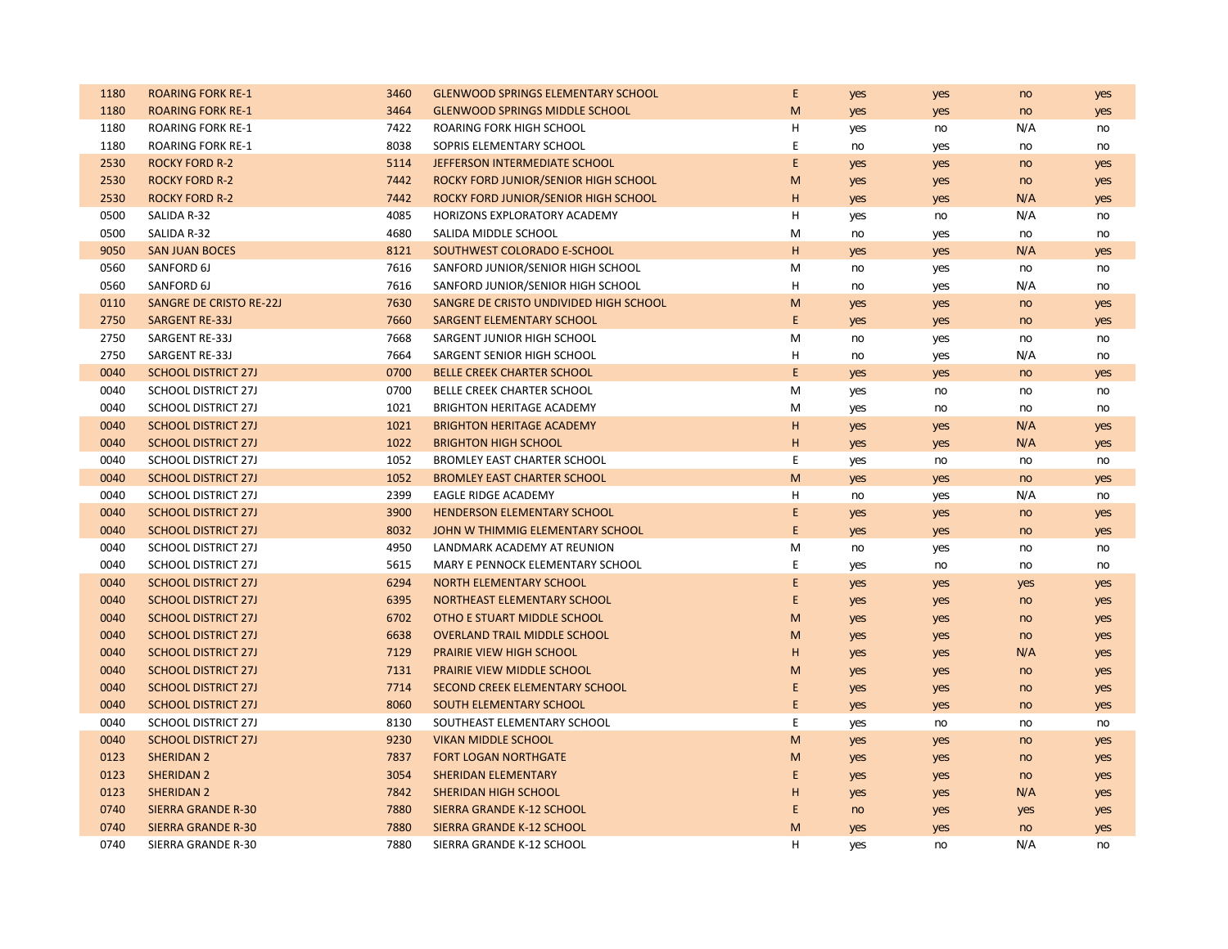| 1180 | <b>ROARING FORK RE-1</b>       | 3460 | <b>GLENWOOD SPRINGS ELEMENTARY SCHOOL</b> | Ε           | yes | yes | no  | yes |
|------|--------------------------------|------|-------------------------------------------|-------------|-----|-----|-----|-----|
| 1180 | <b>ROARING FORK RE-1</b>       | 3464 | <b>GLENWOOD SPRINGS MIDDLE SCHOOL</b>     | M           | yes | yes | no  | yes |
| 1180 | <b>ROARING FORK RE-1</b>       | 7422 | ROARING FORK HIGH SCHOOL                  | н           | yes | no  | N/A | no  |
| 1180 | <b>ROARING FORK RE-1</b>       | 8038 | SOPRIS ELEMENTARY SCHOOL                  | E           | no  | yes | no  | no  |
| 2530 | <b>ROCKY FORD R-2</b>          | 5114 | JEFFERSON INTERMEDIATE SCHOOL             | E           | yes | yes | no  | yes |
| 2530 | <b>ROCKY FORD R-2</b>          | 7442 | ROCKY FORD JUNIOR/SENIOR HIGH SCHOOL      | M           | yes | yes | no  | yes |
| 2530 | <b>ROCKY FORD R-2</b>          | 7442 | ROCKY FORD JUNIOR/SENIOR HIGH SCHOOL      | H           | yes | yes | N/A | yes |
| 0500 | SALIDA R-32                    | 4085 | HORIZONS EXPLORATORY ACADEMY              | н           | yes | no  | N/A | no  |
| 0500 | SALIDA R-32                    | 4680 | SALIDA MIDDLE SCHOOL                      | M           | no  | yes | no  | no  |
| 9050 | <b>SAN JUAN BOCES</b>          | 8121 | SOUTHWEST COLORADO E-SCHOOL               | H           | yes | yes | N/A | yes |
| 0560 | SANFORD 6J                     | 7616 | SANFORD JUNIOR/SENIOR HIGH SCHOOL         | M           | no  | yes | no  | no  |
| 0560 | SANFORD 6J                     | 7616 | SANFORD JUNIOR/SENIOR HIGH SCHOOL         | H           | no  | yes | N/A | no  |
| 0110 | <b>SANGRE DE CRISTO RE-22J</b> | 7630 | SANGRE DE CRISTO UNDIVIDED HIGH SCHOOL    | M           | yes | yes | no  | yes |
| 2750 | <b>SARGENT RE-33J</b>          | 7660 | <b>SARGENT ELEMENTARY SCHOOL</b>          | E           | yes | yes | no  | yes |
| 2750 | SARGENT RE-33J                 | 7668 | SARGENT JUNIOR HIGH SCHOOL                | M           | no  | yes | no  | no  |
| 2750 | SARGENT RE-33J                 | 7664 | SARGENT SENIOR HIGH SCHOOL                | н           | no  | yes | N/A | no  |
| 0040 | <b>SCHOOL DISTRICT 27J</b>     | 0700 | <b>BELLE CREEK CHARTER SCHOOL</b>         | E           | yes | yes | no  | yes |
| 0040 | <b>SCHOOL DISTRICT 27J</b>     | 0700 | BELLE CREEK CHARTER SCHOOL                | M           | yes | no  | no  | no  |
| 0040 | <b>SCHOOL DISTRICT 27J</b>     | 1021 | <b>BRIGHTON HERITAGE ACADEMY</b>          | M           | yes | no  | no  | no  |
| 0040 | <b>SCHOOL DISTRICT 27J</b>     | 1021 | <b>BRIGHTON HERITAGE ACADEMY</b>          | H           | yes | yes | N/A | yes |
| 0040 | <b>SCHOOL DISTRICT 27J</b>     | 1022 | <b>BRIGHTON HIGH SCHOOL</b>               | Н           | yes | yes | N/A | yes |
| 0040 | <b>SCHOOL DISTRICT 27J</b>     | 1052 | <b>BROMLEY EAST CHARTER SCHOOL</b>        | E           | yes | no  | no  | no  |
| 0040 | <b>SCHOOL DISTRICT 27J</b>     | 1052 | <b>BROMLEY EAST CHARTER SCHOOL</b>        | M           | yes | yes | no  | yes |
| 0040 | <b>SCHOOL DISTRICT 27J</b>     | 2399 | <b>EAGLE RIDGE ACADEMY</b>                | н           | no  | yes | N/A | no  |
| 0040 | <b>SCHOOL DISTRICT 27J</b>     | 3900 | HENDERSON ELEMENTARY SCHOOL               | $\mathsf E$ | yes | yes | no  | yes |
| 0040 | <b>SCHOOL DISTRICT 27J</b>     | 8032 | JOHN W THIMMIG ELEMENTARY SCHOOL          | E           | yes | yes | no  | yes |
| 0040 | <b>SCHOOL DISTRICT 27J</b>     | 4950 | LANDMARK ACADEMY AT REUNION               | M           | no  | yes | no  | no  |
| 0040 | <b>SCHOOL DISTRICT 27J</b>     | 5615 | MARY E PENNOCK ELEMENTARY SCHOOL          | $\mathsf E$ | yes | no  | no  | no  |
| 0040 | <b>SCHOOL DISTRICT 27J</b>     | 6294 | <b>NORTH ELEMENTARY SCHOOL</b>            | E           | yes | yes | yes | yes |
| 0040 | <b>SCHOOL DISTRICT 27J</b>     | 6395 | NORTHEAST ELEMENTARY SCHOOL               | E           | yes | yes | no  | yes |
| 0040 | <b>SCHOOL DISTRICT 27J</b>     | 6702 | OTHO E STUART MIDDLE SCHOOL               | M           | yes | yes | no  | yes |
| 0040 | <b>SCHOOL DISTRICT 27J</b>     | 6638 | <b>OVERLAND TRAIL MIDDLE SCHOOL</b>       | M           | yes | yes | no  | yes |
| 0040 | <b>SCHOOL DISTRICT 27J</b>     | 7129 | PRAIRIE VIEW HIGH SCHOOL                  | H           | yes | yes | N/A | yes |
| 0040 | <b>SCHOOL DISTRICT 27J</b>     | 7131 | PRAIRIE VIEW MIDDLE SCHOOL                | M           | yes | yes | no  | yes |
| 0040 | <b>SCHOOL DISTRICT 27J</b>     | 7714 | SECOND CREEK ELEMENTARY SCHOOL            | E           | yes | yes | no  | yes |
| 0040 | <b>SCHOOL DISTRICT 27J</b>     | 8060 | <b>SOUTH ELEMENTARY SCHOOL</b>            | E           | yes | yes | no  | yes |
| 0040 | <b>SCHOOL DISTRICT 27J</b>     | 8130 | SOUTHEAST ELEMENTARY SCHOOL               | E           | yes | no  | no  | no  |
| 0040 | <b>SCHOOL DISTRICT 27J</b>     | 9230 | <b>VIKAN MIDDLE SCHOOL</b>                | M           | yes | yes | no  | yes |
| 0123 | <b>SHERIDAN 2</b>              | 7837 | <b>FORT LOGAN NORTHGATE</b>               | M           | yes | yes | no  | yes |
| 0123 | <b>SHERIDAN 2</b>              | 3054 | SHERIDAN ELEMENTARY                       | E           | yes | yes | no  | yes |
| 0123 | <b>SHERIDAN 2</b>              | 7842 | <b>SHERIDAN HIGH SCHOOL</b>               | H           | yes | yes | N/A | yes |
| 0740 | <b>SIERRA GRANDE R-30</b>      | 7880 | SIERRA GRANDE K-12 SCHOOL                 | Ε           | no  | yes | yes | yes |
| 0740 | <b>SIERRA GRANDE R-30</b>      | 7880 | <b>SIERRA GRANDE K-12 SCHOOL</b>          | M           | yes | yes | no  | yes |
| 0740 | SIERRA GRANDE R-30             | 7880 | SIERRA GRANDE K-12 SCHOOL                 | H           | yes | no  | N/A | no  |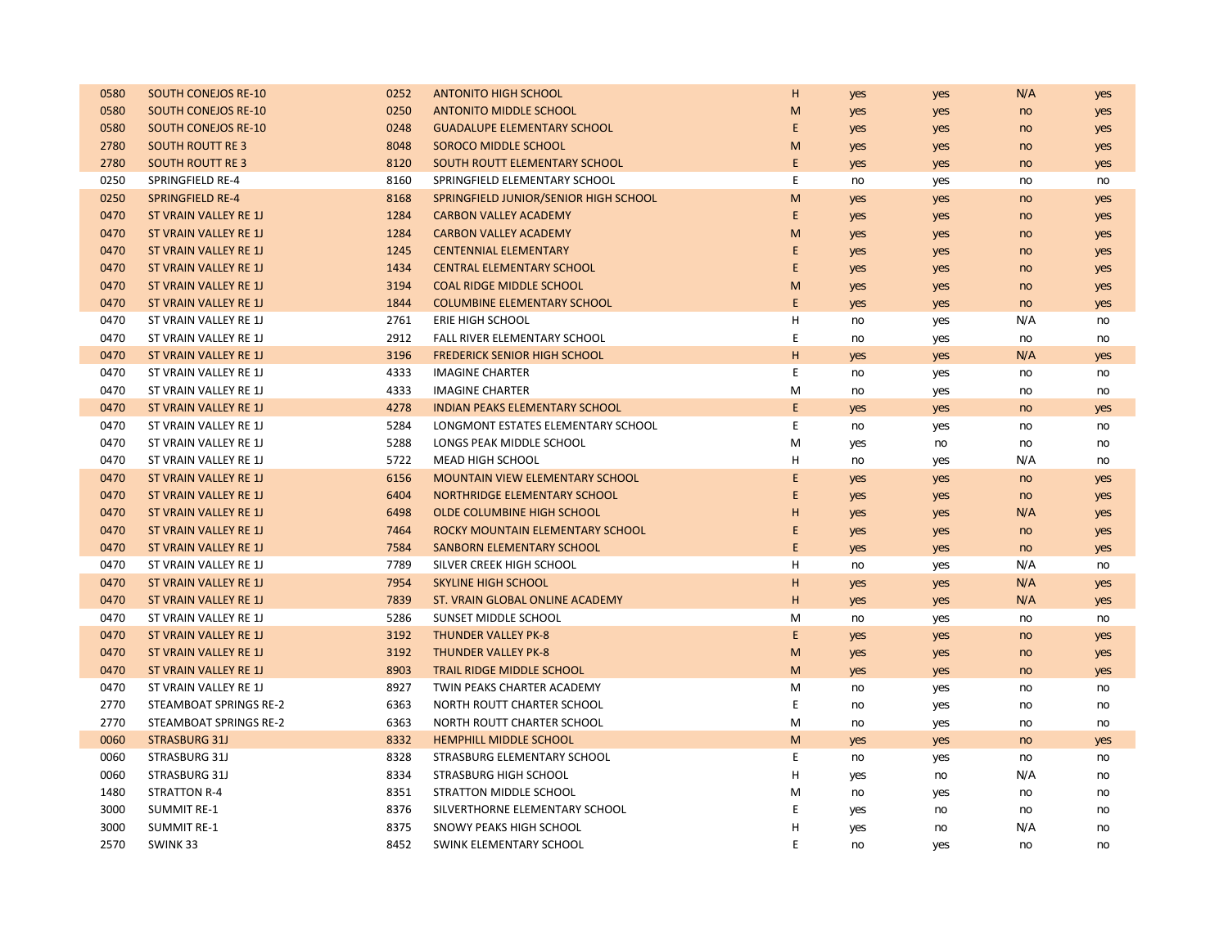| 0580 | <b>SOUTH CONEJOS RE-10</b>   | 0252 | <b>ANTONITO HIGH SCHOOL</b>            | н | yes | yes | N/A | yes |
|------|------------------------------|------|----------------------------------------|---|-----|-----|-----|-----|
| 0580 | <b>SOUTH CONEJOS RE-10</b>   | 0250 | <b>ANTONITO MIDDLE SCHOOL</b>          | M | yes | yes | no  | yes |
| 0580 | <b>SOUTH CONEJOS RE-10</b>   | 0248 | <b>GUADALUPE ELEMENTARY SCHOOL</b>     | E | yes | yes | no  | yes |
| 2780 | <b>SOUTH ROUTT RE3</b>       | 8048 | <b>SOROCO MIDDLE SCHOOL</b>            | M | yes | yes | no  | yes |
| 2780 | <b>SOUTH ROUTT RE3</b>       | 8120 | SOUTH ROUTT ELEMENTARY SCHOOL          | E | yes | yes | no  | yes |
| 0250 | SPRINGFIELD RE-4             | 8160 | SPRINGFIELD ELEMENTARY SCHOOL          | Ε | no  | yes | no  | no  |
| 0250 | <b>SPRINGFIELD RE-4</b>      | 8168 | SPRINGFIELD JUNIOR/SENIOR HIGH SCHOOL  | M | yes | yes | no  | yes |
| 0470 | ST VRAIN VALLEY RE 1J        | 1284 | <b>CARBON VALLEY ACADEMY</b>           | E | yes | yes | no  | yes |
| 0470 | ST VRAIN VALLEY RE 1J        | 1284 | <b>CARBON VALLEY ACADEMY</b>           | M | yes | yes | no  | yes |
| 0470 | ST VRAIN VALLEY RE 1J        | 1245 | <b>CENTENNIAL ELEMENTARY</b>           | E | yes | yes | no  | yes |
| 0470 | ST VRAIN VALLEY RE 1J        | 1434 | <b>CENTRAL ELEMENTARY SCHOOL</b>       | E | yes | yes | no  | yes |
| 0470 | <b>ST VRAIN VALLEY RE 1J</b> | 3194 | <b>COAL RIDGE MIDDLE SCHOOL</b>        | M | yes | yes | no  | yes |
| 0470 | <b>ST VRAIN VALLEY RE 1J</b> | 1844 | <b>COLUMBINE ELEMENTARY SCHOOL</b>     | E | yes | yes | no  | yes |
| 0470 | ST VRAIN VALLEY RE 1J        | 2761 | <b>ERIE HIGH SCHOOL</b>                | H | no  | yes | N/A | no  |
| 0470 | ST VRAIN VALLEY RE 1J        | 2912 | FALL RIVER ELEMENTARY SCHOOL           | E | no  | yes | no  | no  |
| 0470 | <b>ST VRAIN VALLEY RE 1J</b> | 3196 | <b>FREDERICK SENIOR HIGH SCHOOL</b>    | H | yes | yes | N/A | yes |
| 0470 | ST VRAIN VALLEY RE 1J        | 4333 | <b>IMAGINE CHARTER</b>                 | Ε | no  | yes | no  | no  |
| 0470 | ST VRAIN VALLEY RE 1J        | 4333 | <b>IMAGINE CHARTER</b>                 | M | no  | yes | no  | no  |
| 0470 | <b>ST VRAIN VALLEY RE 1J</b> | 4278 | <b>INDIAN PEAKS ELEMENTARY SCHOOL</b>  | E | yes | yes | no  | yes |
| 0470 | ST VRAIN VALLEY RE 1J        | 5284 | LONGMONT ESTATES ELEMENTARY SCHOOL     | E | no  | yes | no  | no  |
| 0470 | ST VRAIN VALLEY RE 1J        | 5288 | LONGS PEAK MIDDLE SCHOOL               | M | yes | no  | no  | no  |
| 0470 | ST VRAIN VALLEY RE 1J        | 5722 | MEAD HIGH SCHOOL                       | н | no  | yes | N/A | no  |
| 0470 | ST VRAIN VALLEY RE 1J        | 6156 | <b>MOUNTAIN VIEW ELEMENTARY SCHOOL</b> | E | yes | yes | no  | yes |
| 0470 | ST VRAIN VALLEY RE 1J        | 6404 | NORTHRIDGE ELEMENTARY SCHOOL           | E | yes | yes | no  | yes |
| 0470 | <b>ST VRAIN VALLEY RE 1J</b> | 6498 | <b>OLDE COLUMBINE HIGH SCHOOL</b>      | H | yes | yes | N/A | yes |
| 0470 | <b>ST VRAIN VALLEY RE 1J</b> | 7464 | ROCKY MOUNTAIN ELEMENTARY SCHOOL       | E | yes | yes | no  | yes |
| 0470 | <b>ST VRAIN VALLEY RE 1J</b> | 7584 | <b>SANBORN ELEMENTARY SCHOOL</b>       | E | yes | yes | no  | yes |
| 0470 | ST VRAIN VALLEY RE 1J        | 7789 | SILVER CREEK HIGH SCHOOL               | H | no  | yes | N/A | no  |
| 0470 | ST VRAIN VALLEY RE 1J        | 7954 | <b>SKYLINE HIGH SCHOOL</b>             | н | yes | yes | N/A | yes |
| 0470 | ST VRAIN VALLEY RE 1J        | 7839 | ST. VRAIN GLOBAL ONLINE ACADEMY        | H | yes | yes | N/A | yes |
| 0470 | ST VRAIN VALLEY RE 1J        | 5286 | SUNSET MIDDLE SCHOOL                   | M | no  | yes | no  | no  |
| 0470 | <b>ST VRAIN VALLEY RE 1J</b> | 3192 | <b>THUNDER VALLEY PK-8</b>             | E | yes | yes | no  | yes |
| 0470 | <b>ST VRAIN VALLEY RE 1J</b> | 3192 | <b>THUNDER VALLEY PK-8</b>             | M | yes | yes | no  | yes |
| 0470 | ST VRAIN VALLEY RE 1J        | 8903 | <b>TRAIL RIDGE MIDDLE SCHOOL</b>       | M | yes | yes | no  | yes |
| 0470 | ST VRAIN VALLEY RE 1J        | 8927 | TWIN PEAKS CHARTER ACADEMY             | М | no  | yes | no  | no  |
| 2770 | STEAMBOAT SPRINGS RE-2       | 6363 | NORTH ROUTT CHARTER SCHOOL             | Е | no  | yes | no  | no  |
| 2770 | STEAMBOAT SPRINGS RE-2       | 6363 | NORTH ROUTT CHARTER SCHOOL             | M | no  | yes | no  | no  |
| 0060 | <b>STRASBURG 31J</b>         | 8332 | <b>HEMPHILL MIDDLE SCHOOL</b>          | M | yes | yes | no  | yes |
| 0060 | STRASBURG 31J                | 8328 | STRASBURG ELEMENTARY SCHOOL            | Е | no  | yes | no  | no  |
| 0060 | STRASBURG 31J                | 8334 | <b>STRASBURG HIGH SCHOOL</b>           | н | yes | no  | N/A | no  |
| 1480 | <b>STRATTON R-4</b>          | 8351 | STRATTON MIDDLE SCHOOL                 | м | no  | yes | no  | no  |
| 3000 | <b>SUMMIT RE-1</b>           | 8376 | SILVERTHORNE ELEMENTARY SCHOOL         | Ε | yes | no  | no  | no  |
| 3000 | <b>SUMMIT RE-1</b>           | 8375 | SNOWY PEAKS HIGH SCHOOL                | н | yes | no  | N/A | no  |
| 2570 | SWINK 33                     | 8452 | SWINK ELEMENTARY SCHOOL                | F | no  | yes | no  | no  |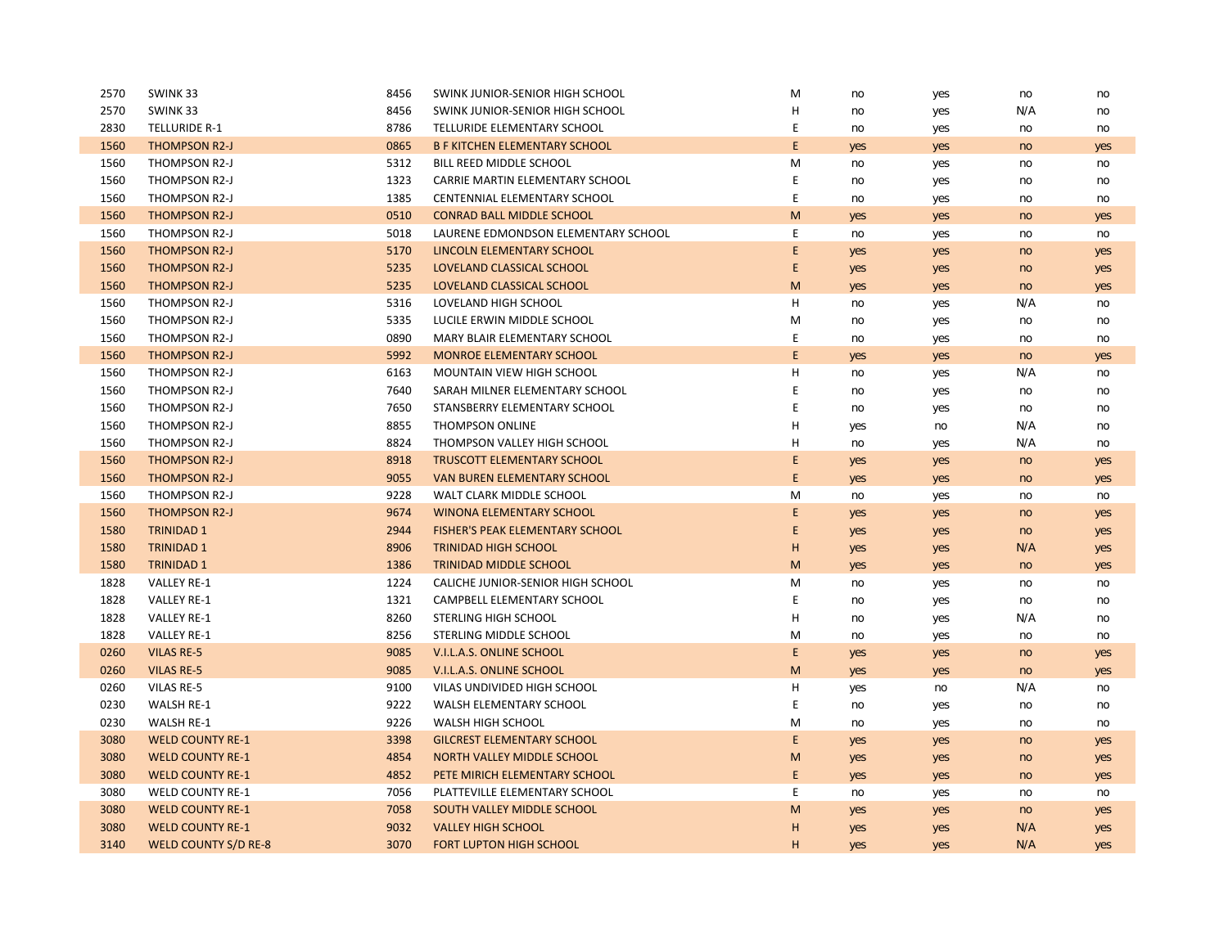| 2570 | SWINK 33                    | 8456 | SWINK JUNIOR-SENIOR HIGH SCHOOL        | M           | no  | yes | no  | no  |
|------|-----------------------------|------|----------------------------------------|-------------|-----|-----|-----|-----|
| 2570 | SWINK 33                    | 8456 | SWINK JUNIOR-SENIOR HIGH SCHOOL        | Н           | no  | yes | N/A | no  |
| 2830 | <b>TELLURIDE R-1</b>        | 8786 | TELLURIDE ELEMENTARY SCHOOL            | E           | no  | yes | no  | no  |
| 1560 | <b>THOMPSON R2-J</b>        | 0865 | <b>B F KITCHEN ELEMENTARY SCHOOL</b>   | E           | yes | yes | no  | yes |
| 1560 | THOMPSON R2-J               | 5312 | BILL REED MIDDLE SCHOOL                | M           | no  | yes | no  | no  |
| 1560 | THOMPSON R2-J               | 1323 | CARRIE MARTIN ELEMENTARY SCHOOL        | Ε           | no  | yes | no  | no  |
| 1560 | THOMPSON R2-J               | 1385 | CENTENNIAL ELEMENTARY SCHOOL           | $\mathsf E$ | no  | yes | no  | no  |
| 1560 | <b>THOMPSON R2-J</b>        | 0510 | <b>CONRAD BALL MIDDLE SCHOOL</b>       | M           | yes | yes | no  | yes |
| 1560 | THOMPSON R2-J               | 5018 | LAURENE EDMONDSON ELEMENTARY SCHOOL    | E           | no  | yes | no  | no  |
| 1560 | <b>THOMPSON R2-J</b>        | 5170 | LINCOLN ELEMENTARY SCHOOL              | E           | yes | yes | no  | yes |
| 1560 | THOMPSON R2-J               | 5235 | LOVELAND CLASSICAL SCHOOL              | E           | yes | yes | no  | yes |
| 1560 | <b>THOMPSON R2-J</b>        | 5235 | LOVELAND CLASSICAL SCHOOL              | M           | yes | yes | no  | yes |
| 1560 | THOMPSON R2-J               | 5316 | LOVELAND HIGH SCHOOL                   | н           | no  | yes | N/A | no  |
| 1560 | THOMPSON R2-J               | 5335 | LUCILE ERWIN MIDDLE SCHOOL             | м           | no  | yes | no  | no  |
| 1560 | THOMPSON R2-J               | 0890 | MARY BLAIR ELEMENTARY SCHOOL           | E           | no  | yes | no  | no  |
| 1560 | <b>THOMPSON R2-J</b>        | 5992 | <b>MONROE ELEMENTARY SCHOOL</b>        | E           | yes | yes | no  | yes |
| 1560 | THOMPSON R2-J               | 6163 | MOUNTAIN VIEW HIGH SCHOOL              | Η           | no  | yes | N/A | no  |
| 1560 | THOMPSON R2-J               | 7640 | SARAH MILNER ELEMENTARY SCHOOL         | E           | no  | yes | no  | no  |
| 1560 | THOMPSON R2-J               | 7650 | STANSBERRY ELEMENTARY SCHOOL           | F           | no  | yes | no  | no  |
| 1560 | THOMPSON R2-J               | 8855 | <b>THOMPSON ONLINE</b>                 | Η           | yes | no  | N/A | no  |
| 1560 | THOMPSON R2-J               | 8824 | THOMPSON VALLEY HIGH SCHOOL            | H           | no  | yes | N/A | no  |
| 1560 | <b>THOMPSON R2-J</b>        | 8918 | <b>TRUSCOTT ELEMENTARY SCHOOL</b>      | E           | yes | yes | no  | yes |
| 1560 | <b>THOMPSON R2-J</b>        | 9055 | <b>VAN BUREN ELEMENTARY SCHOOL</b>     | E           | yes | yes | no  | yes |
| 1560 | THOMPSON R2-J               | 9228 | WALT CLARK MIDDLE SCHOOL               | M           | no  | yes | no  | no  |
| 1560 | <b>THOMPSON R2-J</b>        | 9674 | <b>WINONA ELEMENTARY SCHOOL</b>        | E           | yes | yes | no  | yes |
| 1580 | <b>TRINIDAD 1</b>           | 2944 | <b>FISHER'S PEAK ELEMENTARY SCHOOL</b> | E           | yes | yes | no  | yes |
| 1580 | <b>TRINIDAD 1</b>           | 8906 | <b>TRINIDAD HIGH SCHOOL</b>            | н           | yes | yes | N/A | yes |
| 1580 | <b>TRINIDAD 1</b>           | 1386 | <b>TRINIDAD MIDDLE SCHOOL</b>          | M           | yes | yes | no  | yes |
| 1828 | VALLEY RE-1                 | 1224 | CALICHE JUNIOR-SENIOR HIGH SCHOOL      | M           | no  | yes | no  | no  |
| 1828 | VALLEY RE-1                 | 1321 | CAMPBELL ELEMENTARY SCHOOL             | E           | no  | yes | no  | no  |
| 1828 | <b>VALLEY RE-1</b>          | 8260 | STERLING HIGH SCHOOL                   | H           | no  | yes | N/A | no  |
| 1828 | <b>VALLEY RE-1</b>          | 8256 | STERLING MIDDLE SCHOOL                 | М           | no  | yes | no  | no  |
| 0260 | <b>VILAS RE-5</b>           | 9085 | V.I.L.A.S. ONLINE SCHOOL               | E           | yes | yes | no  | yes |
| 0260 | <b>VILAS RE-5</b>           | 9085 | V.I.L.A.S. ONLINE SCHOOL               | M           | yes | yes | no  | yes |
| 0260 | VILAS RE-5                  | 9100 | VILAS UNDIVIDED HIGH SCHOOL            | Η           | yes | no  | N/A | no  |
| 0230 | <b>WALSH RE-1</b>           | 9222 | WALSH ELEMENTARY SCHOOL                | E           | no  | yes | no  | no  |
| 0230 | WALSH RE-1                  | 9226 | WALSH HIGH SCHOOL                      | M           | no  | yes | no  | no  |
| 3080 | <b>WELD COUNTY RE-1</b>     | 3398 | <b>GILCREST ELEMENTARY SCHOOL</b>      | E           | yes | yes | no  | yes |
| 3080 | <b>WELD COUNTY RE-1</b>     | 4854 | NORTH VALLEY MIDDLE SCHOOL             | M           | yes | yes | no  | yes |
| 3080 | <b>WELD COUNTY RE-1</b>     | 4852 | PETE MIRICH ELEMENTARY SCHOOL          | E           | yes | yes | no  | yes |
| 3080 | <b>WELD COUNTY RE-1</b>     | 7056 | PLATTEVILLE ELEMENTARY SCHOOL          | E           | no  | yes | no  | no  |
| 3080 | <b>WELD COUNTY RE-1</b>     | 7058 | SOUTH VALLEY MIDDLE SCHOOL             | M           | yes | yes | no  | yes |
| 3080 | <b>WELD COUNTY RE-1</b>     | 9032 | <b>VALLEY HIGH SCHOOL</b>              | н           | yes | yes | N/A | yes |
| 3140 | <b>WELD COUNTY S/D RE-8</b> | 3070 | <b>FORT LUPTON HIGH SCHOOL</b>         | H           | yes | yes | N/A | yes |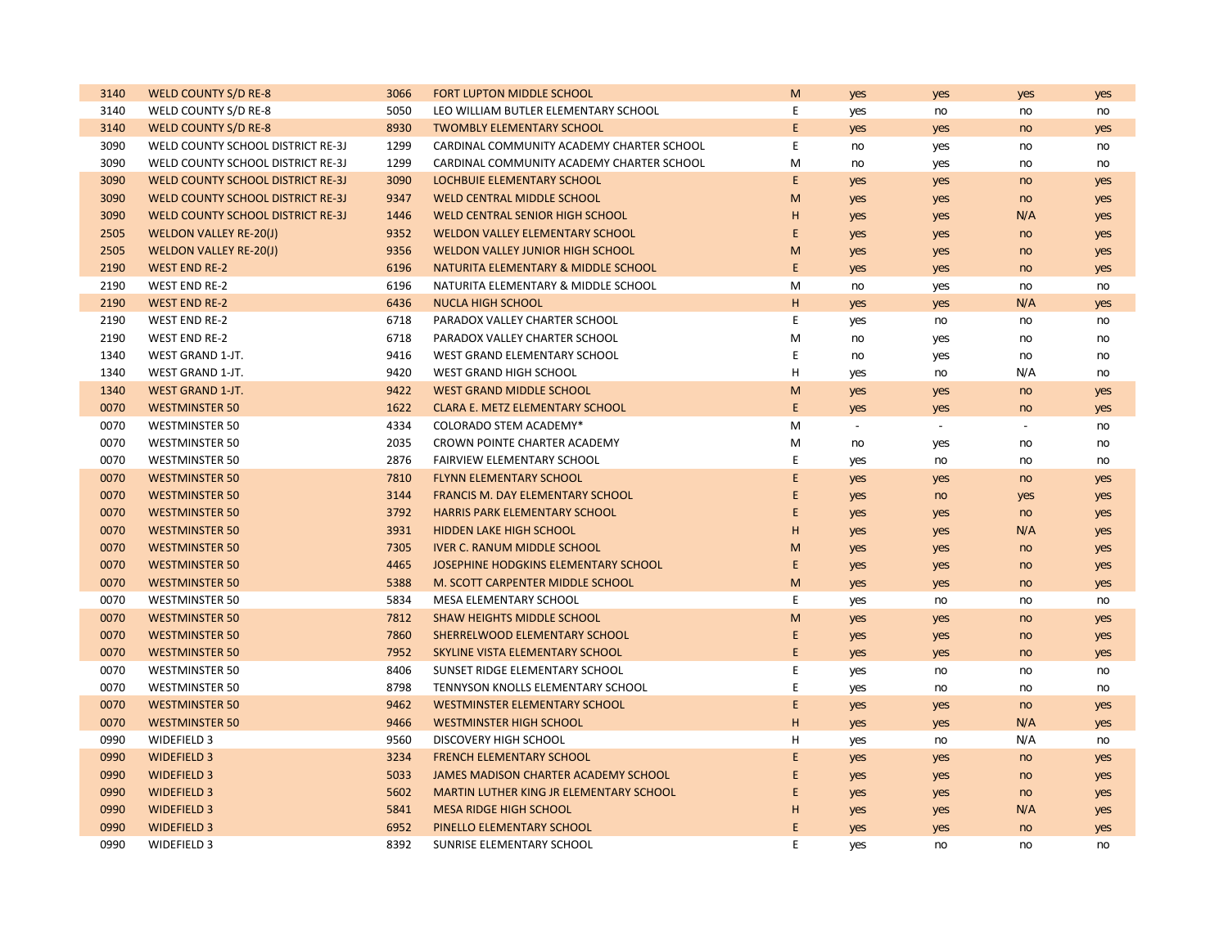| 3140 | <b>WELD COUNTY S/D RE-8</b>              | 3066 | <b>FORT LUPTON MIDDLE SCHOOL</b>          | M           | yes    | yes    | yes            | yes |
|------|------------------------------------------|------|-------------------------------------------|-------------|--------|--------|----------------|-----|
| 3140 | WELD COUNTY S/D RE-8                     | 5050 | LEO WILLIAM BUTLER ELEMENTARY SCHOOL      | E           | yes    | no     | no             | no  |
| 3140 | <b>WELD COUNTY S/D RE-8</b>              | 8930 | <b>TWOMBLY ELEMENTARY SCHOOL</b>          | E           | yes    | yes    | no             | yes |
| 3090 | WELD COUNTY SCHOOL DISTRICT RE-3J        | 1299 | CARDINAL COMMUNITY ACADEMY CHARTER SCHOOL | E           | no     | yes    | no             | no  |
| 3090 | WELD COUNTY SCHOOL DISTRICT RE-3J        | 1299 | CARDINAL COMMUNITY ACADEMY CHARTER SCHOOL | M           | no     | yes    | no             | no  |
| 3090 | <b>WELD COUNTY SCHOOL DISTRICT RE-3J</b> | 3090 | LOCHBUIE ELEMENTARY SCHOOL                | E           | yes    | yes    | no             | yes |
| 3090 | <b>WELD COUNTY SCHOOL DISTRICT RE-3J</b> | 9347 | <b>WELD CENTRAL MIDDLE SCHOOL</b>         | M           | yes    | yes    | no             | yes |
| 3090 | <b>WELD COUNTY SCHOOL DISTRICT RE-3J</b> | 1446 | WELD CENTRAL SENIOR HIGH SCHOOL           | H           | yes    | yes    | N/A            | yes |
| 2505 | <b>WELDON VALLEY RE-20(J)</b>            | 9352 | <b>WELDON VALLEY ELEMENTARY SCHOOL</b>    | E           | yes    | yes    | no             | yes |
| 2505 | <b>WELDON VALLEY RE-20(J)</b>            | 9356 | WELDON VALLEY JUNIOR HIGH SCHOOL          | M           | yes    | yes    | no             | yes |
| 2190 | <b>WEST END RE-2</b>                     | 6196 | NATURITA ELEMENTARY & MIDDLE SCHOOL       | E           | yes    | yes    | no             | yes |
| 2190 | <b>WEST END RE-2</b>                     | 6196 | NATURITA ELEMENTARY & MIDDLE SCHOOL       | M           | no     | yes    | no             | no  |
| 2190 | <b>WEST END RE-2</b>                     | 6436 | <b>NUCLA HIGH SCHOOL</b>                  | H           | yes    | yes    | N/A            | yes |
| 2190 | <b>WEST END RE-2</b>                     | 6718 | PARADOX VALLEY CHARTER SCHOOL             | $\mathsf E$ | yes    | no     | no             | no  |
| 2190 | <b>WEST END RE-2</b>                     | 6718 | PARADOX VALLEY CHARTER SCHOOL             | M           | no     | yes    | no             | no  |
| 1340 | WEST GRAND 1-JT.                         | 9416 | WEST GRAND ELEMENTARY SCHOOL              | E           | no     | yes    | no             | no  |
| 1340 | <b>WEST GRAND 1-JT.</b>                  | 9420 | <b>WEST GRAND HIGH SCHOOL</b>             | н           | yes    | no     | N/A            | no  |
| 1340 | <b>WEST GRAND 1-JT.</b>                  | 9422 | <b>WEST GRAND MIDDLE SCHOOL</b>           | M           | yes    | yes    | no             | yes |
| 0070 | <b>WESTMINSTER 50</b>                    | 1622 | <b>CLARA E. METZ ELEMENTARY SCHOOL</b>    | E           | yes    | yes    | no             | yes |
| 0070 | <b>WESTMINSTER 50</b>                    | 4334 | COLORADO STEM ACADEMY*                    | M           | $\sim$ | $\sim$ | $\blacksquare$ | no  |
| 0070 | <b>WESTMINSTER 50</b>                    | 2035 | CROWN POINTE CHARTER ACADEMY              | M           | no     | yes    | no             | no  |
| 0070 | <b>WESTMINSTER 50</b>                    | 2876 | <b>FAIRVIEW ELEMENTARY SCHOOL</b>         | E           | yes    | no     | no             | no  |
| 0070 | <b>WESTMINSTER 50</b>                    | 7810 | <b>FLYNN ELEMENTARY SCHOOL</b>            | E           | yes    | yes    | no             | yes |
| 0070 | <b>WESTMINSTER 50</b>                    | 3144 | <b>FRANCIS M. DAY ELEMENTARY SCHOOL</b>   | E           | yes    | no     | yes            | yes |
| 0070 | <b>WESTMINSTER 50</b>                    | 3792 | <b>HARRIS PARK ELEMENTARY SCHOOL</b>      | E           | yes    | yes    | no             | yes |
| 0070 | <b>WESTMINSTER 50</b>                    | 3931 | <b>HIDDEN LAKE HIGH SCHOOL</b>            | H           | yes    | yes    | N/A            | yes |
| 0070 | <b>WESTMINSTER 50</b>                    | 7305 | <b>IVER C. RANUM MIDDLE SCHOOL</b>        | M           | yes    | yes    | no             | yes |
| 0070 | <b>WESTMINSTER 50</b>                    | 4465 | JOSEPHINE HODGKINS ELEMENTARY SCHOOL      | E           | yes    | yes    | no             | yes |
| 0070 | <b>WESTMINSTER 50</b>                    | 5388 | M. SCOTT CARPENTER MIDDLE SCHOOL          | M           | yes    | yes    | no             | yes |
| 0070 | <b>WESTMINSTER 50</b>                    | 5834 | MESA ELEMENTARY SCHOOL                    | E           | yes    | no     | no             | no  |
| 0070 | <b>WESTMINSTER 50</b>                    | 7812 | <b>SHAW HEIGHTS MIDDLE SCHOOL</b>         | M           | yes    | yes    | no             | yes |
| 0070 | <b>WESTMINSTER 50</b>                    | 7860 | SHERRELWOOD ELEMENTARY SCHOOL             | E           | yes    | yes    | no             | yes |
| 0070 | <b>WESTMINSTER 50</b>                    | 7952 | SKYLINE VISTA ELEMENTARY SCHOOL           | E           | yes    | yes    | no             | yes |
| 0070 | <b>WESTMINSTER 50</b>                    | 8406 | SUNSET RIDGE ELEMENTARY SCHOOL            | E           | yes    | no     | no             | no  |
| 0070 | <b>WESTMINSTER 50</b>                    | 8798 | TENNYSON KNOLLS ELEMENTARY SCHOOL         | E           | yes    | no     | no             | no  |
| 0070 | <b>WESTMINSTER 50</b>                    | 9462 | <b>WESTMINSTER ELEMENTARY SCHOOL</b>      | E           | yes    | yes    | no             | yes |
| 0070 | <b>WESTMINSTER 50</b>                    | 9466 | <b>WESTMINSTER HIGH SCHOOL</b>            | H           | yes    | yes    | N/A            | yes |
| 0990 | WIDEFIELD 3                              | 9560 | <b>DISCOVERY HIGH SCHOOL</b>              | н           | yes    | no     | N/A            | no  |
| 0990 | <b>WIDEFIELD 3</b>                       | 3234 | <b>FRENCH ELEMENTARY SCHOOL</b>           | E           | yes    | yes    | no             | yes |
| 0990 | <b>WIDEFIELD 3</b>                       | 5033 | JAMES MADISON CHARTER ACADEMY SCHOOL      | E           | yes    | yes    | no             | yes |
| 0990 | <b>WIDEFIELD 3</b>                       | 5602 | MARTIN LUTHER KING JR ELEMENTARY SCHOOL   | E           | yes    | yes    | no             | yes |
| 0990 | <b>WIDEFIELD 3</b>                       | 5841 | <b>MESA RIDGE HIGH SCHOOL</b>             | н           | yes    | yes    | N/A            | yes |
| 0990 | <b>WIDEFIELD 3</b>                       | 6952 | PINELLO ELEMENTARY SCHOOL                 | E           | yes    | yes    | no             | yes |
| 0990 | <b>WIDEFIELD 3</b>                       | 8392 | <b>SUNRISE ELEMENTARY SCHOOL</b>          | E           | yes    | no     | no             | no  |